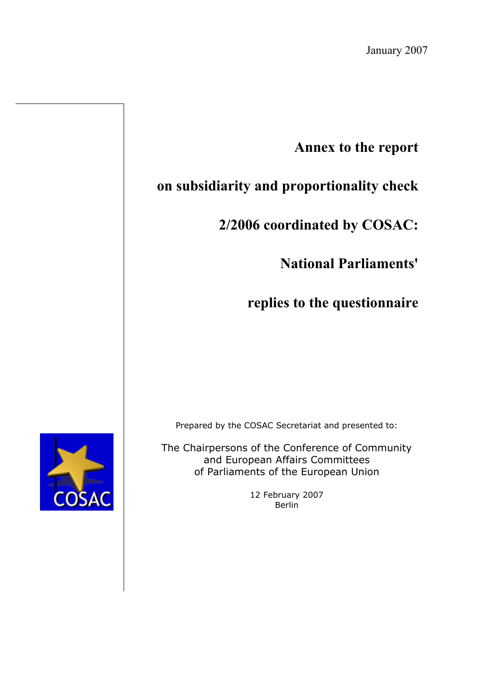## **Annex to the report**

# **on subsidiarity and proportionality check**

# **2/2006 coordinated by COSAC:**

# **National Parliaments'**

# **replies to the questionnaire**

Prepared by the COSAC Secretariat and presented to:

The Chairpersons of the Conference of Community and European Affairs Committees of Parliaments of the European Union

> 12 February 2007 Berlin

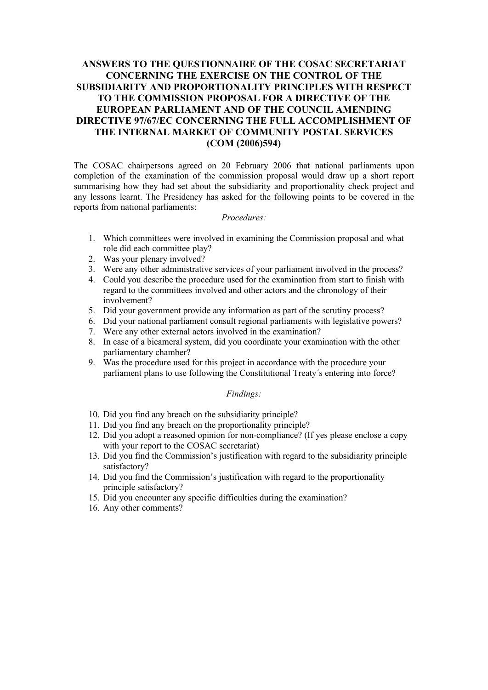#### **ANSWERS TO THE QUESTIONNAIRE OF THE COSAC SECRETARIAT CONCERNING THE EXERCISE ON THE CONTROL OF THE SUBSIDIARITY AND PROPORTIONALITY PRINCIPLES WITH RESPECT TO THE COMMISSION PROPOSAL FOR A DIRECTIVE OF THE EUROPEAN PARLIAMENT AND OF THE COUNCIL AMENDING DIRECTIVE 97/67/EC CONCERNING THE FULL ACCOMPLISHMENT OF THE INTERNAL MARKET OF COMMUNITY POSTAL SERVICES (COM (2006)594)**

The COSAC chairpersons agreed on 20 February 2006 that national parliaments upon completion of the examination of the commission proposal would draw up a short report summarising how they had set about the subsidiarity and proportionality check project and any lessons learnt. The Presidency has asked for the following points to be covered in the reports from national parliaments:

#### *Procedures:*

- 1. Which committees were involved in examining the Commission proposal and what role did each committee play?
- 2. Was your plenary involved?
- 3. Were any other administrative services of your parliament involved in the process?
- 4. Could you describe the procedure used for the examination from start to finish with regard to the committees involved and other actors and the chronology of their involvement?
- 5. Did your government provide any information as part of the scrutiny process?
- 6. Did your national parliament consult regional parliaments with legislative powers?
- 7. Were any other external actors involved in the examination?
- 8. In case of a bicameral system, did you coordinate your examination with the other parliamentary chamber?
- 9. Was the procedure used for this project in accordance with the procedure your parliament plans to use following the Constitutional Treaty´s entering into force?

#### *Findings:*

- 10. Did you find any breach on the subsidiarity principle?
- 11. Did you find any breach on the proportionality principle?
- 12. Did you adopt a reasoned opinion for non-compliance? (If yes please enclose a copy with your report to the COSAC secretariat)
- 13. Did you find the Commission's justification with regard to the subsidiarity principle satisfactory?
- 14. Did you find the Commission's justification with regard to the proportionality principle satisfactory?
- 15. Did you encounter any specific difficulties during the examination?
- 16. Any other comments?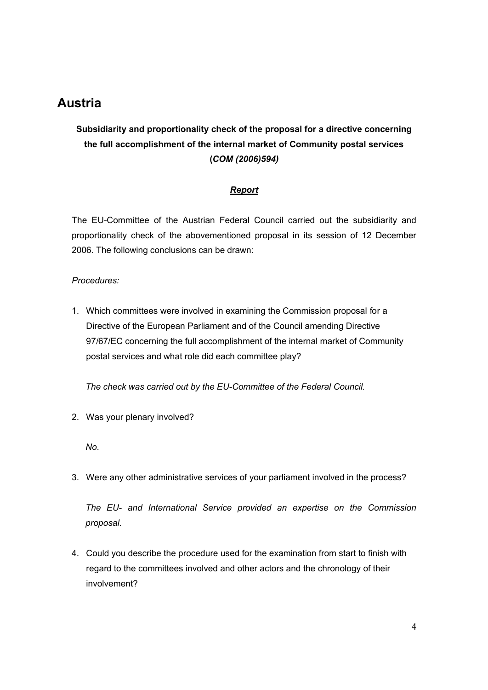## **Austria**

## **Subsidiarity and proportionality check of the proposal for a directive concerning the full accomplishment of the internal market of Community postal services (***COM (2006)594)*

#### *Report*

The EU-Committee of the Austrian Federal Council carried out the subsidiarity and proportionality check of the abovementioned proposal in its session of 12 December 2006. The following conclusions can be drawn:

#### *Procedures:*

1. Which committees were involved in examining the Commission proposal for a Directive of the European Parliament and of the Council amending Directive 97/67/EC concerning the full accomplishment of the internal market of Community postal services and what role did each committee play?

*The check was carried out by the EU-Committee of the Federal Council.*

2. Was your plenary involved?

*No.*

3. Were any other administrative services of your parliament involved in the process?

*The EU- and International Service provided an expertise on the Commission proposal.*

4. Could you describe the procedure used for the examination from start to finish with regard to the committees involved and other actors and the chronology of their involvement?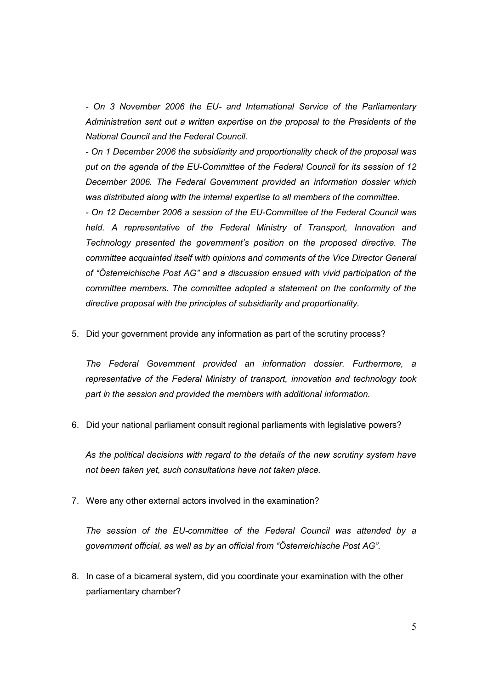*- On 3 November 2006 the EU- and International Service of the Parliamentary Administration sent out a written expertise on the proposal to the Presidents of the National Council and the Federal Council.*

*- On 1 December 2006 the subsidiarity and proportionality check of the proposal was put on the agenda of the EU-Committee of the Federal Council for its session of 12 December 2006. The Federal Government provided an information dossier which was distributed along with the internal expertise to all members of the committee.*

*- On 12 December 2006 a session of the EU-Committee of the Federal Council was held. A representative of the Federal Ministry of Transport, Innovation and Technology presented the government's position on the proposed directive. The committee acquainted itself with opinions and comments of the Vice Director General of "Österreichische Post AG" and a discussion ensued with vivid participation of the committee members. The committee adopted a statement on the conformity of the directive proposal with the principles of subsidiarity and proportionality.*

5. Did your government provide any information as part of the scrutiny process?

*The Federal Government provided an information dossier. Furthermore, a representative of the Federal Ministry of transport, innovation and technology took part in the session and provided the members with additional information.*

6. Did your national parliament consult regional parliaments with legislative powers?

*As the political decisions with regard to the details of the new scrutiny system have not been taken yet, such consultations have not taken place.*

7. Were any other external actors involved in the examination?

*The session of the EU-committee of the Federal Council was attended by a government official, as well as by an official from "Österreichische Post AG".*

8. In case of a bicameral system, did you coordinate your examination with the other parliamentary chamber?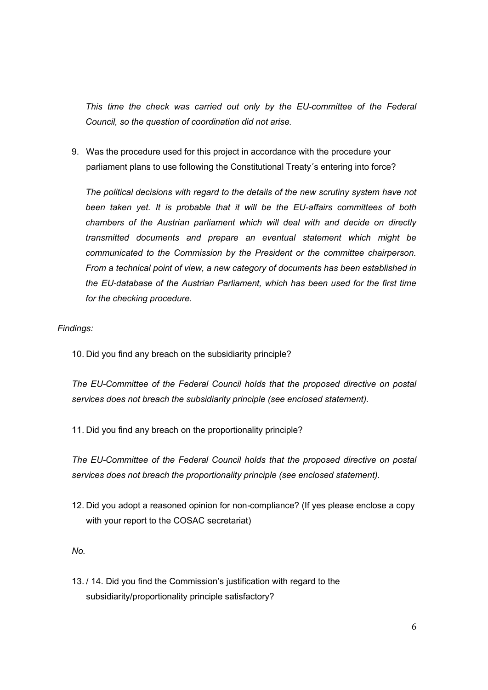*This time the check was carried out only by the EU-committee of the Federal Council, so the question of coordination did not arise.*

9. Was the procedure used for this project in accordance with the procedure your parliament plans to use following the Constitutional Treaty´s entering into force?

*The political decisions with regard to the details of the new scrutiny system have not been taken yet. It is probable that it will be the EU-affairs committees of both chambers of the Austrian parliament which will deal with and decide on directly transmitted documents and prepare an eventual statement which might be communicated to the Commission by the President or the committee chairperson. From a technical point of view, a new category of documents has been established in the EU-database of the Austrian Parliament, which has been used for the first time for the checking procedure.*

#### *Findings:*

10. Did you find any breach on the subsidiarity principle?

*The EU-Committee of the Federal Council holds that the proposed directive on postal services does not breach the subsidiarity principle (see enclosed statement).*

11. Did you find any breach on the proportionality principle?

*The EU-Committee of the Federal Council holds that the proposed directive on postal services does not breach the proportionality principle (see enclosed statement).*

12. Did you adopt a reasoned opinion for non-compliance? (If yes please enclose a copy with your report to the COSAC secretariat)

*No.*

13. / 14. Did you find the Commission's justification with regard to the subsidiarity/proportionality principle satisfactory?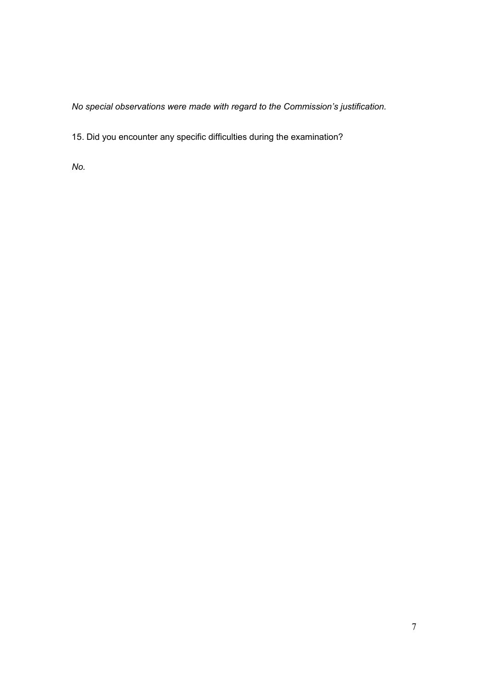*No special observations were made with regard to the Commission's justification.*

15. Did you encounter any specific difficulties during the examination?

*No.*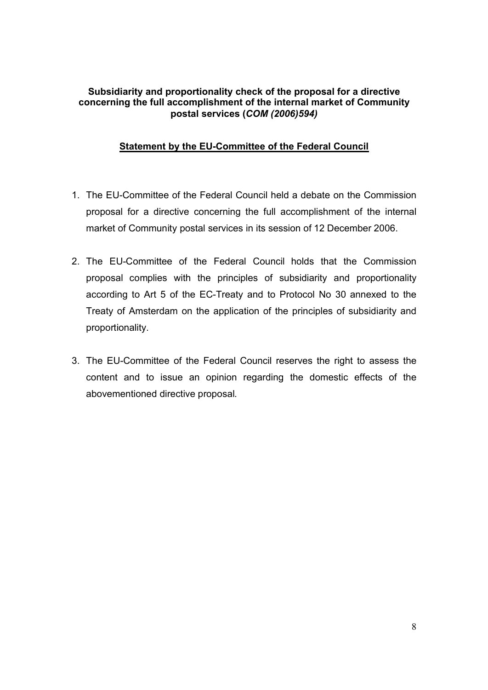#### **Subsidiarity and proportionality check of the proposal for a directive concerning the full accomplishment of the internal market of Community postal services (***COM (2006)594)*

#### **Statement by the EU-Committee of the Federal Council**

- 1. The EU-Committee of the Federal Council held a debate on the Commission proposal for a directive concerning the full accomplishment of the internal market of Community postal services in its session of 12 December 2006.
- 2. The EU-Committee of the Federal Council holds that the Commission proposal complies with the principles of subsidiarity and proportionality according to Art 5 of the EC-Treaty and to Protocol No 30 annexed to the Treaty of Amsterdam on the application of the principles of subsidiarity and proportionality.
- 3. The EU-Committee of the Federal Council reserves the right to assess the content and to issue an opinion regarding the domestic effects of the abovementioned directive proposal.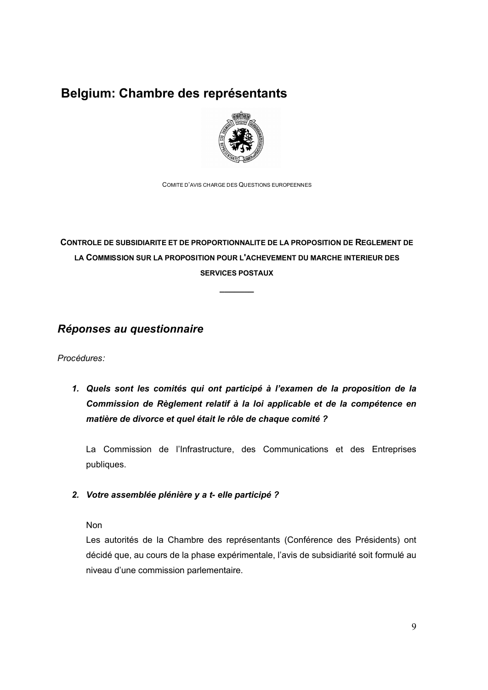## **Belgium: Chambre des représentants**



COMITE D'AVIS CHARGE DES QUESTIONS EUROPEENNES

## **CONTROLE DE SUBSIDIARITE ET DE PROPORTIONNALITE DE LA PROPOSITION DE REGLEMENT DE LA COMMISSION SUR LA PROPOSITION POUR L'ACHEVEMENT DU MARCHE INTERIEUR DES SERVICES POSTAUX**

**\_\_\_\_\_\_\_**

### *Réponses au questionnaire*

*Procédures:*

*1. Quels sont les comités qui ont participé à l'examen de la proposition de la Commission de Règlement relatif à la loi applicable et de la compétence en matière de divorce et quel était le rôle de chaque comité ?*

La Commission de l'Infrastructure, des Communications et des Entreprises publiques.

*2. Votre assemblée plénière y a t- elle participé ?*

Non

Les autorités de la Chambre des représentants (Conférence des Présidents) ont décidé que, au cours de la phase expérimentale, l'avis de subsidiarité soit formulé au niveau d'une commission parlementaire.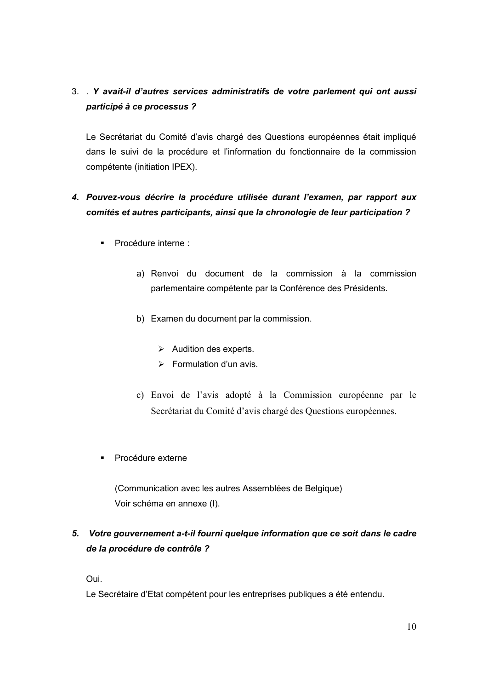## 3. . *Y avait-il d'autres services administratifs de votre parlement qui ont aussi participé à ce processus ?*

Le Secrétariat du Comité d'avis chargé des Questions européennes était impliqué dans le suivi de la procédure et l'information du fonctionnaire de la commission compétente (initiation IPEX).

## *4. Pouvez-vous décrire la procédure utilisée durant l'examen, par rapport aux comités et autres participants, ainsi que la chronologie de leur participation ?*

- Procédure interne :
	- a) Renvoi du document de la commission à la commission parlementaire compétente par la Conférence des Présidents.
	- b) Examen du document par la commission.
		- $\triangleright$  Audition des experts.
		- $\triangleright$  Formulation d'un avis.
	- c) Envoi de l'avis adopté à la Commission européenne par le Secrétariat du Comité d'avis chargé des Questions européennes.
- § Procédure externe

(Communication avec les autres Assemblées de Belgique) Voir schéma en annexe (I).

## *5. Votre gouvernement a-t-il fourni quelque information que ce soit dans le cadre de la procédure de contrôle ?*

Oui.

Le Secrétaire d'Etat compétent pour les entreprises publiques a été entendu.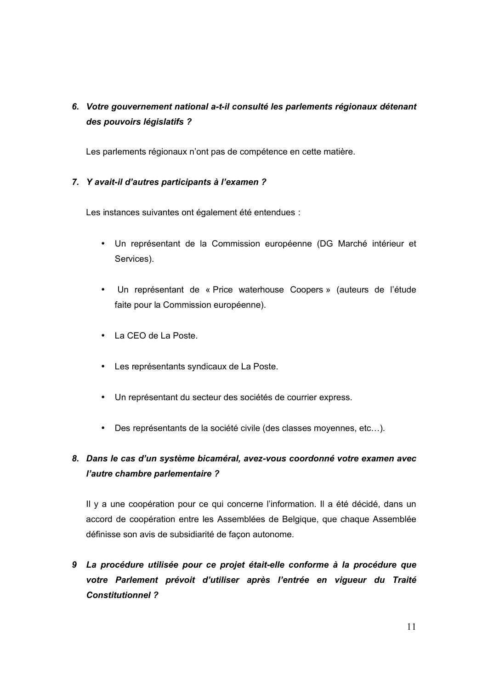## *6. Votre gouvernement national a-t-il consulté les parlements régionaux détenant des pouvoirs législatifs ?*

Les parlements régionaux n'ont pas de compétence en cette matière.

#### *7. Y avait-il d'autres participants à l'examen ?*

Les instances suivantes ont également été entendues :

- Un représentant de la Commission européenne (DG Marché intérieur et Services).
- Un représentant de « Price waterhouse Coopers » (auteurs de l'étude faite pour la Commission européenne).
- La CEO de La Poste.
- Les représentants syndicaux de La Poste.
- Un représentant du secteur des sociétés de courrier express.
- Des représentants de la société civile (des classes moyennes, etc…).

## *8. Dans le cas d'un système bicaméral, avez-vous coordonné votre examen avec l'autre chambre parlementaire ?*

Il y a une coopération pour ce qui concerne l'information. Il a été décidé, dans un accord de coopération entre les Assemblées de Belgique, que chaque Assemblée définisse son avis de subsidiarité de façon autonome.

*9 La procédure utilisée pour ce projet était-elle conforme à la procédure que votre Parlement prévoit d'utiliser après l'entrée en vigueur du Traité Constitutionnel ?*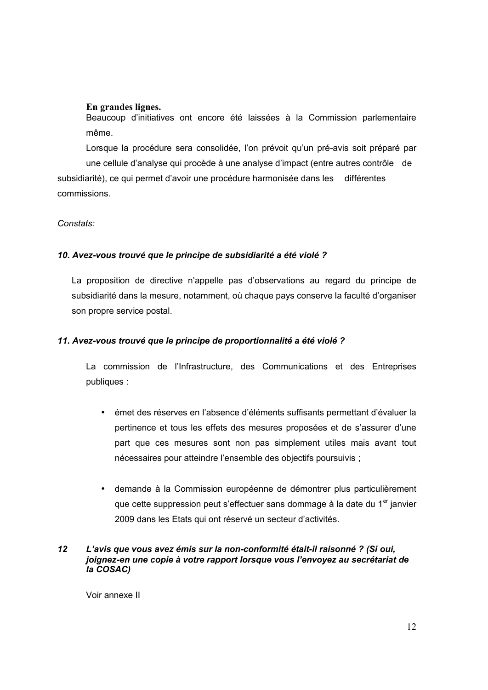#### **En grandes lignes.**

Beaucoup d'initiatives ont encore été laissées à la Commission parlementaire même.

Lorsque la procédure sera consolidée, l'on prévoit qu'un pré-avis soit préparé par une cellule d'analyse qui procède à une analyse d'impact (entre autres contrôle de subsidiarité), ce qui permet d'avoir une procédure harmonisée dans les différentes commissions.

#### *Constats:*

#### *10. Avez-vous trouvé que le principe de subsidiarité a été violé ?*

La proposition de directive n'appelle pas d'observations au regard du principe de subsidiarité dans la mesure, notamment, où chaque pays conserve la faculté d'organiser son propre service postal.

#### *11. Avez-vous trouvé que le principe de proportionnalité a été violé ?*

La commission de l'Infrastructure, des Communications et des Entreprises publiques :

- émet des réserves en l'absence d'éléments suffisants permettant d'évaluer la pertinence et tous les effets des mesures proposées et de s'assurer d'une part que ces mesures sont non pas simplement utiles mais avant tout nécessaires pour atteindre l'ensemble des objectifs poursuivis ;
- demande à la Commission européenne de démontrer plus particulièrement que cette suppression peut s'effectuer sans dommage à la date du 1<sup>er</sup> janvier 2009 dans les Etats qui ont réservé un secteur d'activités.

#### *12 L'avis que vous avez émis sur la non-conformité était-il raisonné ? (Si oui, joignez-en une copie à votre rapport lorsque vous l'envoyez au secrétariat de la COSAC)*

Voir annexe II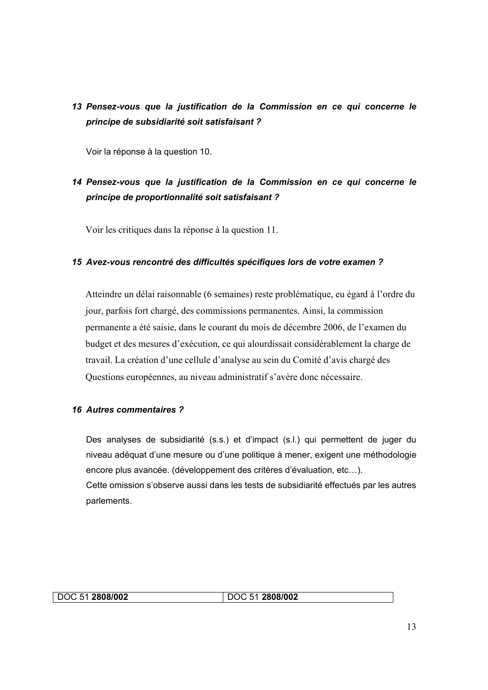## *13 Pensez-vous que la justification de la Commission en ce qui concerne le principe de subsidiarité soit satisfaisant ?*

Voir la réponse à la question 10.

## *14 Pensez-vous que la justification de la Commission en ce qui concerne le principe de proportionnalité soit satisfaisant ?*

Voir les critiques dans la réponse à la question 11.

#### *15 Avez-vous rencontré des difficultés spécifiques lors de votre examen ?*

Atteindre un délai raisonnable (6 semaines) reste problématique, eu égard à l'ordre du jour, parfois fort chargé, des commissions permanentes. Ainsi, la commission permanente a été saisie, dans le courant du mois de décembre 2006, de l'examen du budget et des mesures d'exécution, ce qui alourdissait considérablement la charge de travail. La création d'une cellule d'analyse au sein du Comité d'avis chargé des Questions européennes, au niveau administratif s'avère donc nécessaire.

#### *16 Autres commentaires ?*

Des analyses de subsidiarité (s.s.) et d'impact (s.l.) qui permettent de juger du niveau adéquat d'une mesure ou d'une politique à mener, exigent une méthodologie encore plus avancée. (développement des critères d'évaluation, etc…). Cette omission s'observe aussi dans les tests de subsidiarité effectués par les autres parlements.

| DOC 51 2808/002 | DOC 51 2808/002 |  |
|-----------------|-----------------|--|
|-----------------|-----------------|--|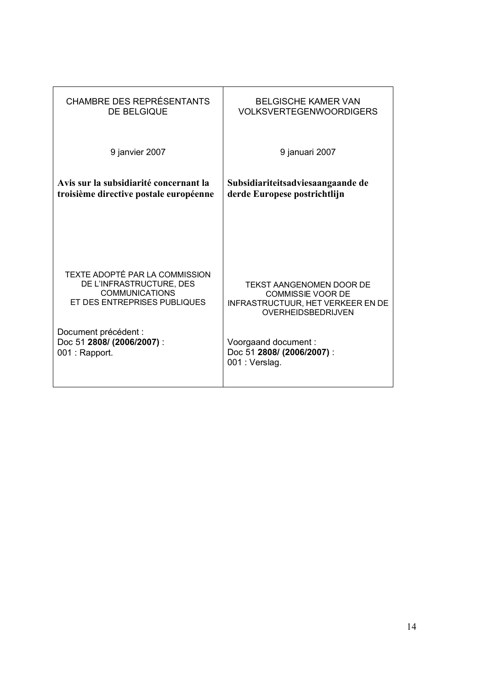| <b>CHAMBRE DES REPRÉSENTANTS</b>       | <b>BELGISCHE KAMER VAN</b>               |  |
|----------------------------------------|------------------------------------------|--|
| <b>DE BELGIQUE</b>                     | <b>VOLKSVERTEGENWOORDIGERS</b>           |  |
| 9 janvier 2007                         | 9 januari 2007                           |  |
| Avis sur la subsidiarité concernant la | Subsidiariteitsadviesaangaande de        |  |
| troisième directive postale européenne | derde Europese postrichtlijn             |  |
| TEXTE ADOPTÉ PAR LA COMMISSION         | TEKST AANGENOMEN DOOR DE                 |  |
| DE L'INFRASTRUCTURE, DES               | <b>COMMISSIE VOOR DE</b>                 |  |
| <b>COMMUNICATIONS</b>                  | <b>INFRASTRUCTUUR, HET VERKEER EN DE</b> |  |
| ET DES ENTREPRISES PUBLIQUES           | <b>OVERHEIDSBEDRIJVEN</b>                |  |
| Document précédent :                   | Voorgaand document:                      |  |
| Doc 51 2808/ (2006/2007) :             | Doc 51 2808/ (2006/2007) :               |  |
| 001 : Rapport.                         | 001: Verslag.                            |  |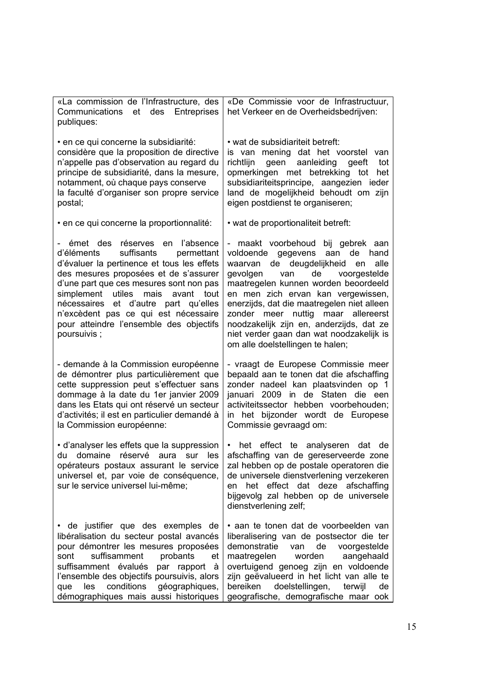| «La commission de l'Infrastructure, des<br>Communications<br>et des Entreprises<br>publiques:                                                                                                                                                                                                                                                                                                      | «De Commissie voor de Infrastructuur,<br>het Verkeer en de Overheidsbedrijven:                                                                                                                                                                                                                                                                                                                                                                |  |
|----------------------------------------------------------------------------------------------------------------------------------------------------------------------------------------------------------------------------------------------------------------------------------------------------------------------------------------------------------------------------------------------------|-----------------------------------------------------------------------------------------------------------------------------------------------------------------------------------------------------------------------------------------------------------------------------------------------------------------------------------------------------------------------------------------------------------------------------------------------|--|
| en ce qui concerne la subsidiarité:<br>considère que la proposition de directive<br>n'appelle pas d'observation au regard du<br>principe de subsidiarité, dans la mesure,<br>notamment, où chaque pays conserve<br>la faculté d'organiser son propre service<br>postal;                                                                                                                            | • wat de subsidiariteit betreft:<br>is van mening dat het voorstel<br>van<br>richtlijn<br>geen aanleiding<br>geeft<br>tot<br>opmerkingen met betrekking tot<br>het<br>subsidiariteitsprincipe, aangezien ieder<br>land de mogelijkheid behoudt om zijn<br>eigen postdienst te organiseren;                                                                                                                                                    |  |
| · en ce qui concerne la proportionnalité:                                                                                                                                                                                                                                                                                                                                                          | • wat de proportionaliteit betreft:                                                                                                                                                                                                                                                                                                                                                                                                           |  |
| émet des réserves en l'absence<br>suffisants<br>d'éléments<br>permettant<br>d'évaluer la pertinence et tous les effets<br>des mesures proposées et de s'assurer<br>d'une part que ces mesures sont non pas<br>simplement utiles<br>mais<br>avant<br>tout<br>nécessaires et d'autre part qu'elles<br>n'excèdent pas ce qui est nécessaire<br>pour atteindre l'ensemble des objectifs<br>poursuivis; | maakt voorbehoud bij gebrek aan<br>voldoende gegevens aan de<br>hand<br>waarvan de deugdelijkheid en<br>alle<br>gevolgen van<br>de voorgestelde<br>maatregelen kunnen worden beoordeeld<br>en men zich ervan kan vergewissen,<br>enerzijds, dat die maatregelen niet alleen<br>zonder meer nuttig maar allereerst<br>noodzakelijk zijn en, anderzijds, dat ze<br>niet verder gaan dan wat noodzakelijk is<br>om alle doelstellingen te halen; |  |
| - demande à la Commission européenne<br>de démontrer plus particulièrement que<br>cette suppression peut s'effectuer sans<br>dommage à la date du 1er janvier 2009<br>dans les Etats qui ont réservé un secteur<br>d'activités; il est en particulier demandé à<br>la Commission européenne:                                                                                                       | - vraagt de Europese Commissie meer<br>bepaald aan te tonen dat die afschaffing<br>zonder nadeel kan plaatsvinden op 1<br>januari 2009 in de Staten die een<br>activiteitssector hebben voorbehouden;<br>in het bijzonder wordt de Europese<br>Commissie gevraagd om:                                                                                                                                                                         |  |
| · d'analyser les effets que la suppression<br>du domaine réservé aura sur les<br>opérateurs postaux assurant le service<br>universel et, par voie de conséquence,<br>sur le service universel lui-même;                                                                                                                                                                                            | • het effect te analyseren dat de<br>afschaffing van de gereserveerde zone<br>zal hebben op de postale operatoren die<br>de universele dienstverlening verzekeren<br>het effect dat deze afschaffing<br>en<br>bijgevolg zal hebben op de universele<br>dienstverlening zelf;                                                                                                                                                                  |  |
| · de justifier que des exemples de<br>libéralisation du secteur postal avancés<br>pour démontrer les mesures proposées<br>suffisamment<br>probants<br>sont<br>et<br>suffisamment évalués par rapport à<br>l'ensemble des objectifs poursuivis, alors<br>conditions<br>géographiques,<br>les<br>que<br>démographiques mais aussi historiques                                                        | · aan te tonen dat de voorbeelden van<br>liberalisering van de postsector die ter<br>demonstratie<br>voorgestelde<br>van<br>de<br>maatregelen<br>worden<br>aangehaald<br>overtuigend genoeg zijn en voldoende<br>zijn geëvalueerd in het licht van alle te<br>doelstellingen,<br>bereiken<br>terwijl<br>de<br>geografische, demografische maar ook                                                                                            |  |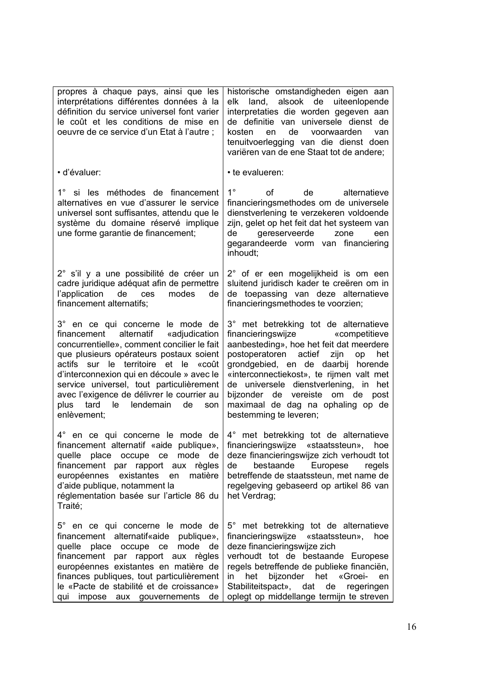| propres à chaque pays, ainsi que les<br>interprétations différentes données à la<br>définition du service universel font varier<br>le coût et les conditions de mise en<br>oeuvre de ce service d'un Etat à l'autre ;                                                                                                                                                                                            | historische omstandigheden eigen aan<br>land, alsook de uiteenlopende<br>elk<br>interpretaties die worden gegeven aan<br>de definitie van universele dienst de<br>de voorwaarden<br>kosten<br>en<br>van<br>tenuitvoerlegging van die dienst doen<br>variëren van de ene Staat tot de andere;                                                                                                         |
|------------------------------------------------------------------------------------------------------------------------------------------------------------------------------------------------------------------------------------------------------------------------------------------------------------------------------------------------------------------------------------------------------------------|------------------------------------------------------------------------------------------------------------------------------------------------------------------------------------------------------------------------------------------------------------------------------------------------------------------------------------------------------------------------------------------------------|
| · d'évaluer:                                                                                                                                                                                                                                                                                                                                                                                                     | • te evalueren:                                                                                                                                                                                                                                                                                                                                                                                      |
| 1° si les méthodes de financement<br>alternatives en vue d'assurer le service<br>universel sont suffisantes, attendu que le<br>système du domaine réservé implique<br>une forme garantie de financement;                                                                                                                                                                                                         | $1^{\circ}$<br>Ωf<br>de<br>alternatieve<br>financieringsmethodes om de universele<br>dienstverlening te verzekeren voldoende<br>zijn, gelet op het feit dat het systeem van<br>de<br>gereserveerde<br>zone<br>een<br>gegarandeerde vorm van financiering<br>inhoudt;                                                                                                                                 |
| 2° s'il y a une possibilité de créer un<br>cadre juridique adéquat afin de permettre<br>l'application de ces<br>modes<br>de<br>financement alternatifs;                                                                                                                                                                                                                                                          | 2° of er een mogelijkheid is om een<br>sluitend juridisch kader te creëren om in<br>de toepassing van deze alternatieve<br>financieringsmethodes te voorzien;                                                                                                                                                                                                                                        |
| 3° en ce qui concerne le mode de<br>financement alternatif «adjudication<br>concurrentielle», comment concilier le fait<br>que plusieurs opérateurs postaux soient<br>actifs sur le territoire et le<br>«coût<br>d'interconnexion qui en découle » avec le<br>service universel, tout particulièrement<br>avec l'exigence de délivrer le courrier au<br>plus<br>tard le<br>lendemain<br>de<br>son<br>enlèvement; | 3° met betrekking tot de alternatieve<br>financieringswijze «competitieve<br>aanbesteding», hoe het feit dat meerdere<br>postoperatoren actief<br>zijn<br>op<br>het<br>grondgebied, en de daarbij horende<br>«interconnectiekost», te rijmen valt met<br>de universele dienstverlening, in het<br>bijzonder de vereiste om de<br>post<br>maximaal de dag na ophaling op de<br>bestemming te leveren; |
| 4° en ce qui concerne le mode de<br>financement alternatif «aide publique»,<br>quelle place occupe ce mode de<br>financement par rapport aux règles<br>européennes existantes<br>matière<br>en<br>d'aide publique, notamment la<br>réglementation basée sur l'article 86 du<br>Traité;                                                                                                                           | 4° met betrekking tot de alternatieve<br>financieringswijze<br>«staatssteun»,<br>hoe<br>deze financieringswijze zich verhoudt tot<br>bestaande Europese<br>de<br>regels<br>betreffende de staatssteun, met name de<br>regelgeving gebaseerd op artikel 86 van<br>het Verdrag;                                                                                                                        |
| 5° en ce qui concerne le mode de<br>financement alternatif«aide publique»,<br>quelle place occupe ce<br>mode<br>de<br>financement par rapport aux règles<br>européennes existantes en matière de<br>finances publiques, tout particulièrement<br>le «Pacte de stabilité et de croissance»<br>qui impose aux gouvernements<br>de                                                                                  | 5° met betrekking tot de alternatieve<br>financieringswijze «staatssteun»,<br>hoe<br>deze financieringswijze zich<br>verhoudt tot de bestaande Europese<br>regels betreffende de publieke financiën,<br>bijzonder het «Groei-<br>in<br>het<br>en<br>Stabiliteitspact», dat de<br>regeringen<br>oplegt op middellange termijn te streven                                                              |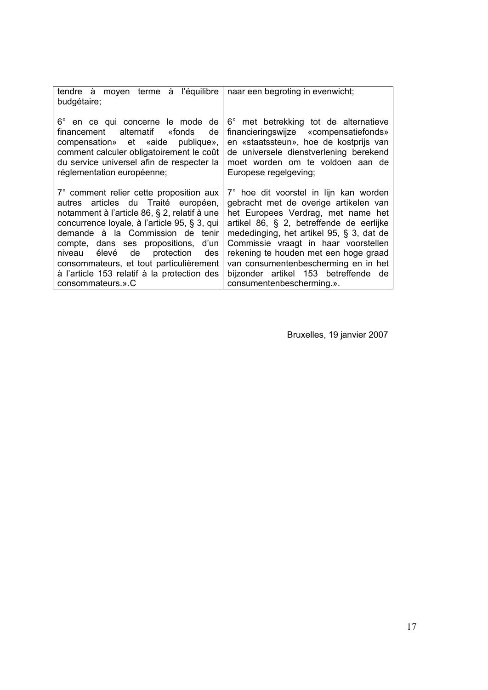| tendre à moyen terme à l'équilibre<br>budgétaire;                                                                                                                                                                                                                                                                                                                                                             | naar een begroting in evenwicht;                                                                                                                                                                                                                                                                                                                                                                            |
|---------------------------------------------------------------------------------------------------------------------------------------------------------------------------------------------------------------------------------------------------------------------------------------------------------------------------------------------------------------------------------------------------------------|-------------------------------------------------------------------------------------------------------------------------------------------------------------------------------------------------------------------------------------------------------------------------------------------------------------------------------------------------------------------------------------------------------------|
| 6° en ce qui concerne le mode de<br>financement alternatif «fonds<br>de<br>compensation» et «aide publique»,<br>comment calculer obligatoirement le coût<br>du service universel afin de respecter la<br>réglementation européenne;                                                                                                                                                                           | 6° met betrekking tot de alternatieve<br>financieringswijze «compensatiefonds»<br>en «staatssteun», hoe de kostprijs van<br>de universele dienstverlening berekend<br>moet worden om te voldoen aan de<br>Europese regelgeving;                                                                                                                                                                             |
| 7° comment relier cette proposition aux<br>autres articles du Traité européen,<br>notamment à l'article 86, § 2, relatif à une<br>concurrence loyale, à l'article 95, § 3, qui<br>demande à la Commission de tenir<br>compte, dans ses propositions, d'un<br>niveau élevé de protection<br>des<br>consommateurs, et tout particulièrement<br>à l'article 153 relatif à la protection des<br>consommateurs.».C | 7° hoe dit voorstel in lijn kan worden<br>gebracht met de overige artikelen van<br>het Europees Verdrag, met name het<br>artikel 86, § 2, betreffende de eerlijke<br>mededinging, het artikel 95, § 3, dat de<br>Commissie vraagt in haar voorstellen<br>rekening te houden met een hoge graad<br>van consumentenbescherming en in het<br>bijzonder artikel 153 betreffende de<br>consumentenbescherming.». |

Bruxelles, 19 janvier 2007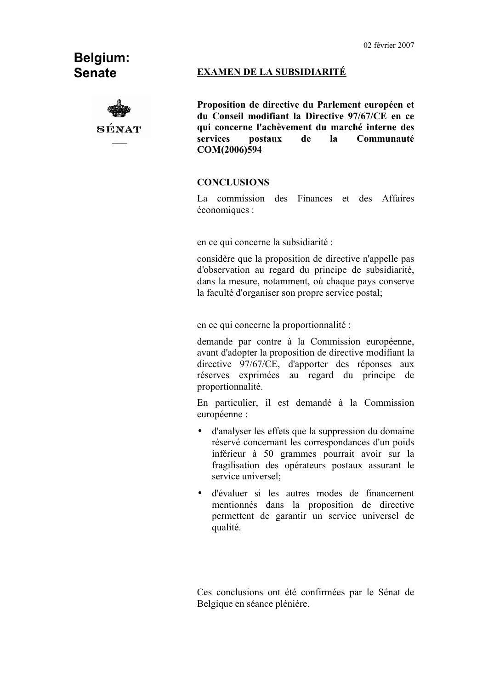## **Belgium: Senate**



#### **EXAMEN DE LA SUBSIDIARITÉ**

**Proposition de directive du Parlement européen et du Conseil modifiant la Directive 97/67/CE en ce qui concerne l'achèvement du marché interne des services postaux de la Communauté COM(2006)594**

#### **CONCLUSIONS**

La commission des Finances et des Affaires économiques :

en ce qui concerne la subsidiarité :

considère que la proposition de directive n'appelle pas d'observation au regard du principe de subsidiarité, dans la mesure, notamment, où chaque pays conserve la faculté d'organiser son propre service postal;

en ce qui concerne la proportionnalité :

demande par contre à la Commission européenne, avant d'adopter la proposition de directive modifiant la directive 97/67/CE, d'apporter des réponses aux réserves exprimées au regard du principe de proportionnalité.

En particulier, il est demandé à la Commission européenne :

- d'analyser les effets que la suppression du domaine réservé concernant les correspondances d'un poids inférieur à 50 grammes pourrait avoir sur la fragilisation des opérateurs postaux assurant le service universel;
- d'évaluer si les autres modes de financement mentionnés dans la proposition de directive permettent de garantir un service universel de qualité.

Ces conclusions ont été confirmées par le Sénat de Belgique en séance plénière.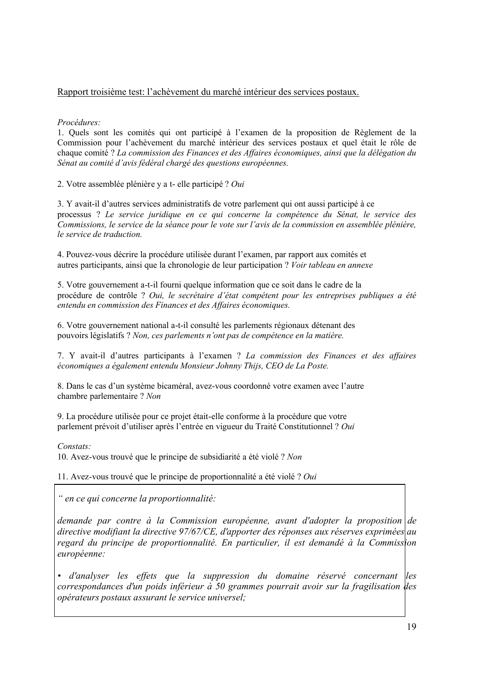#### Rapport troisième test: l'achèvement du marché intérieur des services postaux.

*Procédures:*

1. Quels sont les comités qui ont participé à l'examen de la proposition de Règlement de la Commission pour l'achèvement du marché intérieur des services postaux et quel était le rôle de chaque comité ? *La commission des Finances et des Affaires économiques, ainsi que la délégation du Sénat au comité d'avis fédéral chargé des questions européennes.*

2. Votre assemblée plénière y a t- elle participé ? *Oui*

3. Y avait-il d'autres services administratifs de votre parlement qui ont aussi participé à ce processus ? *Le service juridique en ce qui concerne la compétence du Sénat, le service des Commissions, le service de la séance pour le vote sur l'avis de la commission en assemblée plénière, le service de traduction.*

4. Pouvez-vous décrire la procédure utilisée durant l'examen, par rapport aux comités et autres participants, ainsi que la chronologie de leur participation ? *Voir tableau en annexe*

5. Votre gouvernement a-t-il fourni quelque information que ce soit dans le cadre de la procédure de contrôle ? *Oui, le secrétaire d'état compétent pour les entreprises publiques a été entendu en commission des Finances et des Affaires économiques.*

6. Votre gouvernement national a-t-il consulté les parlements régionaux détenant des pouvoirs législatifs ? *Non, ces parlements n'ont pas de compétence en la matière.*

7. Y avait-il d'autres participants à l'examen ? *La commission des Finances et des affaires économiques a également entendu Monsieur Johnny Thijs, CEO de La Poste.*

8. Dans le cas d'un système bicaméral, avez-vous coordonné votre examen avec l'autre chambre parlementaire ? *Non*

9. La procédure utilisée pour ce projet était-elle conforme à la procédure que votre parlement prévoit d'utiliser après l'entrée en vigueur du Traité Constitutionnel ? *Oui*

*Constats:*

10. Avez-vous trouvé que le principe de subsidiarité a été violé ? *Non*

11. Avez-vous trouvé que le principe de proportionnalité a été violé ? *Oui*

*" en ce qui concerne la proportionnalité:*

*demande par contre à la Commission européenne, avant d'adopter la proposition de directive modifiant la directive 97/67/CE, d'apporter des réponses aux réserves exprimées au regard du principe de proportionnalité. En particulier, il est demandé à la Commission européenne:*

*• d'analyser les effets que la suppression du domaine réservé concernant les correspondances d'un poids inférieur à 50 grammes pourrait avoir sur la fragilisation des opérateurs postaux assurant le service universel;*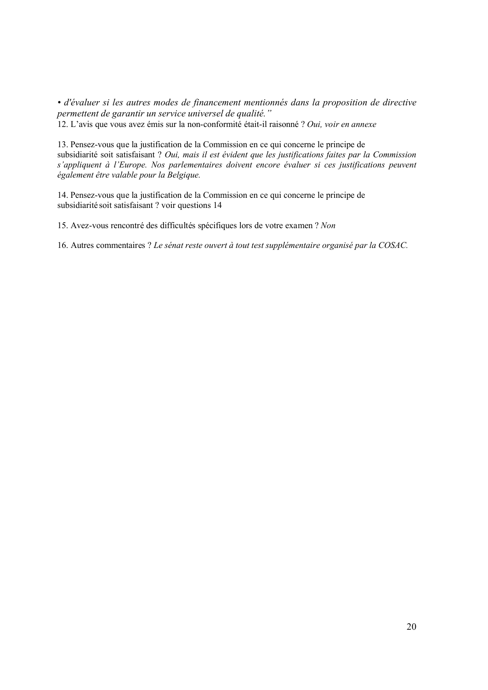*• d'évaluer si les autres modes de financement mentionnés dans la proposition de directive permettent de garantir un service universel de qualité."* 12. L'avis que vous avez émis sur la non-conformité était-il raisonné ? *Oui, voir en annexe*

13. Pensez-vous que la justification de la Commission en ce qui concerne le principe de subsidiarité soit satisfaisant ? *Oui, mais il est évident que les justifications faites par la Commission s'appliquent à l'Europe. Nos parlementaires doivent encore évaluer si ces justifications peuvent également être valable pour la Belgique.*

14. Pensez-vous que la justification de la Commission en ce qui concerne le principe de subsidiarité soit satisfaisant ? voir questions 14

15. Avez-vous rencontré des difficultés spécifiques lors de votre examen ? *Non*

16. Autres commentaires ? *Le sénat reste ouvert à tout test supplémentaire organisé par la COSAC.*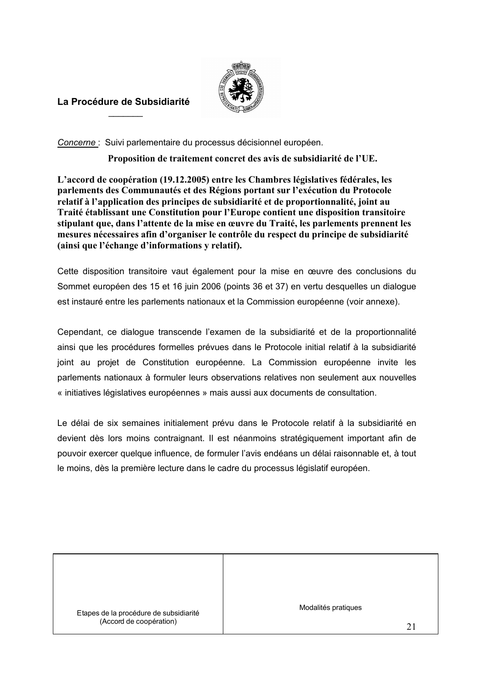

#### **La Procédure de Subsidiarité**  $\overline{\phantom{a}}$

*Concerne* : Suivi parlementaire du processus décisionnel européen.

**Proposition de traitement concret des avis de subsidiarité de l'UE.**

**L'accord de coopération (19.12.2005) entre les Chambres législatives fédérales, les parlements des Communautés et des Régions portant sur l'exécution du Protocole relatif à l'application des principes de subsidiarité et de proportionnalité, joint au Traité établissant une Constitution pour l'Europe contient une disposition transitoire stipulant que, dans l'attente de la mise en œuvre du Traité, les parlements prennent les mesures nécessaires afin d'organiser le contrôle du respect du principe de subsidiarité (ainsi que l'échange d'informations y relatif).**

Cette disposition transitoire vaut également pour la mise en œuvre des conclusions du Sommet européen des 15 et 16 juin 2006 (points 36 et 37) en vertu desquelles un dialogue est instauré entre les parlements nationaux et la Commission européenne (voir annexe).

Cependant, ce dialogue transcende l'examen de la subsidiarité et de la proportionnalité ainsi que les procédures formelles prévues dans le Protocole initial relatif à la subsidiarité joint au projet de Constitution européenne. La Commission européenne invite les parlements nationaux à formuler leurs observations relatives non seulement aux nouvelles « initiatives législatives européennes » mais aussi aux documents de consultation.

Le délai de six semaines initialement prévu dans le Protocole relatif à la subsidiarité en devient dès lors moins contraignant. Il est néanmoins stratégiquement important afin de pouvoir exercer quelque influence, de formuler l'avis endéans un délai raisonnable et, à tout le moins, dès la première lecture dans le cadre du processus législatif européen.

Etapes de la procédure de subsidiarité (Accord de coopération)

Modalités pratiques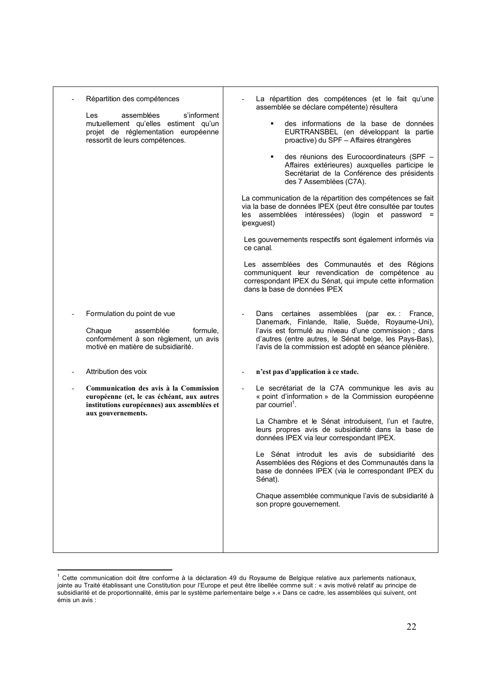| Répartition des compétences<br>assemblées<br>s'informent<br>Les<br>mutuellement qu'elles estiment qu'un<br>projet de réglementation européenne<br>ressortit de leurs compétences. | La répartition des compétences (et le fait qu'une<br>assemblée se déclare compétente) résultera<br>des informations de la base de données<br>٠<br>EURTRANSBEL (en développant la partie<br>proactive) du SPF - Affaires étrangères<br>des réunions des Eurocoordinateurs (SPF -<br>Affaires extérieures) auxquelles participe le<br>Secrétariat de la Conférence des présidents<br>des 7 Assemblées (C7A).<br>La communication de la répartition des compétences se fait<br>via la base de données IPEX (peut être consultée par toutes<br>les assemblées intéressées) (login et password =<br>ipexguest)<br>Les gouvernements respectifs sont également informés via<br>ce canal.<br>Les assemblées des Communautés et des Régions<br>communiquent leur revendication de compétence au<br>correspondant IPEX du Sénat, qui impute cette information<br>dans la base de données IPEX |
|-----------------------------------------------------------------------------------------------------------------------------------------------------------------------------------|--------------------------------------------------------------------------------------------------------------------------------------------------------------------------------------------------------------------------------------------------------------------------------------------------------------------------------------------------------------------------------------------------------------------------------------------------------------------------------------------------------------------------------------------------------------------------------------------------------------------------------------------------------------------------------------------------------------------------------------------------------------------------------------------------------------------------------------------------------------------------------------|
| Formulation du point de vue<br>formule,<br>Chaque<br>assemblée<br>conformément à son règlement, un avis<br>motivé en matière de subsidiarité.<br>Attribution des voix             | Dans<br>certaines<br>assemblées (par ex.: France,<br>Danemark, Finlande, Italie, Suède, Royaume-Uni),<br>l'avis est formulé au niveau d'une commission ; dans<br>d'autres (entre autres, le Sénat belge, les Pays-Bas),<br>l'avis de la commission est adopté en séance plénière.<br>n'est pas d'application à ce stade.                                                                                                                                                                                                                                                                                                                                                                                                                                                                                                                                                             |
| Communication des avis à la Commission<br>européenne (et, le cas échéant, aux autres<br>institutions européennes) aux assemblées et<br>aux gouvernements.                         | Le secrétariat de la C7A communique les avis au<br>« point d'information » de la Commission européenne<br>par courriel <sup>1</sup> .<br>La Chambre et le Sénat introduisent, l'un et l'autre,<br>leurs propres avis de subsidiarité dans la base de<br>données IPEX via leur correspondant IPEX.<br>Le Sénat introduit les avis de subsidiarité des<br>Assemblées des Régions et des Communautés dans la<br>base de données IPEX (via le correspondant IPEX du<br>Sénat).<br>Chaque assemblée communique l'avis de subsidiarité à<br>son propre gouvernement.                                                                                                                                                                                                                                                                                                                       |

 $1$  Cette communication doit être conforme à la déclaration 49 du Royaume de Belgique relative aux parlements nationaux, jointe au Traité établissant une Constitution pour l'Europe et peut être libellée comme suit : « avis motivé relatif au principe de subsidiarité et de proportionnalité, émis par le système parlementaire belge ».« Dans ce cadre, les assemblées qui suivent, ont émis un avis :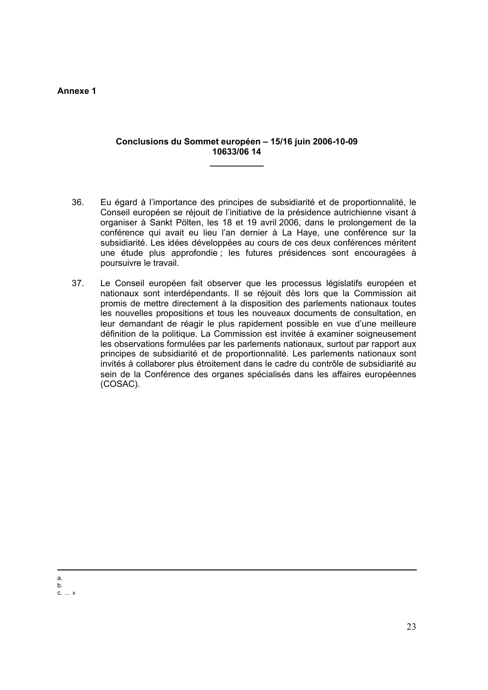#### **Annexe 1**

#### **Conclusions du Sommet européen – 15/16 juin 2006-10-09 10633/06 14**

**\_\_\_\_\_\_\_\_\_\_\_**

- 36. Eu égard à l'importance des principes de subsidiarité et de proportionnalité, le Conseil européen se réjouit de l'initiative de la présidence autrichienne visant à organiser à Sankt Pölten, les 18 et 19 avril 2006, dans le prolongement de la conférence qui avait eu lieu l'an dernier à La Haye, une conférence sur la subsidiarité. Les idées développées au cours de ces deux conférences méritent une étude plus approfondie ; les futures présidences sont encouragées à poursuivre le travail.
- 37. Le Conseil européen fait observer que les processus législatifs européen et nationaux sont interdépendants. Il se réjouit dès lors que la Commission ait promis de mettre directement à la disposition des parlements nationaux toutes les nouvelles propositions et tous les nouveaux documents de consultation, en leur demandant de réagir le plus rapidement possible en vue d'une meilleure définition de la politique. La Commission est invitée à examiner soigneusement les observations formulées par les parlements nationaux, surtout par rapport aux principes de subsidiarité et de proportionnalité. Les parlements nationaux sont invités à collaborer plus étroitement dans le cadre du contrôle de subsidiarité au sein de la Conférence des organes spécialisés dans les affaires européennes (COSAC).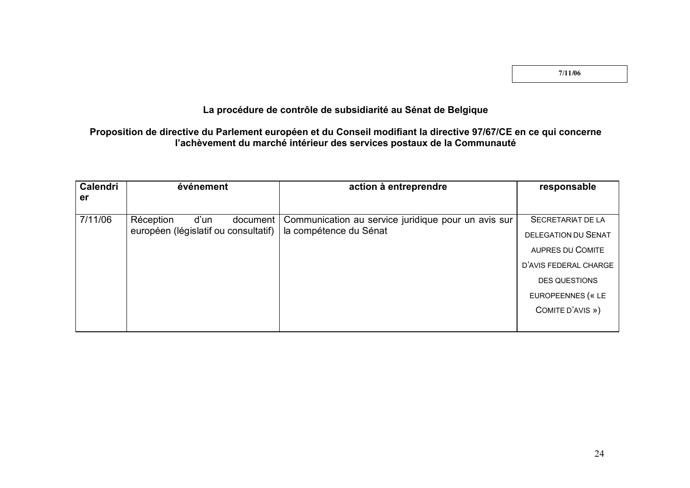**7/11/06**

#### **La procédure de contrôle de subsidiarité au Sénat de Belgique**

### **Proposition de directive du Parlement européen et du Conseil modifiant la directive 97/67/CE en ce qui concerne l'achèvement du marché intérieur des services postaux de la Communauté**

| <b>Calendri</b> | événement                                                      | action à entreprendre                               | responsable                |
|-----------------|----------------------------------------------------------------|-----------------------------------------------------|----------------------------|
| er              |                                                                |                                                     |                            |
| 7/11/06         | Réception<br>d'un<br>document                                  | Communication au service juridique pour un avis sur | SECRETARIAT DE LA          |
|                 | européen (législatif ou consultatif)<br>la compétence du Sénat |                                                     | <b>DELEGATION DU SENAT</b> |
|                 |                                                                |                                                     | <b>AUPRES DU COMITE</b>    |
|                 |                                                                |                                                     | D'AVIS FEDERAL CHARGE      |
|                 |                                                                |                                                     | <b>DES QUESTIONS</b>       |
|                 |                                                                |                                                     | EUROPEENNES (« LE          |
|                 |                                                                |                                                     | COMITE D'AVIS »)           |
|                 |                                                                |                                                     |                            |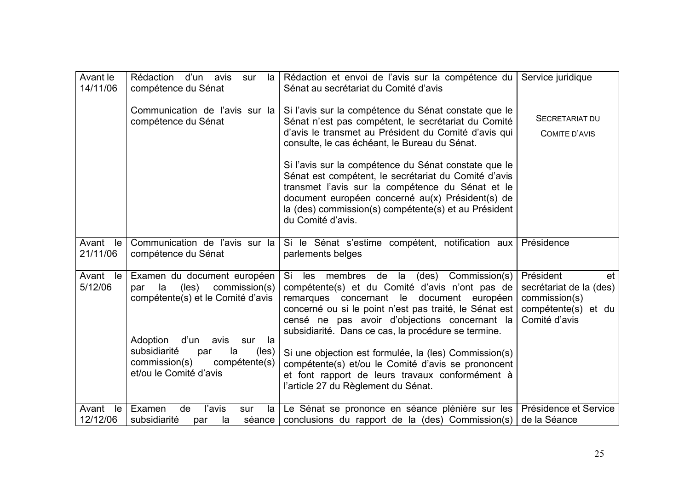| Avant le<br>14/11/06    | Rédaction d'un avis<br>sur<br>la l<br>compétence du Sénat                                                                                                                                                                                                         | Rédaction et envoi de l'avis sur la compétence du<br>Sénat au secrétariat du Comité d'avis                                                                                                                                                                                                                                                                                                                                                                                                                                     | Service juridique                                                                                   |
|-------------------------|-------------------------------------------------------------------------------------------------------------------------------------------------------------------------------------------------------------------------------------------------------------------|--------------------------------------------------------------------------------------------------------------------------------------------------------------------------------------------------------------------------------------------------------------------------------------------------------------------------------------------------------------------------------------------------------------------------------------------------------------------------------------------------------------------------------|-----------------------------------------------------------------------------------------------------|
|                         | Communication de l'avis sur la<br>compétence du Sénat                                                                                                                                                                                                             | Si l'avis sur la compétence du Sénat constate que le<br>Sénat n'est pas compétent, le secrétariat du Comité<br>d'avis le transmet au Président du Comité d'avis qui<br>consulte, le cas échéant, le Bureau du Sénat.                                                                                                                                                                                                                                                                                                           | SECRETARIAT DU<br>COMITE D'AVIS                                                                     |
|                         |                                                                                                                                                                                                                                                                   | Si l'avis sur la compétence du Sénat constate que le<br>Sénat est compétent, le secrétariat du Comité d'avis<br>transmet l'avis sur la compétence du Sénat et le<br>document européen concerné au(x) Président(s) de<br>la (des) commission(s) compétente(s) et au Président<br>du Comité d'avis.                                                                                                                                                                                                                              |                                                                                                     |
| Avant<br>le<br>21/11/06 | Communication de l'avis sur la<br>compétence du Sénat                                                                                                                                                                                                             | Si le Sénat s'estime compétent, notification aux<br>parlements belges                                                                                                                                                                                                                                                                                                                                                                                                                                                          | Présidence                                                                                          |
| Avant le<br>5/12/06     | Examen du document européen<br>la<br>$($ les $)$<br>commission(s)<br>par<br>compétente(s) et le Comité d'avis<br>Adoption<br>d'un<br>avis<br>sur<br>la<br>subsidiarité<br>la<br>$(\text{les})$<br>par<br>commission(s)<br>compétente(s)<br>et/ou le Comité d'avis | Commission(s)<br>Si<br>les membres de<br>la<br>(des)<br>compétente(s) et du Comité d'avis n'ont pas de<br>remarques concernant le document européen<br>concerné ou si le point n'est pas traité, le Sénat est<br>censé ne pas avoir d'objections concernant la<br>subsidiarité. Dans ce cas, la procédure se termine.<br>Si une objection est formulée, la (les) Commission(s)<br>compétente(s) et/ou le Comité d'avis se prononcent<br>et font rapport de leurs travaux conformément à<br>l'article 27 du Règlement du Sénat. | Président<br>et<br>secrétariat de la (des)<br>commission(s)<br>compétente(s) et du<br>Comité d'avis |
| Avant<br>le<br>12/12/06 | l'avis<br>Examen<br>de<br>la<br>sur<br>subsidiarité<br>séance<br>la<br>par                                                                                                                                                                                        | Le Sénat se prononce en séance plénière sur les<br>conclusions du rapport de la (des) Commission(s)                                                                                                                                                                                                                                                                                                                                                                                                                            | Présidence et Service<br>de la Séance                                                               |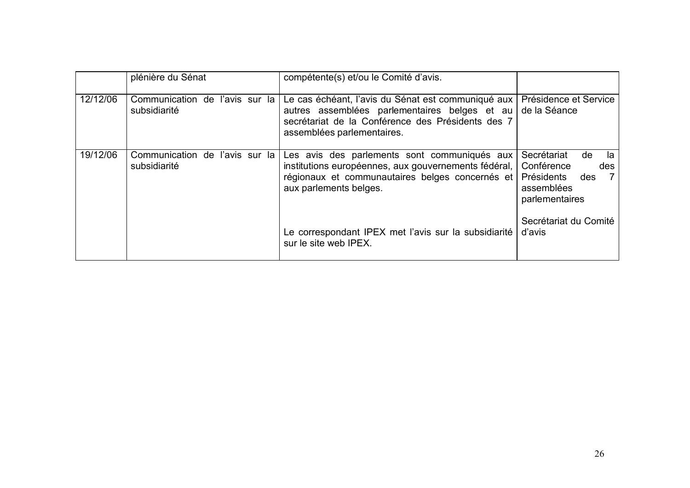|          | plénière du Sénat                              | compétente(s) et/ou le Comité d'avis.                                                                                                                                                  |                                                                                                            |
|----------|------------------------------------------------|----------------------------------------------------------------------------------------------------------------------------------------------------------------------------------------|------------------------------------------------------------------------------------------------------------|
| 12/12/06 | Communication de l'avis sur la<br>subsidiarité | Le cas échéant, l'avis du Sénat est communiqué aux<br>autres assemblées parlementaires belges et au<br>secrétariat de la Conférence des Présidents des 7<br>assemblées parlementaires. | Présidence et Service<br>de la Séance                                                                      |
| 19/12/06 | Communication de l'avis sur la<br>subsidiarité | Les avis des parlements sont communiqués aux<br>institutions européennes, aux gouvernements fédéral,  <br>régionaux et communautaires belges concernés et<br>aux parlements belges.    | Secrétariat<br>de<br>la<br>Conférence<br>des<br>Présidents<br>des<br>- 7 I<br>assemblées<br>parlementaires |
|          |                                                | Le correspondant IPEX met l'avis sur la subsidiarité<br>sur le site web IPEX.                                                                                                          | Secrétariat du Comité<br>d'avis                                                                            |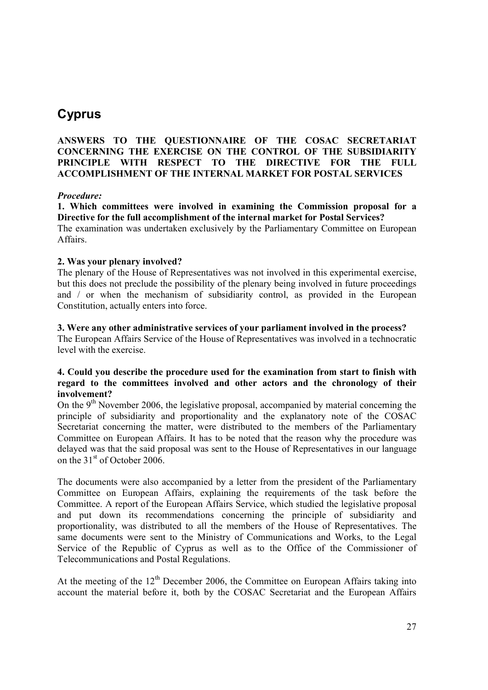## **Cyprus**

#### **ANSWERS TO THE QUESTIONNAIRE OF THE COSAC SECRETARIAT CONCERNING THE EXERCISE ON THE CONTROL OF THE SUBSIDIARITY PRINCIPLE WITH RESPECT TO THE DIRECTIVE FOR THE FULL ACCOMPLISHMENT OF THE INTERNAL MARKET FOR POSTAL SERVICES**

#### *Procedure:*

**1. Which committees were involved in examining the Commission proposal for a Directive for the full accomplishment of the internal market for Postal Services?** The examination was undertaken exclusively by the Parliamentary Committee on European Affairs.

#### **2. Was your plenary involved?**

The plenary of the House of Representatives was not involved in this experimental exercise, but this does not preclude the possibility of the plenary being involved in future proceedings and / or when the mechanism of subsidiarity control, as provided in the European Constitution, actually enters into force.

#### **3. Were any other administrative services of your parliament involved in the process?**

The European Affairs Service of the House of Representatives was involved in a technocratic level with the exercise.

#### **4. Could you describe the procedure used for the examination from start to finish with regard to the committees involved and other actors and the chronology of their involvement?**

On the  $9<sup>th</sup>$  November 2006, the legislative proposal, accompanied by material concerning the principle of subsidiarity and proportionality and the explanatory note of the COSAC Secretariat concerning the matter, were distributed to the members of the Parliamentary Committee on European Affairs. It has to be noted that the reason why the procedure was delayed was that the said proposal was sent to the House of Representatives in our language on the  $31<sup>st</sup>$  of October 2006.

The documents were also accompanied by a letter from the president of the Parliamentary Committee on European Affairs, explaining the requirements of the task before the Committee. A report of the European Affairs Service, which studied the legislative proposal and put down its recommendations concerning the principle of subsidiarity and proportionality, was distributed to all the members of the House of Representatives. The same documents were sent to the Ministry of Communications and Works, to the Legal Service of the Republic of Cyprus as well as to the Office of the Commissioner of Telecommunications and Postal Regulations.

At the meeting of the  $12<sup>th</sup>$  December 2006, the Committee on European Affairs taking into account the material before it, both by the COSAC Secretariat and the European Affairs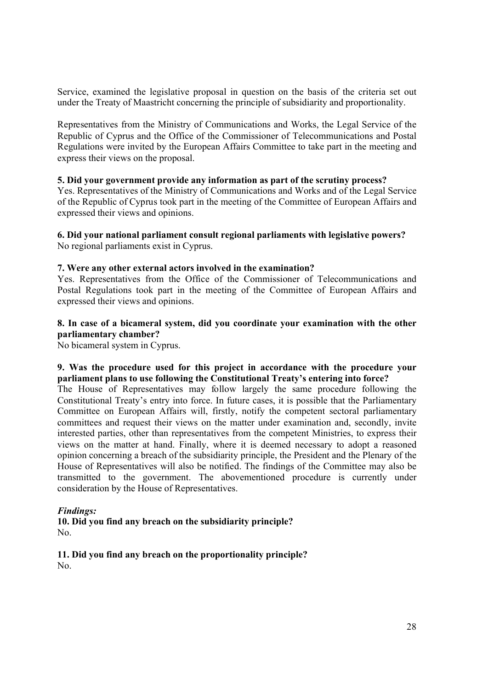Service, examined the legislative proposal in question on the basis of the criteria set out under the Treaty of Maastricht concerning the principle of subsidiarity and proportionality.

Representatives from the Ministry of Communications and Works, the Legal Service of the Republic of Cyprus and the Office of the Commissioner of Telecommunications and Postal Regulations were invited by the European Affairs Committee to take part in the meeting and express their views on the proposal.

#### **5. Did your government provide any information as part of the scrutiny process?**

Yes. Representatives of the Ministry of Communications and Works and of the Legal Service of the Republic of Cyprus took part in the meeting of the Committee of European Affairs and expressed their views and opinions.

#### **6. Did your national parliament consult regional parliaments with legislative powers?** No regional parliaments exist in Cyprus.

#### **7. Were any other external actors involved in the examination?**

Yes. Representatives from the Office of the Commissioner of Telecommunications and Postal Regulations took part in the meeting of the Committee of European Affairs and expressed their views and opinions.

#### **8. In case of a bicameral system, did you coordinate your examination with the other parliamentary chamber?**

No bicameral system in Cyprus.

#### **9. Was the procedure used for this project in accordance with the procedure your parliament plans to use following the Constitutional Treaty's entering into force?**

The House of Representatives may follow largely the same procedure following the Constitutional Treaty's entry into force. In future cases, it is possible that the Parliamentary Committee on European Affairs will, firstly, notify the competent sectoral parliamentary committees and request their views on the matter under examination and, secondly, invite interested parties, other than representatives from the competent Ministries, to express their views on the matter at hand. Finally, where it is deemed necessary to adopt a reasoned opinion concerning a breach of the subsidiarity principle, the President and the Plenary of the House of Representatives will also be notified. The findings of the Committee may also be transmitted to the government. The abovementioned procedure is currently under consideration by the House of Representatives.

#### *Findings:*

**10. Did you find any breach on the subsidiarity principle?** No.

**11. Did you find any breach on the proportionality principle?** No.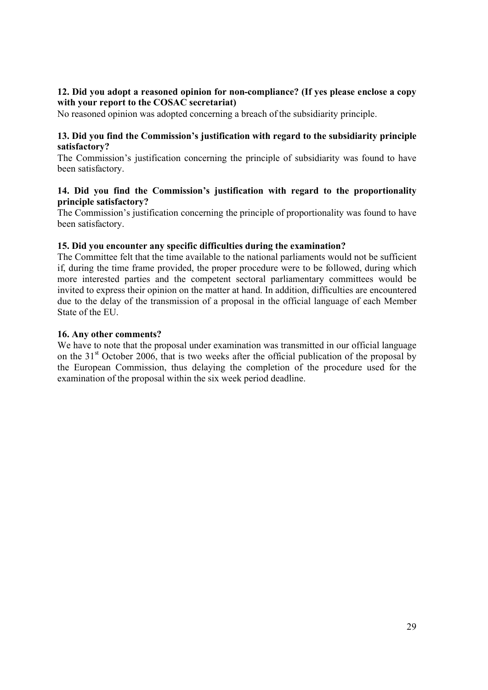#### **12. Did you adopt a reasoned opinion for non-compliance? (If yes please enclose a copy with your report to the COSAC secretariat)**

No reasoned opinion was adopted concerning a breach of the subsidiarity principle.

#### **13. Did you find the Commission's justification with regard to the subsidiarity principle satisfactory?**

The Commission's justification concerning the principle of subsidiarity was found to have been satisfactory.

#### **14. Did you find the Commission's justification with regard to the proportionality principle satisfactory?**

The Commission's justification concerning the principle of proportionality was found to have been satisfactory.

#### **15. Did you encounter any specific difficulties during the examination?**

The Committee felt that the time available to the national parliaments would not be sufficient if, during the time frame provided, the proper procedure were to be followed, during which more interested parties and the competent sectoral parliamentary committees would be invited to express their opinion on the matter at hand. In addition, difficulties are encountered due to the delay of the transmission of a proposal in the official language of each Member State of the EU.

#### **16. Any other comments?**

We have to note that the proposal under examination was transmitted in our official language on the  $31<sup>st</sup>$  October 2006, that is two weeks after the official publication of the proposal by the European Commission, thus delaying the completion of the procedure used for the examination of the proposal within the six week period deadline.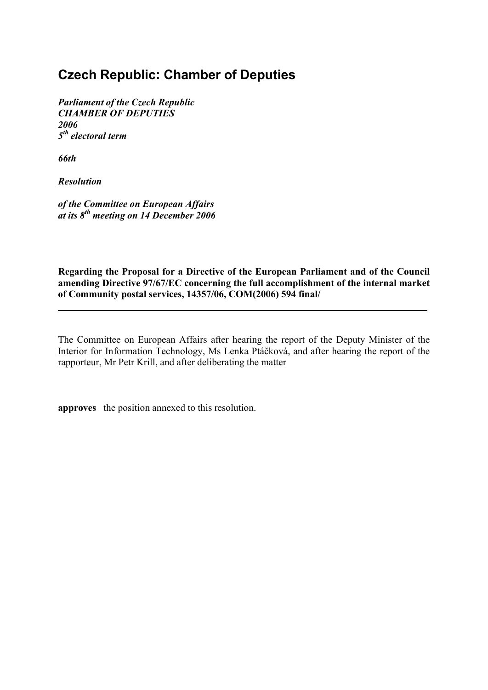## **Czech Republic: Chamber of Deputies**

*Parliament of the Czech Republic CHAMBER OF DEPUTIES 2006 5 th electoral term*

*66th*

*Resolution*

*of the Committee on European Affairs at its 8th meeting on 14 December 2006*

**Regarding the Proposal for a Directive of the European Parliament and of the Council amending Directive 97/67/EC concerning the full accomplishment of the internal market of Community postal services, 14357/06, COM(2006) 594 final/**

**\_\_\_\_\_\_\_\_\_\_\_\_\_\_\_\_\_\_\_\_\_\_\_\_\_\_\_\_\_\_\_\_\_\_\_\_\_\_\_\_\_\_\_\_\_\_\_\_\_\_\_\_\_\_\_\_\_\_\_\_\_\_\_\_\_\_\_\_\_\_\_\_\_\_\_**

The Committee on European Affairs after hearing the report of the Deputy Minister of the Interior for Information Technology, Ms Lenka Ptáčková, and after hearing the report of the rapporteur, Mr Petr Krill, and after deliberating the matter

**approves** the position annexed to this resolution.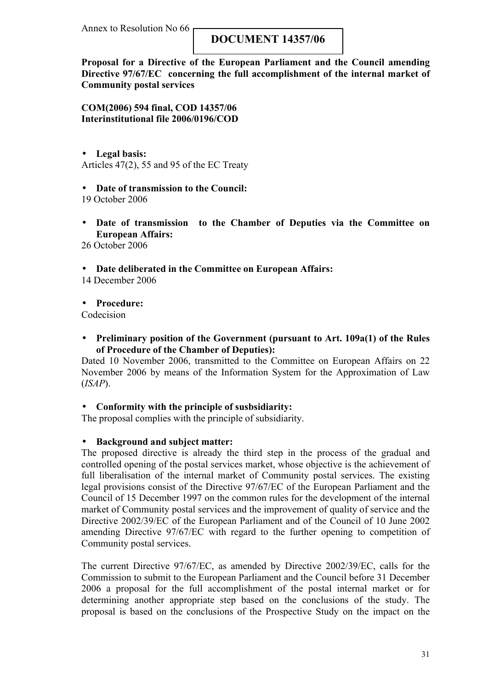Annex to Resolution No 66

### **DOCUMENT 14357/06**

**Proposal for a Directive of the European Parliament and the Council amending Directive 97/67/EC concerning the full accomplishment of the internal market of Community postal services**

**COM(2006) 594 final, COD 14357/06 Interinstitutional file 2006/0196/COD**

• **Legal basis:** Articles 47(2), 55 and 95 of the EC Treaty

#### • **Date of transmission to the Council:**

19 October 2006

• **Date of transmission to the Chamber of Deputies via the Committee on European Affairs:**

26 October 2006

• **Date deliberated in the Committee on European Affairs:**

14 December 2006

• **Procedure:**

Codecision

• **Preliminary position of the Government (pursuant to Art. 109a(1) of the Rules of Procedure of the Chamber of Deputies):**

Dated 10 November 2006, transmitted to the Committee on European Affairs on 22 November 2006 by means of the Information System for the Approximation of Law (*ISAP*).

#### • **Conformity with the principle of susbsidiarity:**

The proposal complies with the principle of subsidiarity.

#### • **Background and subject matter:**

The proposed directive is already the third step in the process of the gradual and controlled opening of the postal services market, whose objective is the achievement of full liberalisation of the internal market of Community postal services. The existing legal provisions consist of the Directive 97/67/EC of the European Parliament and the Council of 15 December 1997 on the common rules for the development of the internal market of Community postal services and the improvement of quality of service and the Directive 2002/39/EC of the European Parliament and of the Council of 10 June 2002 amending Directive 97/67/EC with regard to the further opening to competition of Community postal services.

The current Directive 97/67/EC, as amended by Directive 2002/39/EC, calls for the Commission to submit to the European Parliament and the Council before 31 December 2006 a proposal for the full accomplishment of the postal internal market or for determining another appropriate step based on the conclusions of the study. The proposal is based on the conclusions of the Prospective Study on the impact on the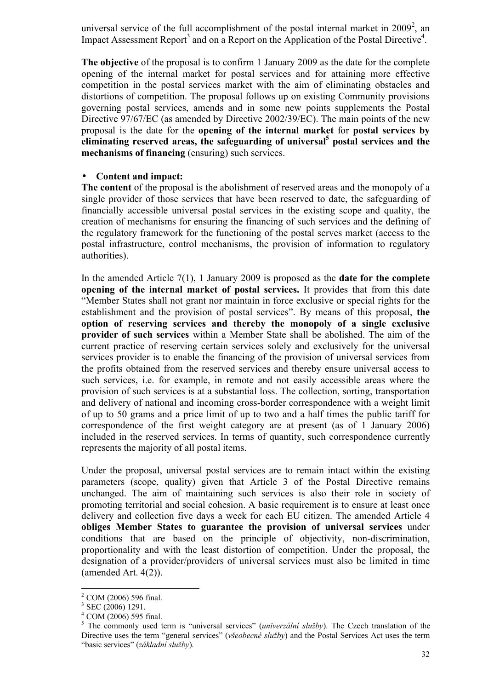universal service of the full accomplishment of the postal internal market in  $2009^2$ , an Impact Assessment Report<sup>3</sup> and on a Report on the Application of the Postal Directive<sup>4</sup>.

**The objective** of the proposal is to confirm 1 January 2009 as the date for the complete opening of the internal market for postal services and for attaining more effective competition in the postal services market with the aim of eliminating obstacles and distortions of competition. The proposal follows up on existing Community provisions governing postal services, amends and in some new points supplements the Postal Directive 97/67/EC (as amended by Directive 2002/39/EC). The main points of the new proposal is the date for the **opening of the internal market** for **postal services by eliminating reserved areas, the safeguarding of universal<sup>5</sup> postal services and the mechanisms of financing** (ensuring) such services.

#### • **Content and impact:**

**The content** of the proposal is the abolishment of reserved areas and the monopoly of a single provider of those services that have been reserved to date, the safeguarding of financially accessible universal postal services in the existing scope and quality, the creation of mechanisms for ensuring the financing of such services and the defining of the regulatory framework for the functioning of the postal serves market (access to the postal infrastructure, control mechanisms, the provision of information to regulatory authorities).

In the amended Article 7(1), 1 January 2009 is proposed as the **date for the complete opening of the internal market of postal services.** It provides that from this date "Member States shall not grant nor maintain in force exclusive or special rights for the establishment and the provision of postal services". By means of this proposal, **the option of reserving services and thereby the monopoly of a single exclusive provider of such services** within a Member State shall be abolished. The aim of the current practice of reserving certain services solely and exclusively for the universal services provider is to enable the financing of the provision of universal services from the profits obtained from the reserved services and thereby ensure universal access to such services, i.e. for example, in remote and not easily accessible areas where the provision of such services is at a substantial loss. The collection, sorting, transportation and delivery of national and incoming cross-border correspondence with a weight limit of up to 50 grams and a price limit of up to two and a half times the public tariff for correspondence of the first weight category are at present (as of 1 January 2006) included in the reserved services. In terms of quantity, such correspondence currently represents the majority of all postal items.

Under the proposal, universal postal services are to remain intact within the existing parameters (scope, quality) given that Article 3 of the Postal Directive remains unchanged. The aim of maintaining such services is also their role in society of promoting territorial and social cohesion. A basic requirement is to ensure at least once delivery and collection five days a week for each EU citizen. The amended Article 4 **obliges Member States to guarantee the provision of universal services** under conditions that are based on the principle of objectivity, non-discrimination, proportionality and with the least distortion of competition. Under the proposal, the designation of a provider/providers of universal services must also be limited in time (amended Art. 4(2)).

<sup>2</sup> COM (2006) 596 final.

<sup>&</sup>lt;sup>3</sup> SEC (2006) 1291.

 $4$  COM (2006) 595 final.

<sup>5</sup> The commonly used term is "universal services" (*univerzální služby*). The Czech translation of the Directive uses the term "general services" (*všeobecné služby*) and the Postal Services Act uses the term "basic services" (*základní služby*).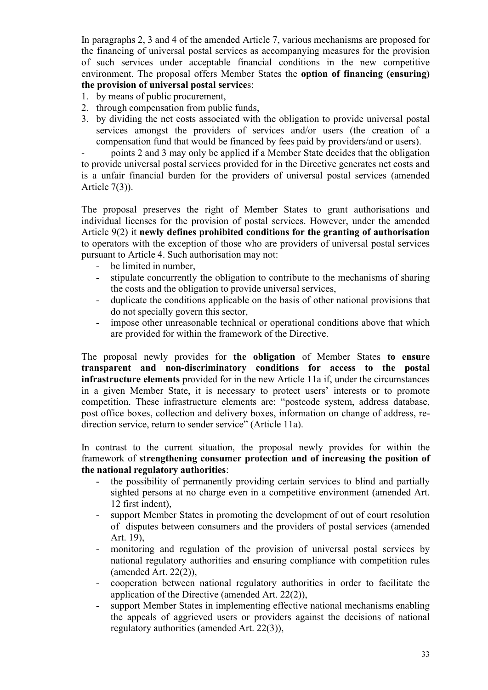In paragraphs 2, 3 and 4 of the amended Article 7, various mechanisms are proposed for the financing of universal postal services as accompanying measures for the provision of such services under acceptable financial conditions in the new competitive environment. The proposal offers Member States the **option of financing (ensuring) the provision of universal postal service**s:

- 1. by means of public procurement,
- 2. through compensation from public funds,
- 3. by dividing the net costs associated with the obligation to provide universal postal services amongst the providers of services and/or users (the creation of a compensation fund that would be financed by fees paid by providers/and or users).

- points 2 and 3 may only be applied if a Member State decides that the obligation to provide universal postal services provided for in the Directive generates net costs and is a unfair financial burden for the providers of universal postal services (amended Article  $7(3)$ ).

The proposal preserves the right of Member States to grant authorisations and individual licenses for the provision of postal services. However, under the amended Article 9(2) it **newly defines prohibited conditions for the granting of authorisation** to operators with the exception of those who are providers of universal postal services pursuant to Article 4. Such authorisation may not:

- be limited in number,
- stipulate concurrently the obligation to contribute to the mechanisms of sharing the costs and the obligation to provide universal services,
- duplicate the conditions applicable on the basis of other national provisions that do not specially govern this sector,
- impose other unreasonable technical or operational conditions above that which are provided for within the framework of the Directive.

The proposal newly provides for **the obligation** of Member States **to ensure transparent and non-discriminatory conditions for access to the postal infrastructure elements** provided for in the new Article 11a if, under the circumstances in a given Member State, it is necessary to protect users' interests or to promote competition. These infrastructure elements are: "postcode system, address database, post office boxes, collection and delivery boxes, information on change of address, redirection service, return to sender service" (Article 11a).

In contrast to the current situation, the proposal newly provides for within the framework of **strengthening consumer protection and of increasing the position of the national regulatory authorities**:

- the possibility of permanently providing certain services to blind and partially sighted persons at no charge even in a competitive environment (amended Art. 12 first indent),
- support Member States in promoting the development of out of court resolution of disputes between consumers and the providers of postal services (amended Art. 19),
- monitoring and regulation of the provision of universal postal services by national regulatory authorities and ensuring compliance with competition rules (amended Art. 22(2)),
- cooperation between national regulatory authorities in order to facilitate the application of the Directive (amended Art. 22(2)),
- support Member States in implementing effective national mechanisms enabling the appeals of aggrieved users or providers against the decisions of national regulatory authorities (amended Art. 22(3)),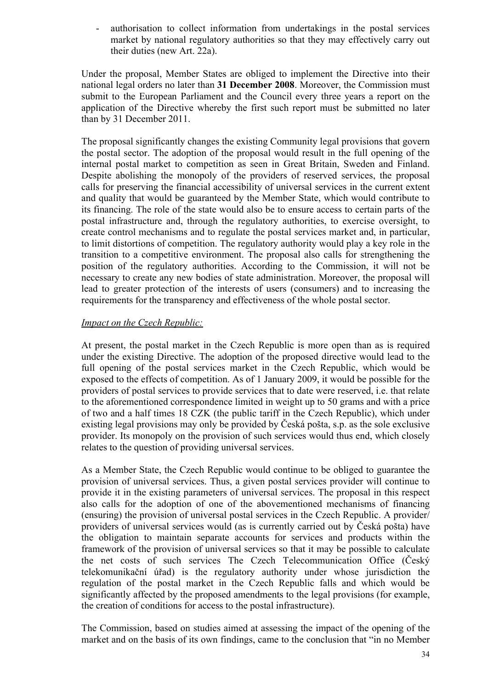- authorisation to collect information from undertakings in the postal services market by national regulatory authorities so that they may effectively carry out their duties (new Art. 22a).

Under the proposal, Member States are obliged to implement the Directive into their national legal orders no later than **31 December 2008**. Moreover, the Commission must submit to the European Parliament and the Council every three years a report on the application of the Directive whereby the first such report must be submitted no later than by 31 December 2011.

The proposal significantly changes the existing Community legal provisions that govern the postal sector. The adoption of the proposal would result in the full opening of the internal postal market to competition as seen in Great Britain, Sweden and Finland. Despite abolishing the monopoly of the providers of reserved services, the proposal calls for preserving the financial accessibility of universal services in the current extent and quality that would be guaranteed by the Member State, which would contribute to its financing. The role of the state would also be to ensure access to certain parts of the postal infrastructure and, through the regulatory authorities, to exercise oversight, to create control mechanisms and to regulate the postal services market and, in particular, to limit distortions of competition. The regulatory authority would play a key role in the transition to a competitive environment. The proposal also calls for strengthening the position of the regulatory authorities. According to the Commission, it will not be necessary to create any new bodies of state administration. Moreover, the proposal will lead to greater protection of the interests of users (consumers) and to increasing the requirements for the transparency and effectiveness of the whole postal sector.

#### *Impact on the Czech Republic:*

At present, the postal market in the Czech Republic is more open than as is required under the existing Directive. The adoption of the proposed directive would lead to the full opening of the postal services market in the Czech Republic, which would be exposed to the effects of competition. As of 1 January 2009, it would be possible for the providers of postal services to provide services that to date were reserved, i.e. that relate to the aforementioned correspondence limited in weight up to 50 grams and with a price of two and a half times 18 CZK (the public tariff in the Czech Republic), which under existing legal provisions may only be provided by Česká pošta, s.p. as the sole exclusive provider. Its monopoly on the provision of such services would thus end, which closely relates to the question of providing universal services.

As a Member State, the Czech Republic would continue to be obliged to guarantee the provision of universal services. Thus, a given postal services provider will continue to provide it in the existing parameters of universal services. The proposal in this respect also calls for the adoption of one of the abovementioned mechanisms of financing (ensuring) the provision of universal postal services in the Czech Republic. A provider/ providers of universal services would (as is currently carried out by Česká pošta) have the obligation to maintain separate accounts for services and products within the framework of the provision of universal services so that it may be possible to calculate the net costs of such services The Czech Telecommunication Office (Český telekomunikační úřad) is the regulatory authority under whose jurisdiction the regulation of the postal market in the Czech Republic falls and which would be significantly affected by the proposed amendments to the legal provisions (for example, the creation of conditions for access to the postal infrastructure).

The Commission, based on studies aimed at assessing the impact of the opening of the market and on the basis of its own findings, came to the conclusion that "in no Member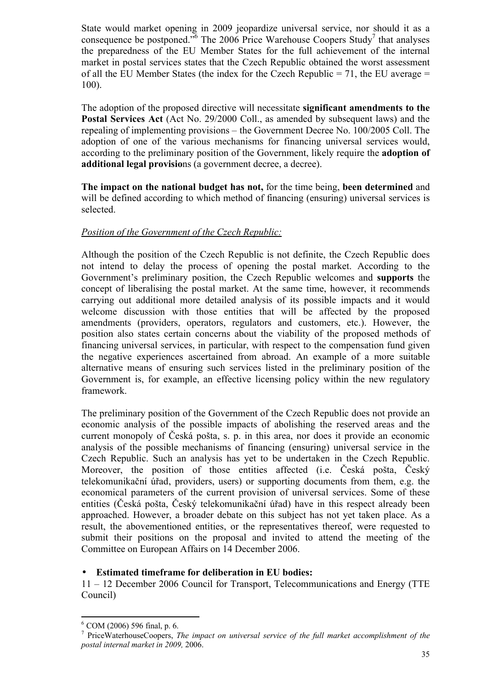State would market opening in 2009 jeopardize universal service, nor should it as a consequence be postponed.<sup>56</sup> The 2006 Price Warehouse Coopers Study<sup>7</sup> that analyses the preparedness of the EU Member States for the full achievement of the internal market in postal services states that the Czech Republic obtained the worst assessment of all the EU Member States (the index for the Czech Republic  $= 71$ , the EU average  $=$ 100).

The adoption of the proposed directive will necessitate **significant amendments to the Postal Services Act** (Act No. 29/2000 Coll., as amended by subsequent laws) and the repealing of implementing provisions – the Government Decree No. 100/2005 Coll. The adoption of one of the various mechanisms for financing universal services would, according to the preliminary position of the Government, likely require the **adoption of additional legal provisio**ns (a government decree, a decree).

**The impact on the national budget has not,** for the time being, **been determined** and will be defined according to which method of financing (ensuring) universal services is selected.

#### *Position of the Government of the Czech Republic:*

Although the position of the Czech Republic is not definite, the Czech Republic does not intend to delay the process of opening the postal market. According to the Government's preliminary position, the Czech Republic welcomes and **supports** the concept of liberalising the postal market. At the same time, however, it recommends carrying out additional more detailed analysis of its possible impacts and it would welcome discussion with those entities that will be affected by the proposed amendments (providers, operators, regulators and customers, etc.). However, the position also states certain concerns about the viability of the proposed methods of financing universal services, in particular, with respect to the compensation fund given the negative experiences ascertained from abroad. An example of a more suitable alternative means of ensuring such services listed in the preliminary position of the Government is, for example, an effective licensing policy within the new regulatory framework.

The preliminary position of the Government of the Czech Republic does not provide an economic analysis of the possible impacts of abolishing the reserved areas and the current monopoly of Česká pošta, s. p. in this area, nor does it provide an economic analysis of the possible mechanisms of financing (ensuring) universal service in the Czech Republic. Such an analysis has yet to be undertaken in the Czech Republic. Moreover, the position of those entities affected (i.e. Česká pošta, Český telekomunikační úřad, providers, users) or supporting documents from them, e.g. the economical parameters of the current provision of universal services. Some of these entities (Česká pošta, Český telekomunikační úřad) have in this respect already been approached. However, a broader debate on this subject has not yet taken place. As a result, the abovementioned entities, or the representatives thereof, were requested to submit their positions on the proposal and invited to attend the meeting of the Committee on European Affairs on 14 December 2006.

### • **Estimated timeframe for deliberation in EU bodies:**

11 – 12 December 2006 Council for Transport, Telecommunications and Energy (TTE Council)

 $6$  COM (2006) 596 final, p. 6.

<sup>7</sup> PriceWaterhouseCoopers, *The impact on universal service of the full market accomplishment of the postal internal market in 2009,* 2006.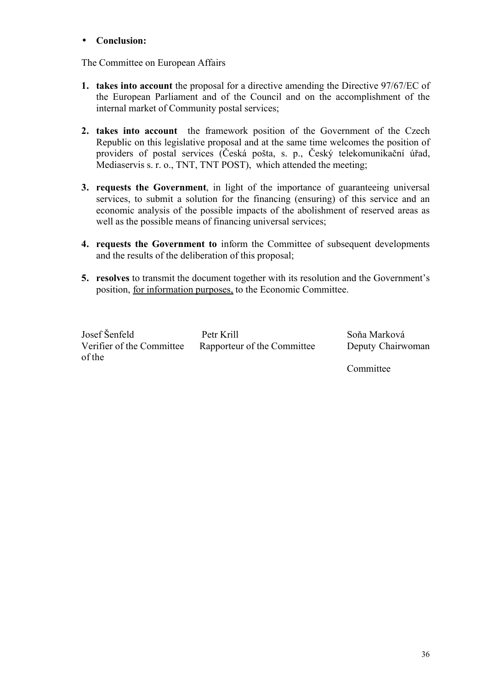#### • **Conclusion:**

The Committee on European Affairs

- **1. takes into account** the proposal for a directive amending the Directive 97/67/EC of the European Parliament and of the Council and on the accomplishment of the internal market of Community postal services;
- **2. takes into account** the framework position of the Government of the Czech Republic on this legislative proposal and at the same time welcomes the position of providers of postal services (Česká pošta, s. p., Český telekomunikační úřad, Mediaservis s. r. o., TNT, TNT POST), which attended the meeting;
- **3. requests the Government**, in light of the importance of guaranteeing universal services, to submit a solution for the financing (ensuring) of this service and an economic analysis of the possible impacts of the abolishment of reserved areas as well as the possible means of financing universal services;
- **4. requests the Government to** inform the Committee of subsequent developments and the results of the deliberation of this proposal;
- **5. resolves** to transmit the document together with its resolution and the Government's position, for information purposes, to the Economic Committee.

| Josef Šenfeld             | Petr Krill                  | Soňa Marková      |
|---------------------------|-----------------------------|-------------------|
| Verifier of the Committee | Rapporteur of the Committee | Deputy Chairwoman |
| of the                    |                             |                   |

**Committee**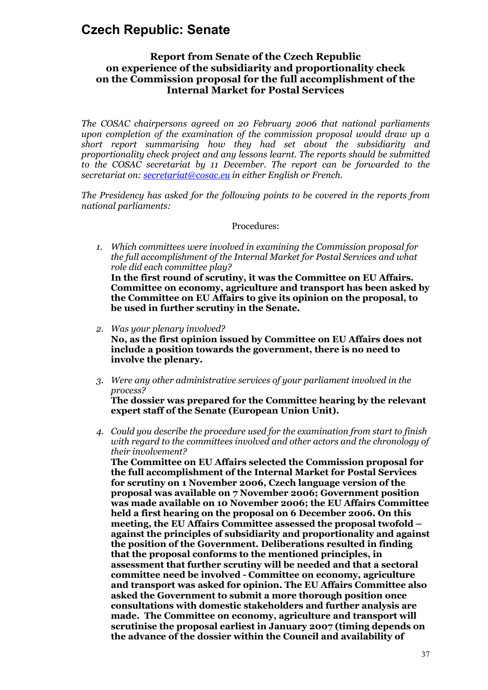# **Czech Republic: Senate**

## **Report from Senate of the Czech Republic on experience of the subsidiarity and proportionality check on the Commission proposal for the full accomplishment of the Internal Market for Postal Services**

*The COSAC chairpersons agreed on 20 February 2006 that national parliaments upon completion of the examination of the commission proposal would draw up a short report summarising how they had set about the subsidiarity and proportionality check project and any lessons learnt. The reports should be submitted to the COSAC secretariat by 11 December. The report can be forwarded to the secretariat on: secretariat@cosac.eu in either English or French.*

*The Presidency has asked for the following points to be covered in the reports from national parliaments:* 

#### Procedures:

- *1. Which committees were involved in examining the Commission proposal for the full accomplishment of the Internal Market for Postal Services and what role did each committee play?* **In the first round of scrutiny, it was the Committee on EU Affairs. Committee on economy, agriculture and transport has been asked by the Committee on EU Affairs to give its opinion on the proposal, to be used in further scrutiny in the Senate.**
- *2. Was your plenary involved?* **No, as the first opinion issued by Committee on EU Affairs does not include a position towards the government, there is no need to involve the plenary.**
- *3. Were any other administrative services of your parliament involved in the process?*

**The dossier was prepared for the Committee hearing by the relevant expert staff of the Senate (European Union Unit).**

*4. Could you describe the procedure used for the examination from start to finish with regard to the committees involved and other actors and the chronology of their involvement?*

**The Committee on EU Affairs selected the Commission proposal for the full accomplishment of the Internal Market for Postal Services for scrutiny on 1 November 2006, Czech language version of the proposal was available on 7 November 2006; Government position was made available on 10 November 2006; the EU Affairs Committee held a first hearing on the proposal on 6 December 2006. On this meeting, the EU Affairs Committee assessed the proposal twofold – against the principles of subsidiarity and proportionality and against the position of the Government. Deliberations resulted in finding that the proposal conforms to the mentioned principles, in assessment that further scrutiny will be needed and that a sectoral committee need be involved - Committee on economy, agriculture and transport was asked for opinion. The EU Affairs Committee also asked the Government to submit a more thorough position once consultations with domestic stakeholders and further analysis are made. The Committee on economy, agriculture and transport will scrutinise the proposal earliest in January 2007 (timing depends on the advance of the dossier within the Council and availability of**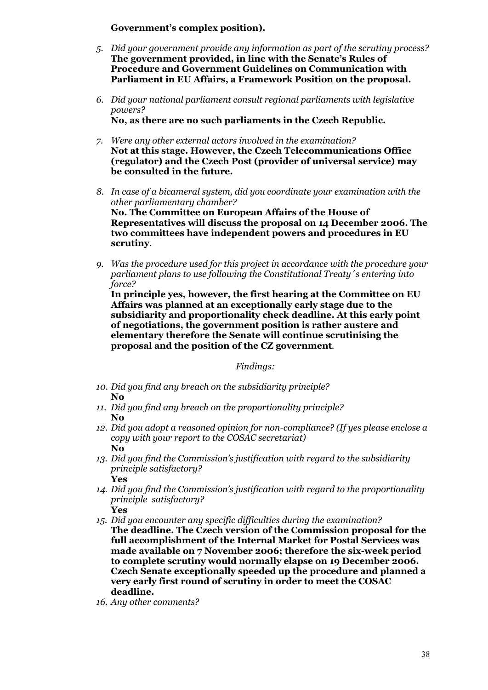#### **Government's complex position).**

- *5. Did your government provide any information as part of the scrutiny process?* **The government provided, in line with the Senate's Rules of Procedure and Government Guidelines on Communication with Parliament in EU Affairs, a Framework Position on the proposal.**
- *6. Did your national parliament consult regional parliaments with legislative powers?* **No, as there are no such parliaments in the Czech Republic.**
- *7. Were any other external actors involved in the examination?* **Not at this stage. However, the Czech Telecommunications Office (regulator) and the Czech Post (provider of universal service) may be consulted in the future.**
- *8. In case of a bicameral system, did you coordinate your examination with the other parliamentary chamber?* **No. The Committee on European Affairs of the House of Representatives will discuss the proposal on 14 December 2006. The two committees have independent powers and procedures in EU scrutiny***.*
- *9. Was the procedure used for this project in accordance with the procedure your parliament plans to use following the Constitutional Treaty´s entering into force?*

**In principle yes, however, the first hearing at the Committee on EU Affairs was planned at an exceptionally early stage due to the subsidiarity and proportionality check deadline. At this early point of negotiations, the government position is rather austere and elementary therefore the Senate will continue scrutinising the proposal and the position of the CZ government***.*

*Findings:*

- *10. Did you find any breach on the subsidiarity principle?* **No**
- *11. Did you find any breach on the proportionality principle?* **No**
- *12. Did you adopt a reasoned opinion for non-compliance? (If yes please enclose a copy with your report to the COSAC secretariat)* **No**
- *13. Did you find the Commission's justification with regard to the subsidiarity principle satisfactory?* **Yes**
- *14. Did you find the Commission's justification with regard to the proportionality principle satisfactory?* **Yes**

*15. Did you encounter any specific difficulties during the examination?*

- **The deadline. The Czech version of the Commission proposal for the full accomplishment of the Internal Market for Postal Services was made available on 7 November 2006; therefore the six-week period to complete scrutiny would normally elapse on 19 December 2006. Czech Senate exceptionally speeded up the procedure and planned a very early first round of scrutiny in order to meet the COSAC deadline.**
- *16. Any other comments?*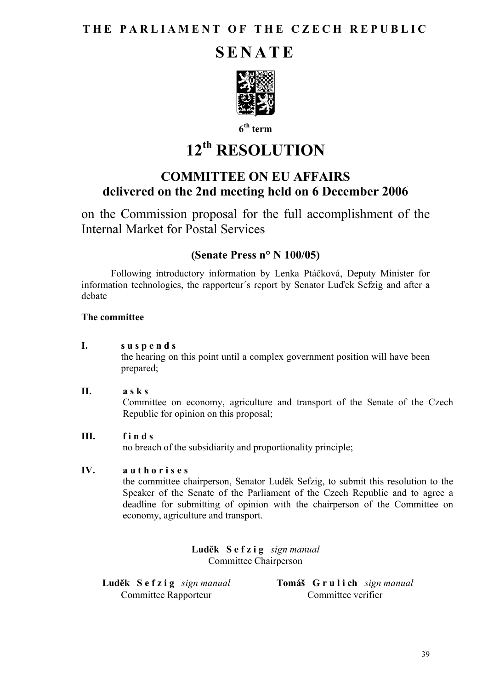# **SENATE**



**6 th term**

# **12th RESOLUTION**

# **COMMITTEE ON EU AFFAIRS delivered on the 2nd meeting held on 6 December 2006**

on the Commission proposal for the full accomplishment of the Internal Market for Postal Services

# **(Senate Press n° N 100/05)**

Following introductory information by Lenka Ptáčková, Deputy Minister for information technologies, the rapporteur´s report by Senator Luďek Sefzig and after a debate

# **The committee**

**I. s u s p e n d s** 

the hearing on this point until a complex government position will have been prepared;

## **II. a s k s**

Committee on economy, agriculture and transport of the Senate of the Czech Republic for opinion on this proposal;

# **III. f i n d s**

no breach of the subsidiarity and proportionality principle;

## **IV. a u t h o r i s e s**

the committee chairperson, Senator Luděk Sefzig, to submit this resolution to the Speaker of the Senate of the Parliament of the Czech Republic and to agree a deadline for submitting of opinion with the chairperson of the Committee on economy, agriculture and transport.

> **Luděk S e f z i g** *sign manual* Committee Chairperson

**Luděk S e f z i g** *sign manual* Committee Rapporteur

**Tomáš G r u l i ch** *sign manual* Committee verifier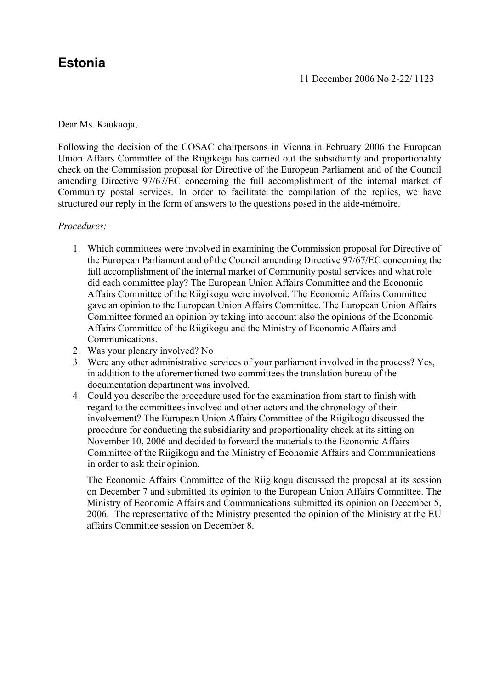# **Estonia**

## Dear Ms. Kaukaoja,

Following the decision of the COSAC chairpersons in Vienna in February 2006 the European Union Affairs Committee of the Riigikogu has carried out the subsidiarity and proportionality check on the Commission proposal for Directive of the European Parliament and of the Council amending Directive 97/67/EC concerning the full accomplishment of the internal market of Community postal services. In order to facilitate the compilation of the replies, we have structured our reply in the form of answers to the questions posed in the aide-mémoire.

## *Procedures:*

- 1. Which committees were involved in examining the Commission proposal for Directive of the European Parliament and of the Council amending Directive 97/67/EC concerning the full accomplishment of the internal market of Community postal services and what role did each committee play? The European Union Affairs Committee and the Economic Affairs Committee of the Riigikogu were involved. The Economic Affairs Committee gave an opinion to the European Union Affairs Committee. The European Union Affairs Committee formed an opinion by taking into account also the opinions of the Economic Affairs Committee of the Riigikogu and the Ministry of Economic Affairs and Communications.
- 2. Was your plenary involved? No
- 3. Were any other administrative services of your parliament involved in the process? Yes, in addition to the aforementioned two committees the translation bureau of the documentation department was involved.
- 4. Could you describe the procedure used for the examination from start to finish with regard to the committees involved and other actors and the chronology of their involvement? The European Union Affairs Committee of the Riigikogu discussed the procedure for conducting the subsidiarity and proportionality check at its sitting on November 10, 2006 and decided to forward the materials to the Economic Affairs Committee of the Riigikogu and the Ministry of Economic Affairs and Communications in order to ask their opinion.

The Economic Affairs Committee of the Riigikogu discussed the proposal at its session on December 7 and submitted its opinion to the European Union Affairs Committee. The Ministry of Economic Affairs and Communications submitted its opinion on December 5, 2006. The representative of the Ministry presented the opinion of the Ministry at the EU affairs Committee session on December 8.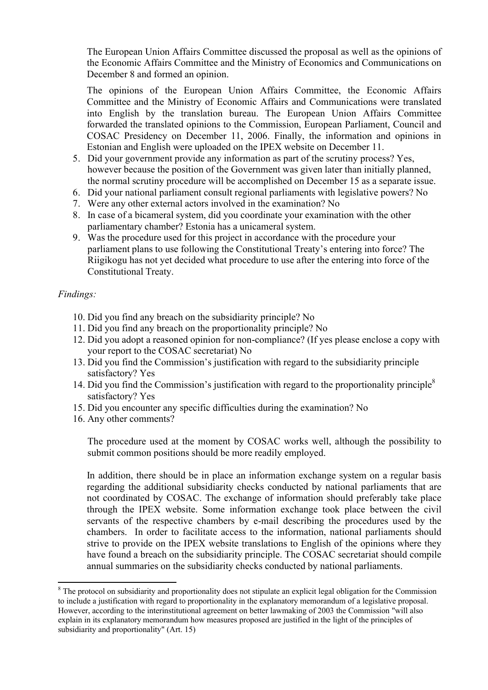The European Union Affairs Committee discussed the proposal as well as the opinions of the Economic Affairs Committee and the Ministry of Economics and Communications on December 8 and formed an opinion.

The opinions of the European Union Affairs Committee, the Economic Affairs Committee and the Ministry of Economic Affairs and Communications were translated into English by the translation bureau. The European Union Affairs Committee forwarded the translated opinions to the Commission, European Parliament, Council and COSAC Presidency on December 11, 2006. Finally, the information and opinions in Estonian and English were uploaded on the IPEX website on December 11.

- 5. Did your government provide any information as part of the scrutiny process? Yes, however because the position of the Government was given later than initially planned, the normal scrutiny procedure will be accomplished on December 15 as a separate issue.
- 6. Did your national parliament consult regional parliaments with legislative powers? No
- 7. Were any other external actors involved in the examination? No
- 8. In case of a bicameral system, did you coordinate your examination with the other parliamentary chamber? Estonia has a unicameral system.
- 9. Was the procedure used for this project in accordance with the procedure your parliament plans to use following the Constitutional Treaty's entering into force? The Riigikogu has not yet decided what procedure to use after the entering into force of the Constitutional Treaty.

## *Findings:*

- 10. Did you find any breach on the subsidiarity principle? No
- 11. Did you find any breach on the proportionality principle? No
- 12. Did you adopt a reasoned opinion for non-compliance? (If yes please enclose a copy with your report to the COSAC secretariat) No
- 13. Did you find the Commission's justification with regard to the subsidiarity principle satisfactory? Yes
- 14. Did you find the Commission's justification with regard to the proportionality principle<sup>8</sup> satisfactory? Yes
- 15. Did you encounter any specific difficulties during the examination? No
- 16. Any other comments?

The procedure used at the moment by COSAC works well, although the possibility to submit common positions should be more readily employed.

In addition, there should be in place an information exchange system on a regular basis regarding the additional subsidiarity checks conducted by national parliaments that are not coordinated by COSAC. The exchange of information should preferably take place through the IPEX website. Some information exchange took place between the civil servants of the respective chambers by e-mail describing the procedures used by the chambers. In order to facilitate access to the information, national parliaments should strive to provide on the IPEX website translations to English of the opinions where they have found a breach on the subsidiarity principle. The COSAC secretariat should compile annual summaries on the subsidiarity checks conducted by national parliaments.

<sup>&</sup>lt;sup>8</sup> The protocol on subsidiarity and proportionality does not stipulate an explicit legal obligation for the Commission to include a justification with regard to proportionality in the explanatory memorandum of a legislative proposal. However, according to the interinstitutional agreement on better lawmaking of 2003 the Commission "will also explain in its explanatory memorandum how measures proposed are justified in the light of the principles of subsidiarity and proportionality" (Art. 15)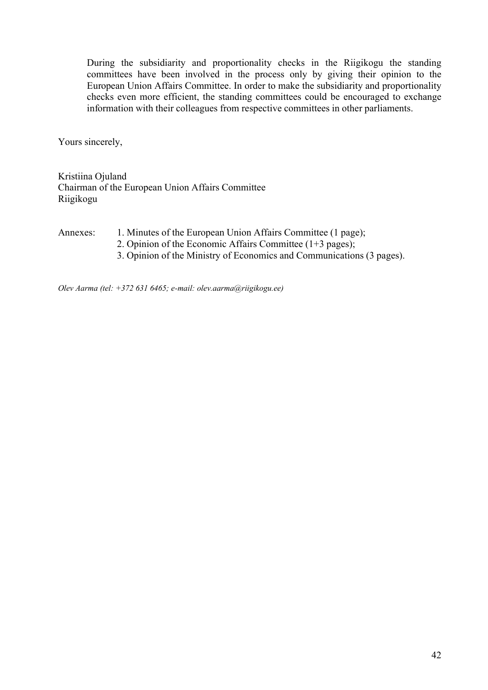During the subsidiarity and proportionality checks in the Riigikogu the standing committees have been involved in the process only by giving their opinion to the European Union Affairs Committee. In order to make the subsidiarity and proportionality checks even more efficient, the standing committees could be encouraged to exchange information with their colleagues from respective committees in other parliaments.

Yours sincerely,

Kristiina Ojuland Chairman of the European Union Affairs Committee Riigikogu

Annexes: 1. Minutes of the European Union Affairs Committee (1 page);

- 2. Opinion of the Economic Affairs Committee (1+3 pages);
- 3. Opinion of the Ministry of Economics and Communications (3 pages).

*Olev Aarma (tel: +372 631 6465; e-mail: olev.aarma@riigikogu.ee)*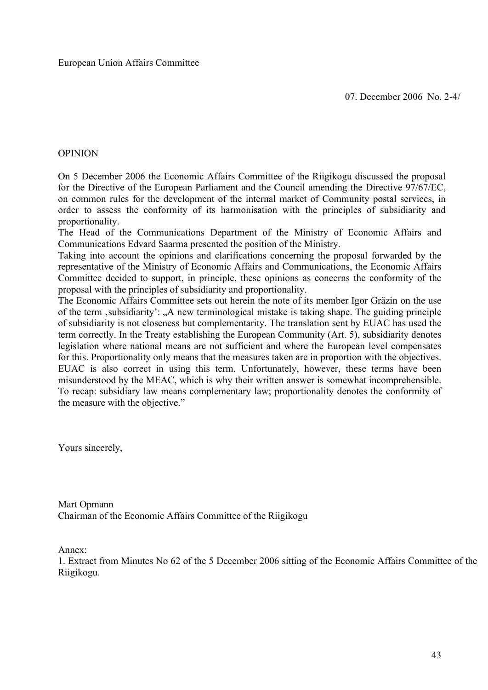## OPINION

On 5 December 2006 the Economic Affairs Committee of the Riigikogu discussed the proposal for the Directive of the European Parliament and the Council amending the Directive 97/67/EC, on common rules for the development of the internal market of Community postal services, in order to assess the conformity of its harmonisation with the principles of subsidiarity and proportionality.

The Head of the Communications Department of the Ministry of Economic Affairs and Communications Edvard Saarma presented the position of the Ministry.

Taking into account the opinions and clarifications concerning the proposal forwarded by the representative of the Ministry of Economic Affairs and Communications, the Economic Affairs Committee decided to support, in principle, these opinions as concerns the conformity of the proposal with the principles of subsidiarity and proportionality.

The Economic Affairs Committee sets out herein the note of its member Igor Gräzin on the use of the term , subsidiarity': "A new terminological mistake is taking shape. The guiding principle of subsidiarity is not closeness but complementarity. The translation sent by EUAC has used the term correctly. In the Treaty establishing the European Community (Art. 5), subsidiarity denotes legislation where national means are not sufficient and where the European level compensates for this. Proportionality only means that the measures taken are in proportion with the objectives. EUAC is also correct in using this term. Unfortunately, however, these terms have been misunderstood by the MEAC, which is why their written answer is somewhat incomprehensible. To recap: subsidiary law means complementary law; proportionality denotes the conformity of the measure with the objective."

Yours sincerely,

Mart Opmann Chairman of the Economic Affairs Committee of the Riigikogu

Annex:

1. Extract from Minutes No 62 of the 5 December 2006 sitting of the Economic Affairs Committee of the Riigikogu.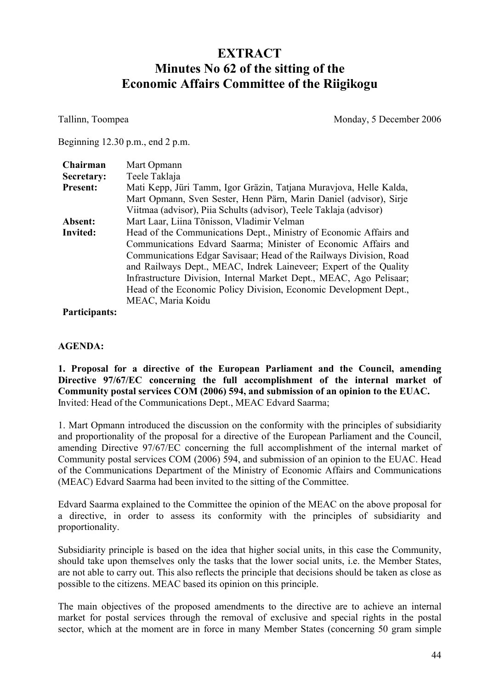# **EXTRACT Minutes No 62 of the sitting of the Economic Affairs Committee of the Riigikogu**

Tallinn, Toompea Monday, 5 December 2006

Beginning 12.30 p.m., end 2 p.m.

| Chairman        | Mart Opmann                                                         |
|-----------------|---------------------------------------------------------------------|
| Secretary:      | Teele Taklaja                                                       |
| <b>Present:</b> | Mati Kepp, Jüri Tamm, Igor Gräzin, Tatjana Muravjova, Helle Kalda,  |
|                 | Mart Opmann, Sven Sester, Henn Pärn, Marin Daniel (advisor), Sirje  |
|                 | Viitmaa (advisor), Piia Schults (advisor), Teele Taklaja (advisor)  |
| Absent:         | Mart Laar, Liina Tõnisson, Vladimir Velman                          |
| Invited:        | Head of the Communications Dept., Ministry of Economic Affairs and  |
|                 | Communications Edvard Saarma; Minister of Economic Affairs and      |
|                 | Communications Edgar Savisaar; Head of the Railways Division, Road  |
|                 | and Railways Dept., MEAC, Indrek Laineveer; Expert of the Quality   |
|                 | Infrastructure Division, Internal Market Dept., MEAC, Ago Pelisaar; |
|                 | Head of the Economic Policy Division, Economic Development Dept.,   |
|                 | MEAC, Maria Koidu                                                   |

**Participants:** 

## **AGENDA:**

**1. Proposal for a directive of the European Parliament and the Council, amending Directive 97/67/EC concerning the full accomplishment of the internal market of Community postal services COM (2006) 594, and submission of an opinion to the EUAC.** Invited: Head of the Communications Dept., MEAC Edvard Saarma;

1. Mart Opmann introduced the discussion on the conformity with the principles of subsidiarity and proportionality of the proposal for a directive of the European Parliament and the Council, amending Directive 97/67/EC concerning the full accomplishment of the internal market of Community postal services COM (2006) 594, and submission of an opinion to the EUAC. Head of the Communications Department of the Ministry of Economic Affairs and Communications (MEAC) Edvard Saarma had been invited to the sitting of the Committee.

Edvard Saarma explained to the Committee the opinion of the MEAC on the above proposal for a directive, in order to assess its conformity with the principles of subsidiarity and proportionality.

Subsidiarity principle is based on the idea that higher social units, in this case the Community, should take upon themselves only the tasks that the lower social units, i.e. the Member States, are not able to carry out. This also reflects the principle that decisions should be taken as close as possible to the citizens. MEAC based its opinion on this principle.

The main objectives of the proposed amendments to the directive are to achieve an internal market for postal services through the removal of exclusive and special rights in the postal sector, which at the moment are in force in many Member States (concerning 50 gram simple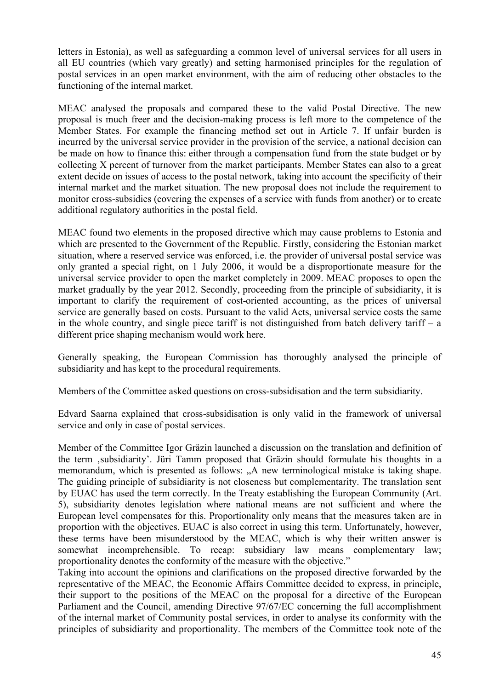letters in Estonia), as well as safeguarding a common level of universal services for all users in all EU countries (which vary greatly) and setting harmonised principles for the regulation of postal services in an open market environment, with the aim of reducing other obstacles to the functioning of the internal market.

MEAC analysed the proposals and compared these to the valid Postal Directive. The new proposal is much freer and the decision-making process is left more to the competence of the Member States. For example the financing method set out in Article 7. If unfair burden is incurred by the universal service provider in the provision of the service, a national decision can be made on how to finance this: either through a compensation fund from the state budget or by collecting X percent of turnover from the market participants. Member States can also to a great extent decide on issues of access to the postal network, taking into account the specificity of their internal market and the market situation. The new proposal does not include the requirement to monitor cross-subsidies (covering the expenses of a service with funds from another) or to create additional regulatory authorities in the postal field.

MEAC found two elements in the proposed directive which may cause problems to Estonia and which are presented to the Government of the Republic. Firstly, considering the Estonian market situation, where a reserved service was enforced, i.e. the provider of universal postal service was only granted a special right, on 1 July 2006, it would be a disproportionate measure for the universal service provider to open the market completely in 2009. MEAC proposes to open the market gradually by the year 2012. Secondly, proceeding from the principle of subsidiarity, it is important to clarify the requirement of cost-oriented accounting, as the prices of universal service are generally based on costs. Pursuant to the valid Acts, universal service costs the same in the whole country, and single piece tariff is not distinguished from batch delivery tariff – a different price shaping mechanism would work here.

Generally speaking, the European Commission has thoroughly analysed the principle of subsidiarity and has kept to the procedural requirements.

Members of the Committee asked questions on cross-subsidisation and the term subsidiarity.

Edvard Saarna explained that cross-subsidisation is only valid in the framework of universal service and only in case of postal services.

Member of the Committee Igor Gräzin launched a discussion on the translation and definition of the term 'subsidiarity'. Jüri Tamm proposed that Gräzin should formulate his thoughts in a memorandum, which is presented as follows: "A new terminological mistake is taking shape. The guiding principle of subsidiarity is not closeness but complementarity. The translation sent by EUAC has used the term correctly. In the Treaty establishing the European Community (Art. 5), subsidiarity denotes legislation where national means are not sufficient and where the European level compensates for this. Proportionality only means that the measures taken are in proportion with the objectives. EUAC is also correct in using this term. Unfortunately, however, these terms have been misunderstood by the MEAC, which is why their written answer is somewhat incomprehensible. To recap: subsidiary law means complementary law; proportionality denotes the conformity of the measure with the objective."

Taking into account the opinions and clarifications on the proposed directive forwarded by the representative of the MEAC, the Economic Affairs Committee decided to express, in principle, their support to the positions of the MEAC on the proposal for a directive of the European Parliament and the Council, amending Directive 97/67/EC concerning the full accomplishment of the internal market of Community postal services, in order to analyse its conformity with the principles of subsidiarity and proportionality. The members of the Committee took note of the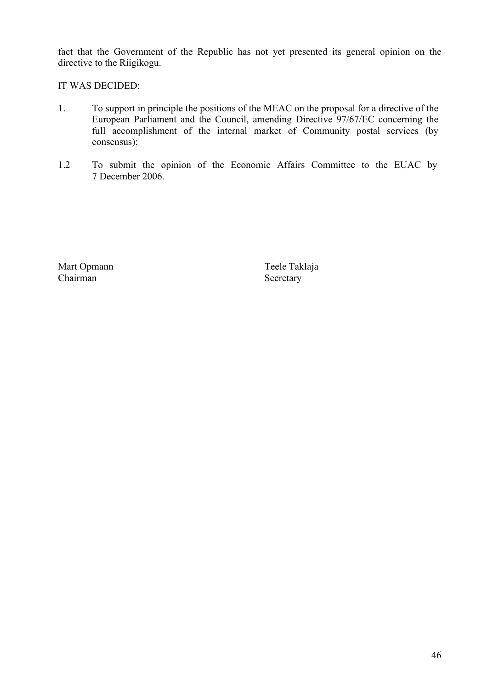fact that the Government of the Republic has not yet presented its general opinion on the directive to the Riigikogu.

IT WAS DECIDED:

- 1. To support in principle the positions of the MEAC on the proposal for a directive of the European Parliament and the Council, amending Directive 97/67/EC concerning the full accomplishment of the internal market of Community postal services (by consensus);
- 1.2 To submit the opinion of the Economic Affairs Committee to the EUAC by 7 December 2006.

Mart Opmann Teele Taklaja<br>Chairman Secretary

Secretary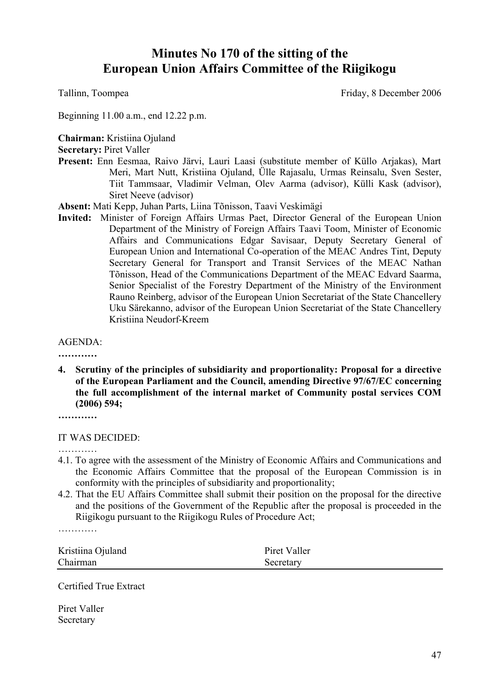# **Minutes No 170 of the sitting of the European Union Affairs Committee of the Riigikogu**

Tallinn, Toompea Friday, 8 December 2006

Beginning 11.00 a.m., end 12.22 p.m.

**Chairman:** Kristiina Ojuland

**Secretary:** Piret Valler

**Present:** Enn Eesmaa, Raivo Järvi, Lauri Laasi (substitute member of Küllo Arjakas), Mart Meri, Mart Nutt, Kristiina Ojuland, Ülle Rajasalu, Urmas Reinsalu, Sven Sester, Tiit Tammsaar, Vladimir Velman, Olev Aarma (advisor), Külli Kask (advisor), Siret Neeve (advisor)

**Absent:** Mati Kepp, Juhan Parts, Liina Tõnisson, Taavi Veskimägi

**Invited:** Minister of Foreign Affairs Urmas Paet, Director General of the European Union Department of the Ministry of Foreign Affairs Taavi Toom, Minister of Economic Affairs and Communications Edgar Savisaar, Deputy Secretary General of European Union and International Co-operation of the MEAC Andres Tint, Deputy Secretary General for Transport and Transit Services of the MEAC Nathan Tõnisson, Head of the Communications Department of the MEAC Edvard Saarma, Senior Specialist of the Forestry Department of the Ministry of the Environment Rauno Reinberg, advisor of the European Union Secretariat of the State Chancellery Uku Särekanno, advisor of the European Union Secretariat of the State Chancellery Kristiina Neudorf-Kreem

AGENDA:

**…………**

**4. Scrutiny of the principles of subsidiarity and proportionality: Proposal for a directive of the European Parliament and the Council, amending Directive 97/67/EC concerning the full accomplishment of the internal market of Community postal services COM (2006) 594;**

**…………**

#### IT WAS DECIDED:

- 4.1. To agree with the assessment of the Ministry of Economic Affairs and Communications and the Economic Affairs Committee that the proposal of the European Commission is in conformity with the principles of subsidiarity and proportionality;
- 4.2. That the EU Affairs Committee shall submit their position on the proposal for the directive and the positions of the Government of the Republic after the proposal is proceeded in the Riigikogu pursuant to the Riigikogu Rules of Procedure Act;

Kristiina Ojuland Piret Valler

Chairman Secretary

Certified True Extract

Piret Valler Secretary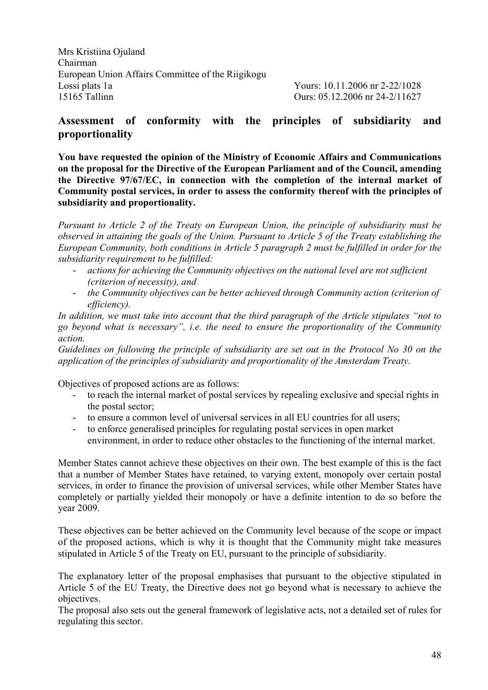Mrs Kristiina Ojuland Chairman European Union Affairs Committee of the Riigikogu Lossi plats 1a Yours: 10.11.2006 nr 2-22/1028 15165 Tallinn Ours: 05.12.2006 nr 24-2/11627

# **Assessment of conformity with the principles of subsidiarity and proportionality**

**You have requested the opinion of the Ministry of Economic Affairs and Communications on the proposal for the Directive of the European Parliament and of the Council, amending the Directive 97/67/EC, in connection with the completion of the internal market of Community postal services, in order to assess the conformity thereof with the principles of subsidiarity and proportionality.**

*Pursuant to Article 2 of the Treaty on European Union, the principle of subsidiarity must be observed in attaining the goals of the Union. Pursuant to Article 5 of the Treaty establishing the European Community, both conditions in Article 5 paragraph 2 must be fulfilled in order for the subsidiarity requirement to be fulfilled:*

- *actions for achieving the Community objectives on the national level are not sufficient (criterion of necessity), and*
- *the Community objectives can be better achieved through Community action (criterion of efficiency).*

*In addition, we must take into account that the third paragraph of the Article stipulates "not to go beyond what is necessary", i.e. the need to ensure the proportionality of the Community action.*

*Guidelines on following the principle of subsidiarity are set out in the Protocol No 30 on the application of the principles of subsidiarity and proportionality of the Amsterdam Treaty.*

Objectives of proposed actions are as follows:

- to reach the internal market of postal services by repealing exclusive and special rights in the postal sector;
- to ensure a common level of universal services in all EU countries for all users;
- to enforce generalised principles for regulating postal services in open market environment, in order to reduce other obstacles to the functioning of the internal market.

Member States cannot achieve these objectives on their own. The best example of this is the fact that a number of Member States have retained, to varying extent, monopoly over certain postal services, in order to finance the provision of universal services, while other Member States have completely or partially yielded their monopoly or have a definite intention to do so before the year 2009.

These objectives can be better achieved on the Community level because of the scope or impact of the proposed actions, which is why it is thought that the Community might take measures stipulated in Article 5 of the Treaty on EU, pursuant to the principle of subsidiarity.

The explanatory letter of the proposal emphasises that pursuant to the objective stipulated in Article 5 of the EU Treaty, the Directive does not go beyond what is necessary to achieve the objectives.

The proposal also sets out the general framework of legislative acts, not a detailed set of rules for regulating this sector.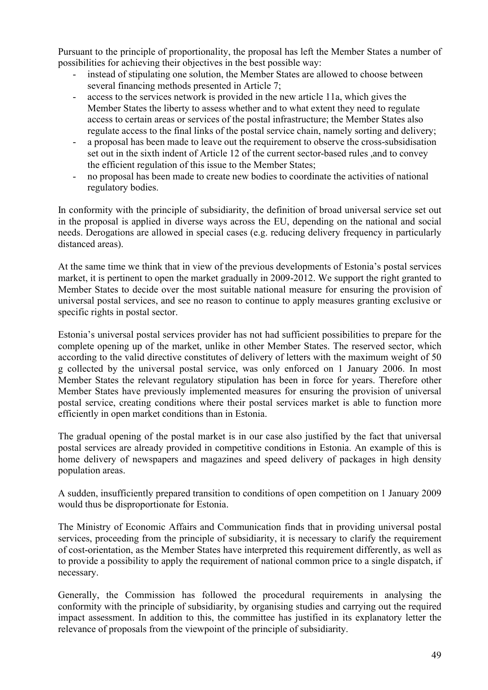Pursuant to the principle of proportionality, the proposal has left the Member States a number of possibilities for achieving their objectives in the best possible way:

- instead of stipulating one solution, the Member States are allowed to choose between several financing methods presented in Article 7;
- access to the services network is provided in the new article 11a, which gives the Member States the liberty to assess whether and to what extent they need to regulate access to certain areas or services of the postal infrastructure; the Member States also regulate access to the final links of the postal service chain, namely sorting and delivery;
- a proposal has been made to leave out the requirement to observe the cross-subsidisation set out in the sixth indent of Article 12 of the current sector-based rules ,and to convey the efficient regulation of this issue to the Member States;
- no proposal has been made to create new bodies to coordinate the activities of national regulatory bodies.

In conformity with the principle of subsidiarity, the definition of broad universal service set out in the proposal is applied in diverse ways across the EU, depending on the national and social needs. Derogations are allowed in special cases (e.g. reducing delivery frequency in particularly distanced areas).

At the same time we think that in view of the previous developments of Estonia's postal services market, it is pertinent to open the market gradually in 2009-2012. We support the right granted to Member States to decide over the most suitable national measure for ensuring the provision of universal postal services, and see no reason to continue to apply measures granting exclusive or specific rights in postal sector.

Estonia's universal postal services provider has not had sufficient possibilities to prepare for the complete opening up of the market, unlike in other Member States. The reserved sector, which according to the valid directive constitutes of delivery of letters with the maximum weight of 50 g collected by the universal postal service, was only enforced on 1 January 2006. In most Member States the relevant regulatory stipulation has been in force for years. Therefore other Member States have previously implemented measures for ensuring the provision of universal postal service, creating conditions where their postal services market is able to function more efficiently in open market conditions than in Estonia.

The gradual opening of the postal market is in our case also justified by the fact that universal postal services are already provided in competitive conditions in Estonia. An example of this is home delivery of newspapers and magazines and speed delivery of packages in high density population areas.

A sudden, insufficiently prepared transition to conditions of open competition on 1 January 2009 would thus be disproportionate for Estonia.

The Ministry of Economic Affairs and Communication finds that in providing universal postal services, proceeding from the principle of subsidiarity, it is necessary to clarify the requirement of cost-orientation, as the Member States have interpreted this requirement differently, as well as to provide a possibility to apply the requirement of national common price to a single dispatch, if necessary.

Generally, the Commission has followed the procedural requirements in analysing the conformity with the principle of subsidiarity, by organising studies and carrying out the required impact assessment. In addition to this, the committee has justified in its explanatory letter the relevance of proposals from the viewpoint of the principle of subsidiarity.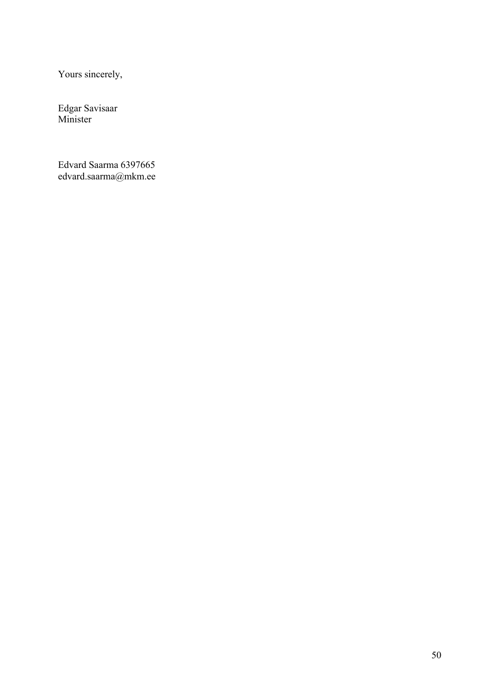Yours sincerely,

Edgar Savisaar Minister

Edvard Saarma 6397665 edvard.saarma@mkm.ee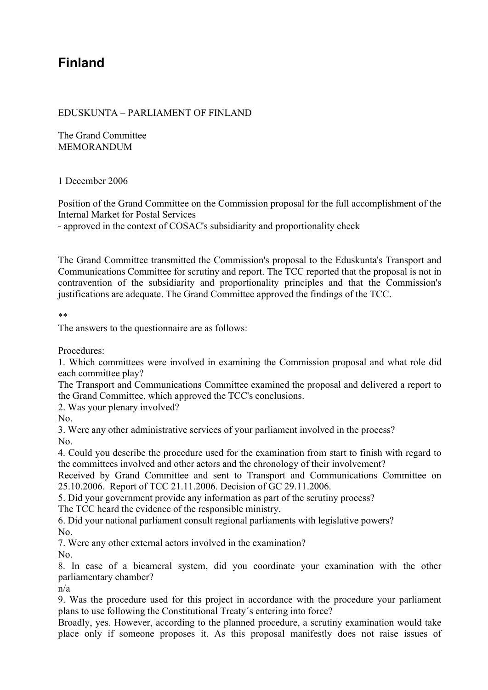# **Finland**

## EDUSKUNTA – PARLIAMENT OF FINLAND

The Grand Committee MEMORANDUM

## 1 December 2006

Position of the Grand Committee on the Commission proposal for the full accomplishment of the Internal Market for Postal Services

- approved in the context of COSAC's subsidiarity and proportionality check

The Grand Committee transmitted the Commission's proposal to the Eduskunta's Transport and Communications Committee for scrutiny and report. The TCC reported that the proposal is not in contravention of the subsidiarity and proportionality principles and that the Commission's justifications are adequate. The Grand Committee approved the findings of the TCC.

\*\*

The answers to the questionnaire are as follows:

Procedures:

1. Which committees were involved in examining the Commission proposal and what role did each committee play?

The Transport and Communications Committee examined the proposal and delivered a report to the Grand Committee, which approved the TCC's conclusions.

2. Was your plenary involved?

No.

3. Were any other administrative services of your parliament involved in the process? No.

4. Could you describe the procedure used for the examination from start to finish with regard to the committees involved and other actors and the chronology of their involvement?

Received by Grand Committee and sent to Transport and Communications Committee on 25.10.2006. Report of TCC 21.11.2006. Decision of GC 29.11.2006.

5. Did your government provide any information as part of the scrutiny process?

The TCC heard the evidence of the responsible ministry.

6. Did your national parliament consult regional parliaments with legislative powers? No.

7. Were any other external actors involved in the examination?

No.

8. In case of a bicameral system, did you coordinate your examination with the other parliamentary chamber?

n/a

9. Was the procedure used for this project in accordance with the procedure your parliament plans to use following the Constitutional Treaty´s entering into force?

Broadly, yes. However, according to the planned procedure, a scrutiny examination would take place only if someone proposes it. As this proposal manifestly does not raise issues of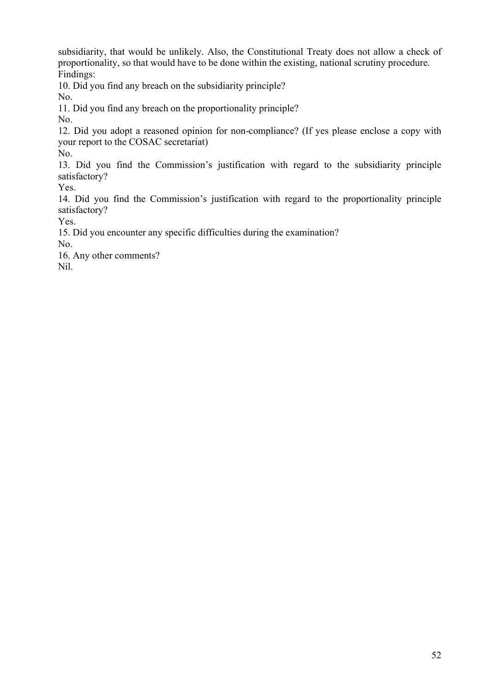subsidiarity, that would be unlikely. Also, the Constitutional Treaty does not allow a check of proportionality, so that would have to be done within the existing, national scrutiny procedure. Findings:

10. Did you find any breach on the subsidiarity principle?

No.

11. Did you find any breach on the proportionality principle?

No.

12. Did you adopt a reasoned opinion for non-compliance? (If yes please enclose a copy with your report to the COSAC secretariat)

No.

13. Did you find the Commission's justification with regard to the subsidiarity principle satisfactory?

Yes.

14. Did you find the Commission's justification with regard to the proportionality principle satisfactory?

Yes.

15. Did you encounter any specific difficulties during the examination?

No.

16. Any other comments?

Nil.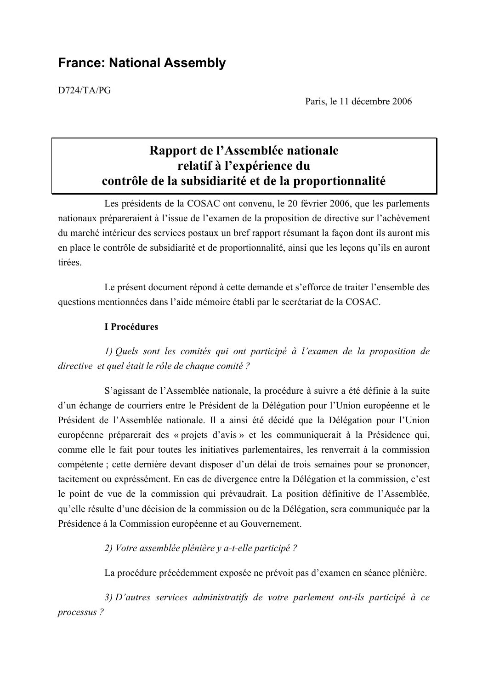# **France: National Assembly**

D724/TA/PG

Paris, le 11 décembre 2006

# **Rapport de l'Assemblée nationale relatif à l'expérience du contrôle de la subsidiarité et de la proportionnalité**

Les présidents de la COSAC ont convenu, le 20 février 2006, que les parlements nationaux prépareraient à l'issue de l'examen de la proposition de directive sur l'achèvement du marché intérieur des services postaux un bref rapport résumant la façon dont ils auront mis en place le contrôle de subsidiarité et de proportionnalité, ainsi que les leçons qu'ils en auront tirées.

Le présent document répond à cette demande et s'efforce de traiter l'ensemble des questions mentionnées dans l'aide mémoire établi par le secrétariat de la COSAC.

#### **I Procédures**

*1) Quels sont les comités qui ont participé à l'examen de la proposition de directive et quel était le rôle de chaque comité ?*

S'agissant de l'Assemblée nationale, la procédure à suivre a été définie à la suite d'un échange de courriers entre le Président de la Délégation pour l'Union européenne et le Président de l'Assemblée nationale. Il a ainsi été décidé que la Délégation pour l'Union européenne préparerait des « projets d'avis » et les communiquerait à la Présidence qui, comme elle le fait pour toutes les initiatives parlementaires, les renverrait à la commission compétente ; cette dernière devant disposer d'un délai de trois semaines pour se prononcer, tacitement ou expréssément. En cas de divergence entre la Délégation et la commission, c'est le point de vue de la commission qui prévaudrait. La position définitive de l'Assemblée, qu'elle résulte d'une décision de la commission ou de la Délégation, sera communiquée par la Présidence à la Commission européenne et au Gouvernement.

*2) Votre assemblée plénière y a-t-elle participé ?*

La procédure précédemment exposée ne prévoit pas d'examen en séance plénière.

*3) D'autres services administratifs de votre parlement ont-ils participé à ce processus ?*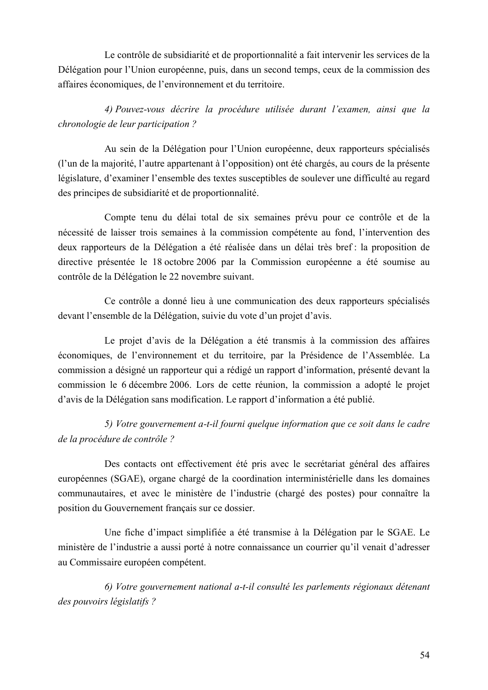Le contrôle de subsidiarité et de proportionnalité a fait intervenir les services de la Délégation pour l'Union européenne, puis, dans un second temps, ceux de la commission des affaires économiques, de l'environnement et du territoire.

*4) Pouvez-vous décrire la procédure utilisée durant l'examen, ainsi que la chronologie de leur participation ?*

Au sein de la Délégation pour l'Union européenne, deux rapporteurs spécialisés (l'un de la majorité, l'autre appartenant à l'opposition) ont été chargés, au cours de la présente législature, d'examiner l'ensemble des textes susceptibles de soulever une difficulté au regard des principes de subsidiarité et de proportionnalité.

Compte tenu du délai total de six semaines prévu pour ce contrôle et de la nécessité de laisser trois semaines à la commission compétente au fond, l'intervention des deux rapporteurs de la Délégation a été réalisée dans un délai très bref : la proposition de directive présentée le 18 octobre 2006 par la Commission européenne a été soumise au contrôle de la Délégation le 22 novembre suivant.

Ce contrôle a donné lieu à une communication des deux rapporteurs spécialisés devant l'ensemble de la Délégation, suivie du vote d'un projet d'avis.

Le projet d'avis de la Délégation a été transmis à la commission des affaires économiques, de l'environnement et du territoire, par la Présidence de l'Assemblée. La commission a désigné un rapporteur qui a rédigé un rapport d'information, présenté devant la commission le 6 décembre 2006. Lors de cette réunion, la commission a adopté le projet d'avis de la Délégation sans modification. Le rapport d'information a été publié.

*5) Votre gouvernement a-t-il fourni quelque information que ce soit dans le cadre de la procédure de contrôle ?*

Des contacts ont effectivement été pris avec le secrétariat général des affaires européennes (SGAE), organe chargé de la coordination interministérielle dans les domaines communautaires, et avec le ministère de l'industrie (chargé des postes) pour connaître la position du Gouvernement français sur ce dossier.

Une fiche d'impact simplifiée a été transmise à la Délégation par le SGAE. Le ministère de l'industrie a aussi porté à notre connaissance un courrier qu'il venait d'adresser au Commissaire européen compétent.

*6) Votre gouvernement national a-t-il consulté les parlements régionaux détenant des pouvoirs législatifs ?*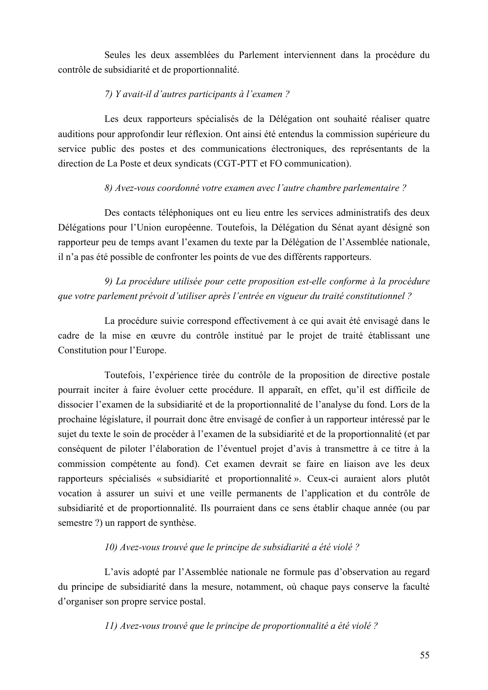Seules les deux assemblées du Parlement interviennent dans la procédure du contrôle de subsidiarité et de proportionnalité.

# *7) Y avait-il d'autres participants à l'examen ?*

Les deux rapporteurs spécialisés de la Délégation ont souhaité réaliser quatre auditions pour approfondir leur réflexion. Ont ainsi été entendus la commission supérieure du service public des postes et des communications électroniques, des représentants de la direction de La Poste et deux syndicats (CGT-PTT et FO communication).

# *8) Avez-vous coordonné votre examen avec l'autre chambre parlementaire ?*

Des contacts téléphoniques ont eu lieu entre les services administratifs des deux Délégations pour l'Union européenne. Toutefois, la Délégation du Sénat ayant désigné son rapporteur peu de temps avant l'examen du texte par la Délégation de l'Assemblée nationale, il n'a pas été possible de confronter les points de vue des différents rapporteurs.

*9) La procédure utilisée pour cette proposition est-elle conforme à la procédure que votre parlement prévoit d'utiliser après l'entrée en vigueur du traité constitutionnel ?*

La procédure suivie correspond effectivement à ce qui avait été envisagé dans le cadre de la mise en œuvre du contrôle institué par le projet de traité établissant une Constitution pour l'Europe.

Toutefois, l'expérience tirée du contrôle de la proposition de directive postale pourrait inciter à faire évoluer cette procédure. Il apparaît, en effet, qu'il est difficile de dissocier l'examen de la subsidiarité et de la proportionnalité de l'analyse du fond. Lors de la prochaine législature, il pourrait donc être envisagé de confier à un rapporteur intéressé par le sujet du texte le soin de procéder à l'examen de la subsidiarité et de la proportionnalité (et par conséquent de piloter l'élaboration de l'éventuel projet d'avis à transmettre à ce titre à la commission compétente au fond). Cet examen devrait se faire en liaison ave les deux rapporteurs spécialisés « subsidiarité et proportionnalité ». Ceux-ci auraient alors plutôt vocation à assurer un suivi et une veille permanents de l'application et du contrôle de subsidiarité et de proportionnalité. Ils pourraient dans ce sens établir chaque année (ou par semestre ?) un rapport de synthèse.

## *10) Avez-vous trouvé que le principe de subsidiarité a été violé ?*

L'avis adopté par l'Assemblée nationale ne formule pas d'observation au regard du principe de subsidiarité dans la mesure, notamment, où chaque pays conserve la faculté d'organiser son propre service postal.

*11) Avez-vous trouvé que le principe de proportionnalité a été violé ?*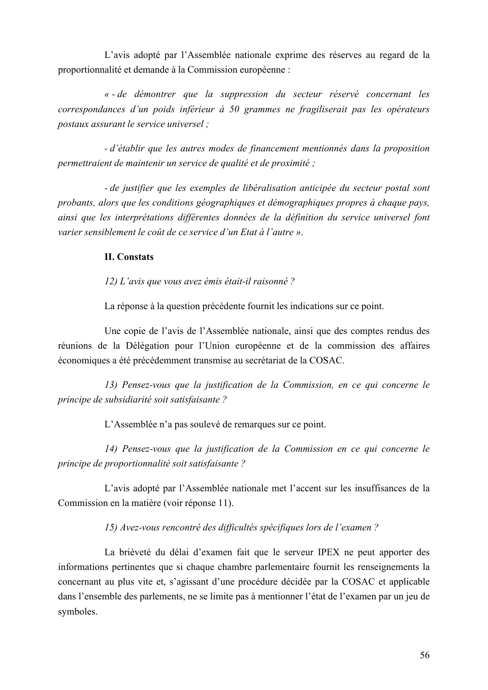L'avis adopté par l'Assemblée nationale exprime des réserves au regard de la proportionnalité et demande à la Commission européenne :

*« - de démontrer que la suppression du secteur réservé concernant les correspondances d'un poids inférieur à 50 grammes ne fragiliserait pas les opérateurs postaux assurant le service universel ;*

*- d'établir que les autres modes de financement mentionnés dans la proposition permettraient de maintenir un service de qualité et de proximité ;*

*- de justifier que les exemples de libéralisation anticipée du secteur postal sont probants, alors que les conditions géographiques et démographiques propres à chaque pays, ainsi que les interprétations différentes données de la définition du service universel font varier sensiblement le coût de ce service d'un Etat à l'autre »*.

## **II. Constats**

*12) L'avis que vous avez émis était-il raisonné ?*

La réponse à la question précédente fournit les indications sur ce point.

Une copie de l'avis de l'Assemblée nationale, ainsi que des comptes rendus des réunions de la Délégation pour l'Union européenne et de la commission des affaires économiques a été précédemment transmise au secrétariat de la COSAC.

*13) Pensez-vous que la justification de la Commission, en ce qui concerne le principe de subsidiarité soit satisfaisante ?*

L'Assemblée n'a pas soulevé de remarques sur ce point.

*14) Pensez-vous que la justification de la Commission en ce qui concerne le principe de proportionnalité soit satisfaisante ?*

L'avis adopté par l'Assemblée nationale met l'accent sur les insuffisances de la Commission en la matière (voir réponse 11).

## *15) Avez-vous rencontré des difficultés spécifiques lors de l'examen ?*

La brièveté du délai d'examen fait que le serveur IPEX ne peut apporter des informations pertinentes que si chaque chambre parlementaire fournit les renseignements la concernant au plus vite et, s'agissant d'une procédure décidée par la COSAC et applicable dans l'ensemble des parlements, ne se limite pas à mentionner l'état de l'examen par un jeu de symboles.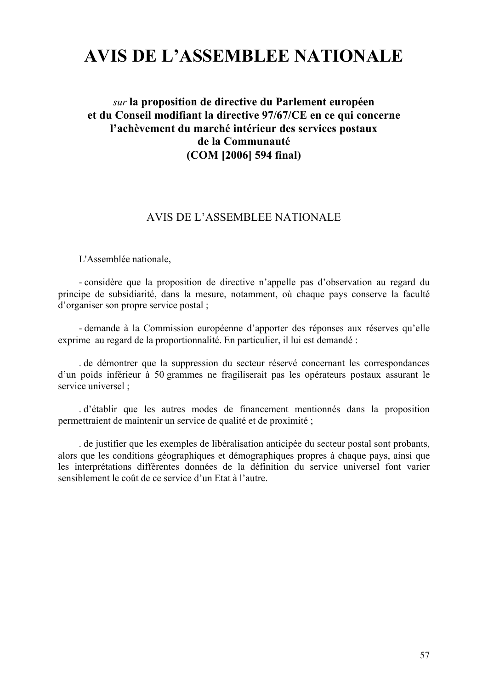# **AVIS DE L'ASSEMBLEE NATIONALE**

# *sur* **la proposition de directive du Parlement européen et du Conseil modifiant la directive 97/67/CE en ce qui concerne l'achèvement du marché intérieur des services postaux de la Communauté (COM [2006] 594 final)**

## AVIS DE L'ASSEMBLEE NATIONALE

L'Assemblée nationale,

- considère que la proposition de directive n'appelle pas d'observation au regard du principe de subsidiarité, dans la mesure, notamment, où chaque pays conserve la faculté d'organiser son propre service postal ;

- demande à la Commission européenne d'apporter des réponses aux réserves qu'elle exprime au regard de la proportionnalité. En particulier, il lui est demandé :

. de démontrer que la suppression du secteur réservé concernant les correspondances d'un poids inférieur à 50 grammes ne fragiliserait pas les opérateurs postaux assurant le service universel ;

. d'établir que les autres modes de financement mentionnés dans la proposition permettraient de maintenir un service de qualité et de proximité ;

. de justifier que les exemples de libéralisation anticipée du secteur postal sont probants, alors que les conditions géographiques et démographiques propres à chaque pays, ainsi que les interprétations différentes données de la définition du service universel font varier sensiblement le coût de ce service d'un Etat à l'autre.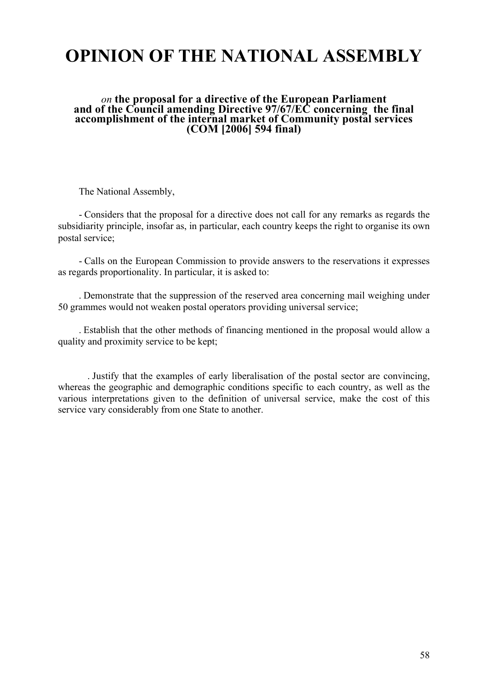# **OPINION OF THE NATIONAL ASSEMBLY**

#### *on* **the proposal for a directive of the European Parliament and of the Council amending Directive 97/67/EC concerning the final accomplishment of the internal market of Community postal services (COM [2006] 594 final)**

The National Assembly,

- Considers that the proposal for a directive does not call for any remarks as regards the subsidiarity principle, insofar as, in particular, each country keeps the right to organise its own postal service;

- Calls on the European Commission to provide answers to the reservations it expresses as regards proportionality. In particular, it is asked to:

. Demonstrate that the suppression of the reserved area concerning mail weighing under 50 grammes would not weaken postal operators providing universal service;

. Establish that the other methods of financing mentioned in the proposal would allow a quality and proximity service to be kept;

. Justify that the examples of early liberalisation of the postal sector are convincing, whereas the geographic and demographic conditions specific to each country, as well as the various interpretations given to the definition of universal service, make the cost of this service vary considerably from one State to another.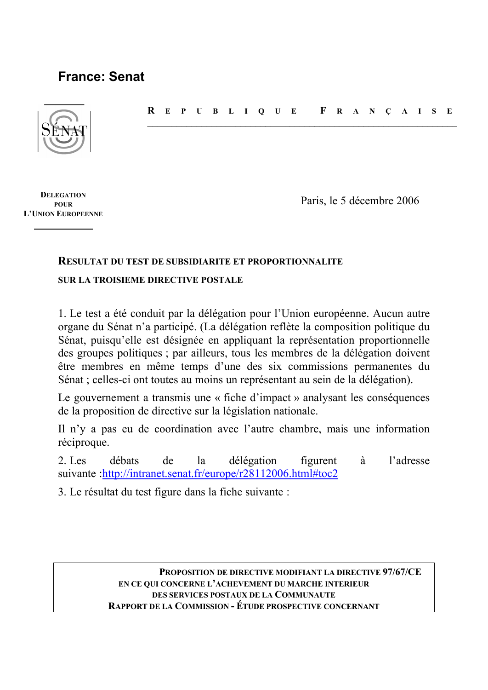# **France: Senat**



**R EPUBLIQUE F RANÇAISE**  $\mathcal{L}_\text{max}$  , and the contribution of the contribution of the contribution of the contribution of the contribution of the contribution of the contribution of the contribution of the contribution of the contribution of t

**DELEGATION POUR L'UNION EUROPEENNE**

Paris, le 5 décembre 2006

# **RESULTAT DU TEST DE SUBSIDIARITE ET PROPORTIONNALITE**

# **SUR LA TROISIEME DIRECTIVE POSTALE**

1. Le test a été conduit par la délégation pour l'Union européenne. Aucun autre organe du Sénat n'a participé. (La délégation reflète la composition politique du Sénat, puisqu'elle est désignée en appliquant la représentation proportionnelle des groupes politiques ; par ailleurs, tous les membres de la délégation doivent être membres en même temps d'une des six commissions permanentes du Sénat ; celles-ci ont toutes au moins un représentant au sein de la délégation).

Le gouvernement a transmis une « fiche d'impact » analysant les conséquences de la proposition de directive sur la législation nationale.

Il n'y a pas eu de coordination avec l'autre chambre, mais une information réciproque.

2. Les débats de la délégation figurent à l'adresse suivante :http://intranet.senat.fr/europe/r28112006.html#toc2

3. Le résultat du test figure dans la fiche suivante :

**PROPOSITION DE DIRECTIVE MODIFIANT LA DIRECTIVE 97/67/CE EN CE QUI CONCERNE L'ACHEVEMENT DU MARCHE INTERIEUR DES SERVICES POSTAUX DE LA COMMUNAUTE RAPPORT DE LA COMMISSION - ÉTUDE PROSPECTIVE CONCERNANT**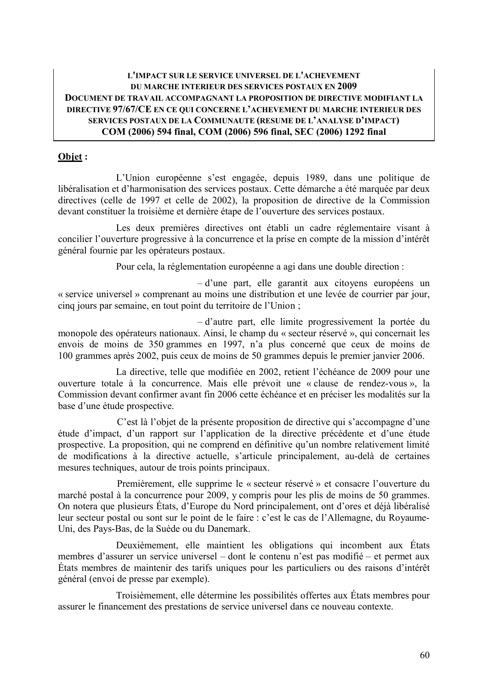## **L'IMPACT SUR LE SERVICE UNIVERSEL DE L'ACHEVEMENT DU MARCHE INTERIEUR DES SERVICES POSTAUX EN 2009 DOCUMENT DE TRAVAIL ACCOMPAGNANT LA PROPOSITION DE DIRECTIVE MODIFIANT LA DIRECTIVE 97/67/CE EN CE QUI CONCERNE L'ACHEVEMENT DU MARCHE INTERIEUR DES SERVICES POSTAUX DE LA COMMUNAUTE (RESUME DE L'ANALYSE D'IMPACT) COM (2006) 594 final, COM (2006) 596 final, SEC (2006) 1292 final**

# **Objet :**

L'Union européenne s'est engagée, depuis 1989, dans une politique de libéralisation et d'harmonisation des services postaux. Cette démarche a été marquée par deux directives (celle de 1997 et celle de 2002), la proposition de directive de la Commission devant constituer la troisième et dernière étape de l'ouverture des services postaux.

Les deux premières directives ont établi un cadre réglementaire visant à concilier l'ouverture progressive à la concurrence et la prise en compte de la mission d'intérêt général fournie par les opérateurs postaux.

Pour cela, la réglementation européenne a agi dans une double direction :

– d'une part, elle garantit aux citoyens européens un « service universel » comprenant au moins une distribution et une levée de courrier par jour, cinq jours par semaine, en tout point du territoire de l'Union ;

– d'autre part, elle limite progressivement la portée du monopole des opérateurs nationaux. Ainsi, le champ du « secteur réservé », qui concernait les envois de moins de 350 grammes en 1997, n'a plus concerné que ceux de moins de 100 grammes après 2002, puis ceux de moins de 50 grammes depuis le premier janvier 2006.

La directive, telle que modifiée en 2002, retient l'échéance de 2009 pour une ouverture totale à la concurrence. Mais elle prévoit une « clause de rendez-vous », la Commission devant confirmer avant fin 2006 cette échéance et en préciser les modalités sur la base d'une étude prospective.

C'est là l'objet de la présente proposition de directive qui s'accompagne d'une étude d'impact, d'un rapport sur l'application de la directive précédente et d'une étude prospective. La proposition, qui ne comprend en définitive qu'un nombre relativement limité de modifications à la directive actuelle, s'articule principalement, au-delà de certaines mesures techniques, autour de trois points principaux.

Premièrement, elle supprime le « secteur réservé » et consacre l'ouverture du marché postal à la concurrence pour 2009, y compris pour les plis de moins de 50 grammes. On notera que plusieurs États, d'Europe du Nord principalement, ont d'ores et déjà libéralisé leur secteur postal ou sont sur le point de le faire : c'est le cas de l'Allemagne, du Royaume-Uni, des Pays-Bas, de la Suède ou du Danemark.

Deuxièmement, elle maintient les obligations qui incombent aux États membres d'assurer un service universel – dont le contenu n'est pas modifié – et permet aux États membres de maintenir des tarifs uniques pour les particuliers ou des raisons d'intérêt général (envoi de presse par exemple).

Troisièmement, elle détermine les possibilités offertes aux États membres pour assurer le financement des prestations de service universel dans ce nouveau contexte.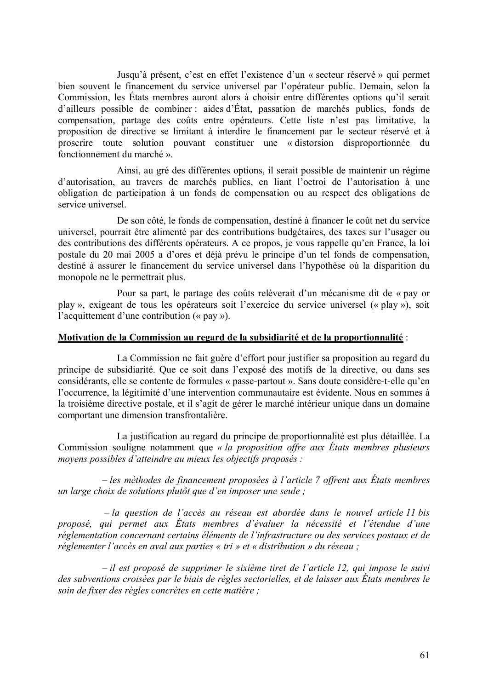Jusqu'à présent, c'est en effet l'existence d'un « secteur réservé » qui permet bien souvent le financement du service universel par l'opérateur public. Demain, selon la Commission, les États membres auront alors à choisir entre différentes options qu'il serait d'ailleurs possible de combiner : aides d'État, passation de marchés publics, fonds de compensation, partage des coûts entre opérateurs. Cette liste n'est pas limitative, la proposition de directive se limitant à interdire le financement par le secteur réservé et à proscrire toute solution pouvant constituer une « distorsion disproportionnée du fonctionnement du marché ».

Ainsi, au gré des différentes options, il serait possible de maintenir un régime d'autorisation, au travers de marchés publics, en liant l'octroi de l'autorisation à une obligation de participation à un fonds de compensation ou au respect des obligations de service universel.

De son côté, le fonds de compensation, destiné à financer le coût net du service universel, pourrait être alimenté par des contributions budgétaires, des taxes sur l'usager ou des contributions des différents opérateurs. A ce propos, je vous rappelle qu'en France, la loi postale du 20 mai 2005 a d'ores et déjà prévu le principe d'un tel fonds de compensation, destiné à assurer le financement du service universel dans l'hypothèse où la disparition du monopole ne le permettrait plus.

Pour sa part, le partage des coûts relèverait d'un mécanisme dit de « pay or play », exigeant de tous les opérateurs soit l'exercice du service universel (« play »), soit l'acquittement d'une contribution (« pay »).

#### **Motivation de la Commission au regard de la subsidiarité et de la proportionnalité** :

La Commission ne fait guère d'effort pour justifier sa proposition au regard du principe de subsidiarité. Que ce soit dans l'exposé des motifs de la directive, ou dans ses considérants, elle se contente de formules « passe-partout ». Sans doute considère-t-elle qu'en l'occurrence, la légitimité d'une intervention communautaire est évidente. Nous en sommes à la troisième directive postale, et il s'agit de gérer le marché intérieur unique dans un domaine comportant une dimension transfrontalière.

La justification au regard du principe de proportionnalité est plus détaillée. La Commission souligne notamment que *« la proposition offre aux États membres plusieurs moyens possibles d'atteindre au mieux les objectifs proposés :*

*– les méthodes de financement proposées à l'article 7 offrent aux États membres un large choix de solutions plutôt que d'en imposer une seule ;*

*– la question de l'accès au réseau est abordée dans le nouvel article 11 bis proposé, qui permet aux États membres d'évaluer la nécessité et l'étendue d'une réglementation concernant certains éléments de l'infrastructure ou des services postaux et de réglementer l'accès en aval aux parties « tri » et « distribution » du réseau ;*

*– il est proposé de supprimer le sixième tiret de l'article 12, qui impose le suivi des subventions croisées par le biais de règles sectorielles, et de laisser aux États membres le soin de fixer des règles concrètes en cette matière ;*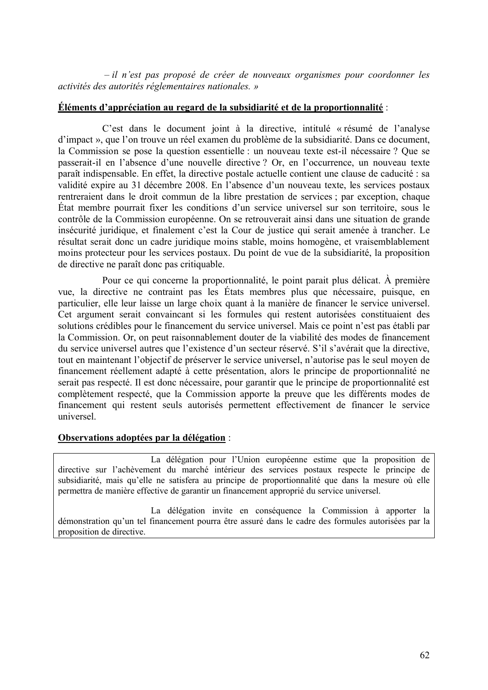*– il n'est pas proposé de créer de nouveaux organismes pour coordonner les activités des autorités réglementaires nationales. »*

#### **Éléments d'appréciation au regard de la subsidiarité et de la proportionnalité** :

C'est dans le document joint à la directive, intitulé « résumé de l'analyse d'impact », que l'on trouve un réel examen du problème de la subsidiarité. Dans ce document, la Commission se pose la question essentielle : un nouveau texte est-il nécessaire ? Que se passerait-il en l'absence d'une nouvelle directive ? Or, en l'occurrence, un nouveau texte paraît indispensable. En effet, la directive postale actuelle contient une clause de caducité : sa validité expire au 31 décembre 2008. En l'absence d'un nouveau texte, les services postaux rentreraient dans le droit commun de la libre prestation de services ; par exception, chaque État membre pourrait fixer les conditions d'un service universel sur son territoire, sous le contrôle de la Commission européenne. On se retrouverait ainsi dans une situation de grande insécurité juridique, et finalement c'est la Cour de justice qui serait amenée à trancher. Le résultat serait donc un cadre juridique moins stable, moins homogène, et vraisemblablement moins protecteur pour les services postaux. Du point de vue de la subsidiarité, la proposition de directive ne paraît donc pas critiquable.

Pour ce qui concerne la proportionnalité, le point parait plus délicat. À première vue, la directive ne contraint pas les États membres plus que nécessaire, puisque, en particulier, elle leur laisse un large choix quant à la manière de financer le service universel. Cet argument serait convaincant si les formules qui restent autorisées constituaient des solutions crédibles pour le financement du service universel. Mais ce point n'est pas établi par la Commission. Or, on peut raisonnablement douter de la viabilité des modes de financement du service universel autres que l'existence d'un secteur réservé. S'il s'avérait que la directive, tout en maintenant l'objectif de préserver le service universel, n'autorise pas le seul moyen de financement réellement adapté à cette présentation, alors le principe de proportionnalité ne serait pas respecté. Il est donc nécessaire, pour garantir que le principe de proportionnalité est complètement respecté, que la Commission apporte la preuve que les différents modes de financement qui restent seuls autorisés permettent effectivement de financer le service universel.

#### **Observations adoptées par la délégation** :

La délégation pour l'Union européenne estime que la proposition de directive sur l'achèvement du marché intérieur des services postaux respecte le principe de subsidiarité, mais qu'elle ne satisfera au principe de proportionnalité que dans la mesure où elle permettra de manière effective de garantir un financement approprié du service universel.

La délégation invite en conséquence la Commission à apporter la démonstration qu'un tel financement pourra être assuré dans le cadre des formules autorisées par la proposition de directive.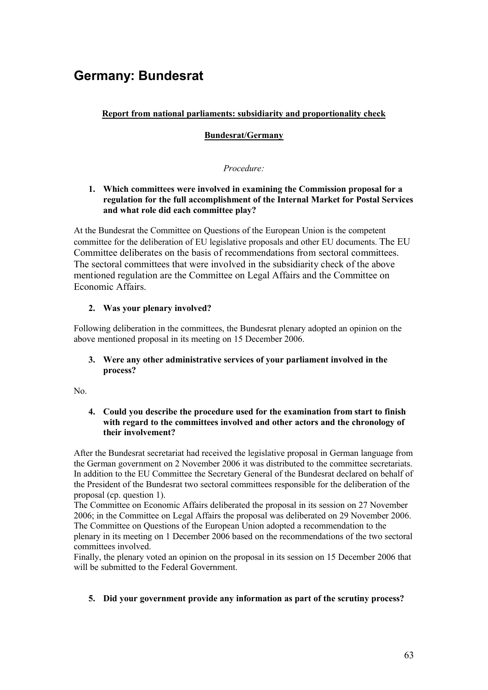# **Germany: Bundesrat**

## **Report from national parliaments: subsidiarity and proportionality check**

#### **Bundesrat/Germany**

#### *Procedure:*

#### **1. Which committees were involved in examining the Commission proposal for a regulation for the full accomplishment of the Internal Market for Postal Services and what role did each committee play?**

At the Bundesrat the Committee on Questions of the European Union is the competent committee for the deliberation of EU legislative proposals and other EU documents. The EU Committee deliberates on the basis of recommendations from sectoral committees. The sectoral committees that were involved in the subsidiarity check of the above mentioned regulation are the Committee on Legal Affairs and the Committee on Economic Affairs.

#### **2. Was your plenary involved?**

Following deliberation in the committees, the Bundesrat plenary adopted an opinion on the above mentioned proposal in its meeting on 15 December 2006.

#### **3. Were any other administrative services of your parliament involved in the process?**

No.

#### **4. Could you describe the procedure used for the examination from start to finish with regard to the committees involved and other actors and the chronology of their involvement?**

After the Bundesrat secretariat had received the legislative proposal in German language from the German government on 2 November 2006 it was distributed to the committee secretariats. In addition to the EU Committee the Secretary General of the Bundesrat declared on behalf of the President of the Bundesrat two sectoral committees responsible for the deliberation of the proposal (cp. question 1).

The Committee on Economic Affairs deliberated the proposal in its session on 27 November 2006; in the Committee on Legal Affairs the proposal was deliberated on 29 November 2006. The Committee on Questions of the European Union adopted a recommendation to the plenary in its meeting on 1 December 2006 based on the recommendations of the two sectoral committees involved.

Finally, the plenary voted an opinion on the proposal in its session on 15 December 2006 that will be submitted to the Federal Government.

#### **5. Did your government provide any information as part of the scrutiny process?**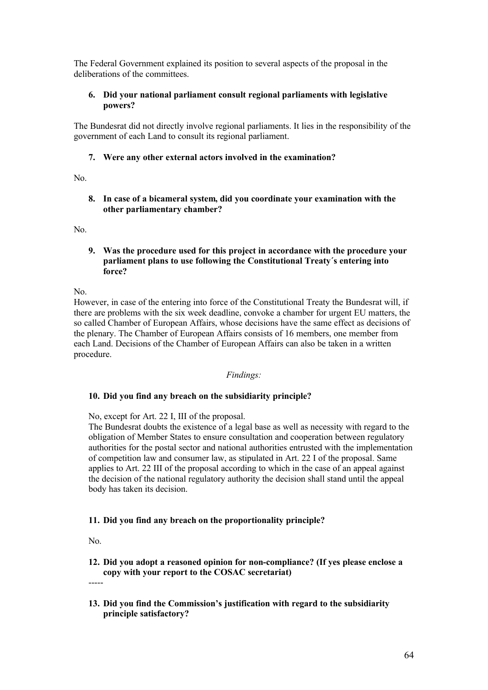The Federal Government explained its position to several aspects of the proposal in the deliberations of the committees.

#### **6. Did your national parliament consult regional parliaments with legislative powers?**

The Bundesrat did not directly involve regional parliaments. It lies in the responsibility of the government of each Land to consult its regional parliament.

#### **7. Were any other external actors involved in the examination?**

No.

**8. In case of a bicameral system, did you coordinate your examination with the other parliamentary chamber?**

No.

**9. Was the procedure used for this project in accordance with the procedure your parliament plans to use following the Constitutional Treaty´s entering into force?**

No.

However, in case of the entering into force of the Constitutional Treaty the Bundesrat will, if there are problems with the six week deadline, convoke a chamber for urgent EU matters, the so called Chamber of European Affairs, whose decisions have the same effect as decisions of the plenary. The Chamber of European Affairs consists of 16 members, one member from each Land. Decisions of the Chamber of European Affairs can also be taken in a written procedure.

#### *Findings:*

#### **10. Did you find any breach on the subsidiarity principle?**

No, except for Art. 22 I, III of the proposal.

The Bundesrat doubts the existence of a legal base as well as necessity with regard to the obligation of Member States to ensure consultation and cooperation between regulatory authorities for the postal sector and national authorities entrusted with the implementation of competition law and consumer law, as stipulated in Art. 22 I of the proposal. Same applies to Art. 22 III of the proposal according to which in the case of an appeal against the decision of the national regulatory authority the decision shall stand until the appeal body has taken its decision.

#### **11. Did you find any breach on the proportionality principle?**

No.

**12. Did you adopt a reasoned opinion for non-compliance? (If yes please enclose a copy with your report to the COSAC secretariat)**

-----

**13. Did you find the Commission's justification with regard to the subsidiarity principle satisfactory?**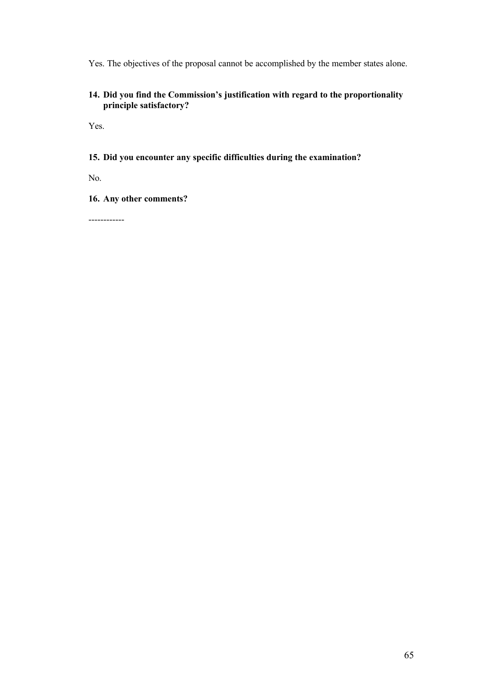Yes. The objectives of the proposal cannot be accomplished by the member states alone.

#### **14. Did you find the Commission's justification with regard to the proportionality principle satisfactory?**

Yes.

#### **15. Did you encounter any specific difficulties during the examination?**

No.

**16. Any other comments?**

------------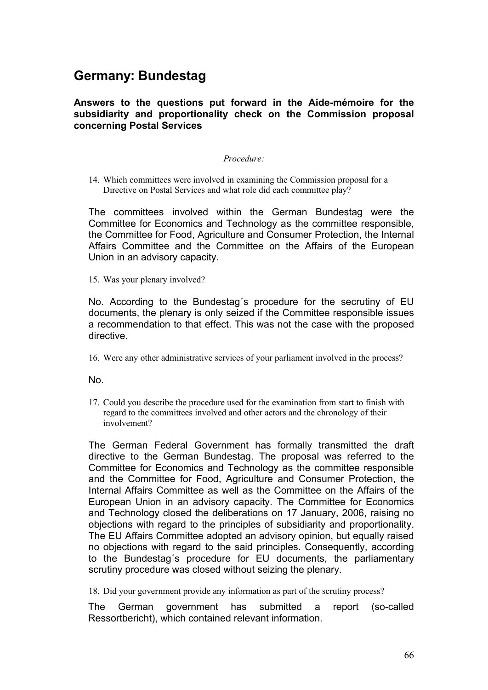# **Germany: Bundestag**

## **Answers to the questions put forward in the Aide-mémoire for the subsidiarity and proportionality check on the Commission proposal concerning Postal Services**

#### *Procedure:*

14. Which committees were involved in examining the Commission proposal for a Directive on Postal Services and what role did each committee play?

The committees involved within the German Bundestag were the Committee for Economics and Technology as the committee responsible, the Committee for Food, Agriculture and Consumer Protection, the Internal Affairs Committee and the Committee on the Affairs of the European Union in an advisory capacity.

15. Was your plenary involved?

No. According to the Bundestag´s procedure for the secrutiny of EU documents, the plenary is only seized if the Committee responsible issues a recommendation to that effect. This was not the case with the proposed directive.

16. Were any other administrative services of your parliament involved in the process?

No.

17. Could you describe the procedure used for the examination from start to finish with regard to the committees involved and other actors and the chronology of their involvement?

The German Federal Government has formally transmitted the draft directive to the German Bundestag. The proposal was referred to the Committee for Economics and Technology as the committee responsible and the Committee for Food, Agriculture and Consumer Protection, the Internal Affairs Committee as well as the Committee on the Affairs of the European Union in an advisory capacity. The Committee for Economics and Technology closed the deliberations on 17 January, 2006, raising no objections with regard to the principles of subsidiarity and proportionality. The EU Affairs Committee adopted an advisory opinion, but equally raised no objections with regard to the said principles. Consequently, according to the Bundestag´s procedure for EU documents, the parliamentary scrutiny procedure was closed without seizing the plenary.

18. Did your government provide any information as part of the scrutiny process?

The German government has submitted a report (so-called Ressortbericht), which contained relevant information.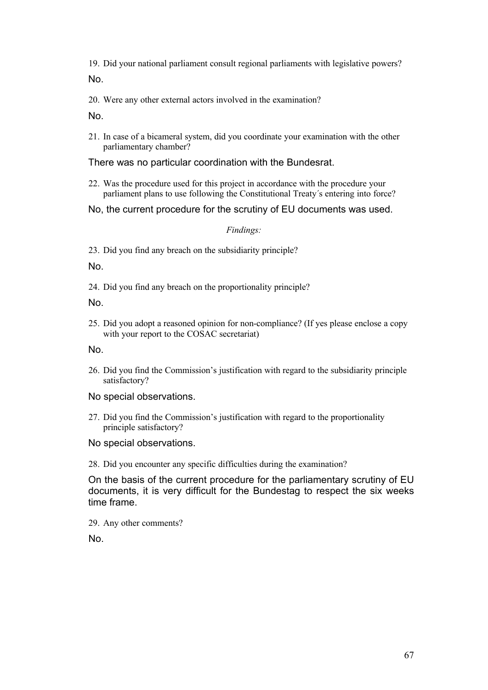19. Did your national parliament consult regional parliaments with legislative powers? No.

20. Were any other external actors involved in the examination?

No.

21. In case of a bicameral system, did you coordinate your examination with the other parliamentary chamber?

## There was no particular coordination with the Bundesrat.

- 22. Was the procedure used for this project in accordance with the procedure your parliament plans to use following the Constitutional Treaty´s entering into force?
- No, the current procedure for the scrutiny of EU documents was used.

*Findings:*

23. Did you find any breach on the subsidiarity principle?

No.

24. Did you find any breach on the proportionality principle?

No.

25. Did you adopt a reasoned opinion for non-compliance? (If yes please enclose a copy with your report to the COSAC secretariat)

No.

- 26. Did you find the Commission's justification with regard to the subsidiarity principle satisfactory?
- No special observations.
- 27. Did you find the Commission's justification with regard to the proportionality principle satisfactory?
- No special observations.
- 28. Did you encounter any specific difficulties during the examination?

On the basis of the current procedure for the parliamentary scrutiny of EU documents, it is very difficult for the Bundestag to respect the six weeks time frame.

29. Any other comments?

No.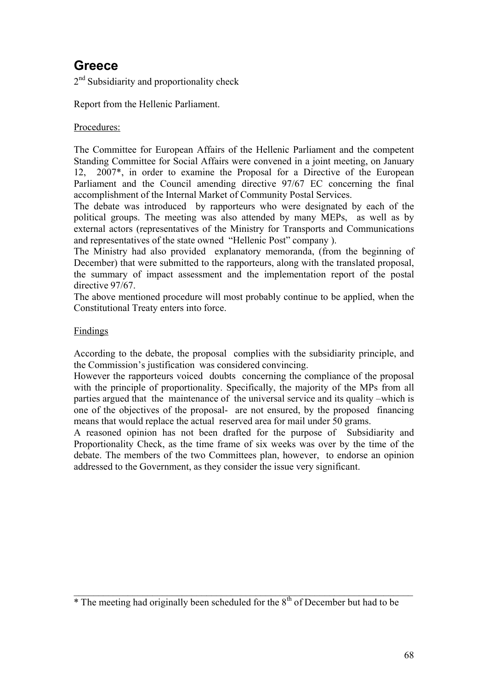# **Greece**

2<sup>nd</sup> Subsidiarity and proportionality check

Report from the Hellenic Parliament.

# Procedures:

The Committee for European Affairs of the Hellenic Parliament and the competent Standing Committee for Social Affairs were convened in a joint meeting, on January 12, 2007\*, in order to examine the Proposal for a Directive of the European Parliament and the Council amending directive 97/67 EC concerning the final accomplishment of the Internal Market of Community Postal Services.

The debate was introduced by rapporteurs who were designated by each of the political groups. The meeting was also attended by many MEPs, as well as by external actors (representatives of the Ministry for Transports and Communications and representatives of the state owned "Hellenic Post" company ).

The Ministry had also provided explanatory memoranda, (from the beginning of December) that were submitted to the rapporteurs, along with the translated proposal, the summary of impact assessment and the implementation report of the postal directive 97/67.

The above mentioned procedure will most probably continue to be applied, when the Constitutional Treaty enters into force.

## Findings

According to the debate, the proposal complies with the subsidiarity principle, and the Commission's justification was considered convincing.

However the rapporteurs voiced doubts concerning the compliance of the proposal with the principle of proportionality. Specifically, the majority of the MPs from all parties argued that the maintenance of the universal service and its quality –which is one of the objectives of the proposal- are not ensured, by the proposed financing means that would replace the actual reserved area for mail under 50 grams.

A reasoned opinion has not been drafted for the purpose of Subsidiarity and Proportionality Check, as the time frame of six weeks was over by the time of the debate. The members of the two Committees plan, however, to endorse an opinion addressed to the Government, as they consider the issue very significant.

 $\mathcal{L}_\mathcal{L} = \mathcal{L}_\mathcal{L} = \mathcal{L}_\mathcal{L} = \mathcal{L}_\mathcal{L} = \mathcal{L}_\mathcal{L} = \mathcal{L}_\mathcal{L} = \mathcal{L}_\mathcal{L} = \mathcal{L}_\mathcal{L} = \mathcal{L}_\mathcal{L} = \mathcal{L}_\mathcal{L} = \mathcal{L}_\mathcal{L} = \mathcal{L}_\mathcal{L} = \mathcal{L}_\mathcal{L} = \mathcal{L}_\mathcal{L} = \mathcal{L}_\mathcal{L} = \mathcal{L}_\mathcal{L} = \mathcal{L}_\mathcal{L}$ 

 $*$  The meeting had originally been scheduled for the  $8<sup>th</sup>$  of December but had to be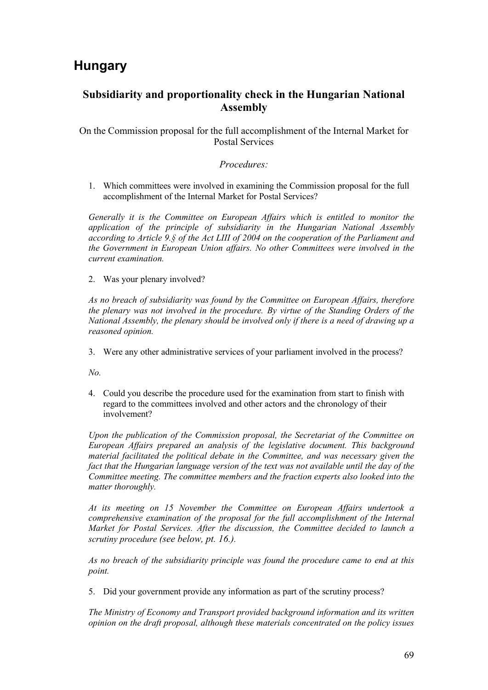# **Hungary**

# **Subsidiarity and proportionality check in the Hungarian National Assembly**

On the Commission proposal for the full accomplishment of the Internal Market for Postal Services

#### *Procedures:*

1. Which committees were involved in examining the Commission proposal for the full accomplishment of the Internal Market for Postal Services?

*Generally it is the Committee on European Affairs which is entitled to monitor the application of the principle of subsidiarity in the Hungarian National Assembly according to Article 9.§ of the Act LIII of 2004 on the cooperation of the Parliament and the Government in European Union affairs. No other Committees were involved in the current examination.* 

2. Was your plenary involved?

*As no breach of subsidiarity was found by the Committee on European Affairs, therefore the plenary was not involved in the procedure. By virtue of the Standing Orders of the National Assembly, the plenary should be involved only if there is a need of drawing up a reasoned opinion.*

3. Were any other administrative services of your parliament involved in the process?

*No.* 

4. Could you describe the procedure used for the examination from start to finish with regard to the committees involved and other actors and the chronology of their involvement?

*Upon the publication of the Commission proposal, the Secretariat of the Committee on European Affairs prepared an analysis of the legislative document. This background material facilitated the political debate in the Committee, and was necessary given the fact that the Hungarian language version of the text was not available until the day of the Committee meeting. The committee members and the fraction experts also looked into the matter thoroughly.* 

*At its meeting on 15 November the Committee on European Affairs undertook a comprehensive examination of the proposal for the full accomplishment of the Internal Market for Postal Services. After the discussion, the Committee decided to launch a scrutiny procedure (see below, pt. 16.).*

*As no breach of the subsidiarity principle was found the procedure came to end at this point.* 

5. Did your government provide any information as part of the scrutiny process?

*The Ministry of Economy and Transport provided background information and its written opinion on the draft proposal, although these materials concentrated on the policy issues*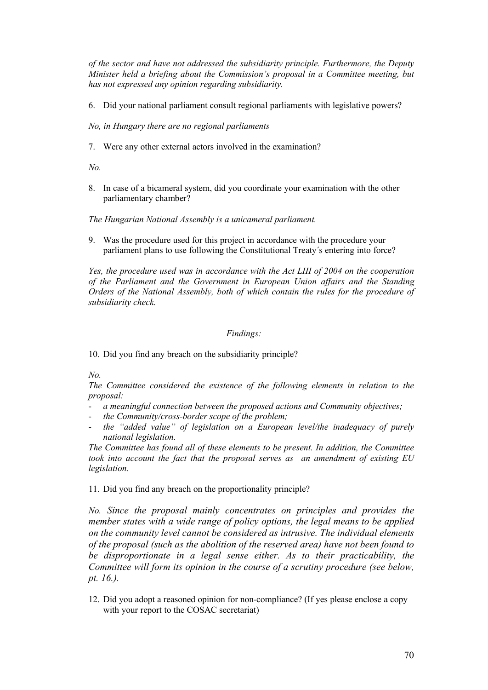*of the sector and have not addressed the subsidiarity principle. Furthermore, the Deputy Minister held a briefing about the Commission's proposal in a Committee meeting, but has not expressed any opinion regarding subsidiarity.*

6. Did your national parliament consult regional parliaments with legislative powers?

*No, in Hungary there are no regional parliaments*

7. Were any other external actors involved in the examination?

*No.* 

8. In case of a bicameral system, did you coordinate your examination with the other parliamentary chamber?

*The Hungarian National Assembly is a unicameral parliament.*

9. Was the procedure used for this project in accordance with the procedure your parliament plans to use following the Constitutional Treaty´s entering into force?

*Yes, the procedure used was in accordance with the Act LIII of 2004 on the cooperation of the Parliament and the Government in European Union affairs and the Standing Orders of the National Assembly, both of which contain the rules for the procedure of subsidiarity check.*

#### *Findings:*

10. Did you find any breach on the subsidiarity principle?

*No.*

*The Committee considered the existence of the following elements in relation to the proposal:*

- *a meaningful connection between the proposed actions and Community objectives;*
- *the Community/cross-border scope of the problem;*
- *the "added value" of legislation on a European level/the inadequacy of purely national legislation.*

*The Committee has found all of these elements to be present. In addition, the Committee took into account the fact that the proposal serves as an amendment of existing EU legislation.*

11. Did you find any breach on the proportionality principle?

*No. Since the proposal mainly concentrates on principles and provides the member states with a wide range of policy options, the legal means to be applied on the community level cannot be considered as intrusive. The individual elements of the proposal (such as the abolition of the reserved area) have not been found to be disproportionate in a legal sense either. As to their practicability, the Committee will form its opinion in the course of a scrutiny procedure (see below, pt. 16.).*

12. Did you adopt a reasoned opinion for non-compliance? (If yes please enclose a copy with your report to the COSAC secretariat)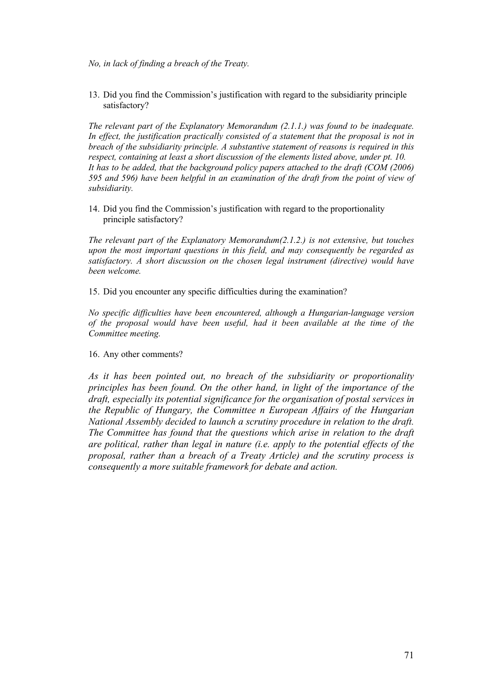*No, in lack of finding a breach of the Treaty.*

13. Did you find the Commission's justification with regard to the subsidiarity principle satisfactory?

*The relevant part of the Explanatory Memorandum (2.1.1.) was found to be inadequate.*  In effect, the justification practically consisted of a statement that the proposal is not in *breach of the subsidiarity principle. A substantive statement of reasons is required in this respect, containing at least a short discussion of the elements listed above, under pt. 10. It has to be added, that the background policy papers attached to the draft (COM (2006) 595 and 596) have been helpful in an examination of the draft from the point of view of subsidiarity.*

14. Did you find the Commission's justification with regard to the proportionality principle satisfactory?

*The relevant part of the Explanatory Memorandum(2.1.2.) is not extensive, but touches upon the most important questions in this field, and may consequently be regarded as satisfactory. A short discussion on the chosen legal instrument (directive) would have been welcome.*

15. Did you encounter any specific difficulties during the examination?

*No specific difficulties have been encountered, although a Hungarian-language version of the proposal would have been useful, had it been available at the time of the Committee meeting.*

16. Any other comments?

*As it has been pointed out, no breach of the subsidiarity or proportionality principles has been found. On the other hand, in light of the importance of the draft, especially its potential significance for the organisation of postal services in the Republic of Hungary, the Committee n European Affairs of the Hungarian National Assembly decided to launch a scrutiny procedure in relation to the draft. The Committee has found that the questions which arise in relation to the draft are political, rather than legal in nature (i.e. apply to the potential effects of the proposal, rather than a breach of a Treaty Article) and the scrutiny process is consequently a more suitable framework for debate and action.*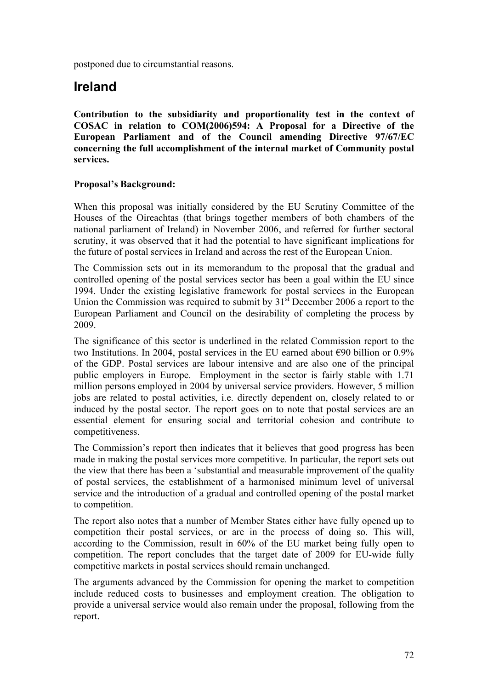postponed due to circumstantial reasons.

# **Ireland**

**Contribution to the subsidiarity and proportionality test in the context of COSAC in relation to COM(2006)594: A Proposal for a Directive of the European Parliament and of the Council amending Directive 97/67/EC concerning the full accomplishment of the internal market of Community postal services.**

## **Proposal's Background:**

When this proposal was initially considered by the EU Scrutiny Committee of the Houses of the Oireachtas (that brings together members of both chambers of the national parliament of Ireland) in November 2006, and referred for further sectoral scrutiny, it was observed that it had the potential to have significant implications for the future of postal services in Ireland and across the rest of the European Union.

The Commission sets out in its memorandum to the proposal that the gradual and controlled opening of the postal services sector has been a goal within the EU since 1994. Under the existing legislative framework for postal services in the European Union the Commission was required to submit by  $31<sup>st</sup>$  December 2006 a report to the European Parliament and Council on the desirability of completing the process by 2009.

The significance of this sector is underlined in the related Commission report to the two Institutions. In 2004, postal services in the EU earned about  $\epsilon$ 90 billion or 0.9% of the GDP. Postal services are labour intensive and are also one of the principal public employers in Europe. Employment in the sector is fairly stable with 1.71 million persons employed in 2004 by universal service providers. However, 5 million jobs are related to postal activities, i.e. directly dependent on, closely related to or induced by the postal sector. The report goes on to note that postal services are an essential element for ensuring social and territorial cohesion and contribute to competitiveness.

The Commission's report then indicates that it believes that good progress has been made in making the postal services more competitive. In particular, the report sets out the view that there has been a 'substantial and measurable improvement of the quality of postal services, the establishment of a harmonised minimum level of universal service and the introduction of a gradual and controlled opening of the postal market to competition.

The report also notes that a number of Member States either have fully opened up to competition their postal services, or are in the process of doing so. This will, according to the Commission, result in 60% of the EU market being fully open to competition. The report concludes that the target date of 2009 for EU-wide fully competitive markets in postal services should remain unchanged.

The arguments advanced by the Commission for opening the market to competition include reduced costs to businesses and employment creation. The obligation to provide a universal service would also remain under the proposal, following from the report.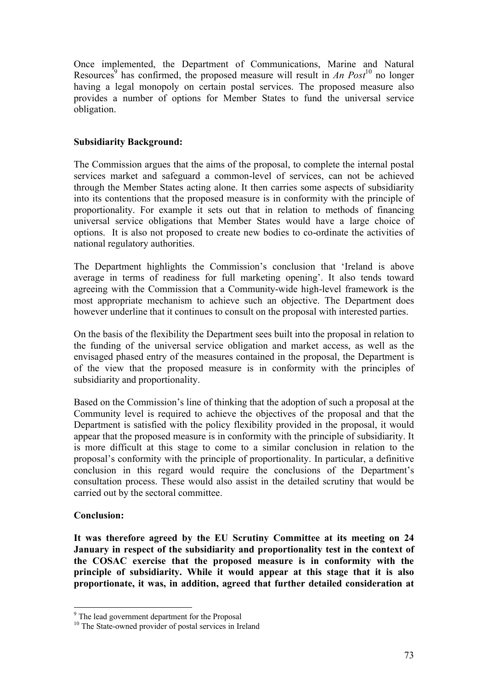Once implemented, the Department of Communications, Marine and Natural Resources<sup>9</sup> has confirmed, the proposed measure will result in *An Post*<sup>10</sup> no longer having a legal monopoly on certain postal services. The proposed measure also provides a number of options for Member States to fund the universal service obligation.

# **Subsidiarity Background:**

The Commission argues that the aims of the proposal, to complete the internal postal services market and safeguard a common-level of services, can not be achieved through the Member States acting alone. It then carries some aspects of subsidiarity into its contentions that the proposed measure is in conformity with the principle of proportionality. For example it sets out that in relation to methods of financing universal service obligations that Member States would have a large choice of options. It is also not proposed to create new bodies to co-ordinate the activities of national regulatory authorities.

The Department highlights the Commission's conclusion that 'Ireland is above average in terms of readiness for full marketing opening'. It also tends toward agreeing with the Commission that a Community-wide high-level framework is the most appropriate mechanism to achieve such an objective. The Department does however underline that it continues to consult on the proposal with interested parties.

On the basis of the flexibility the Department sees built into the proposal in relation to the funding of the universal service obligation and market access, as well as the envisaged phased entry of the measures contained in the proposal, the Department is of the view that the proposed measure is in conformity with the principles of subsidiarity and proportionality.

Based on the Commission's line of thinking that the adoption of such a proposal at the Community level is required to achieve the objectives of the proposal and that the Department is satisfied with the policy flexibility provided in the proposal, it would appear that the proposed measure is in conformity with the principle of subsidiarity. It is more difficult at this stage to come to a similar conclusion in relation to the proposal's conformity with the principle of proportionality. In particular, a definitive conclusion in this regard would require the conclusions of the Department's consultation process. These would also assist in the detailed scrutiny that would be carried out by the sectoral committee.

# **Conclusion:**

**It was therefore agreed by the EU Scrutiny Committee at its meeting on 24 January in respect of the subsidiarity and proportionality test in the context of the COSAC exercise that the proposed measure is in conformity with the principle of subsidiarity. While it would appear at this stage that it is also proportionate, it was, in addition, agreed that further detailed consideration at** 

<sup>9</sup> The lead government department for the Proposal

<sup>&</sup>lt;sup>10</sup> The State-owned provider of postal services in Ireland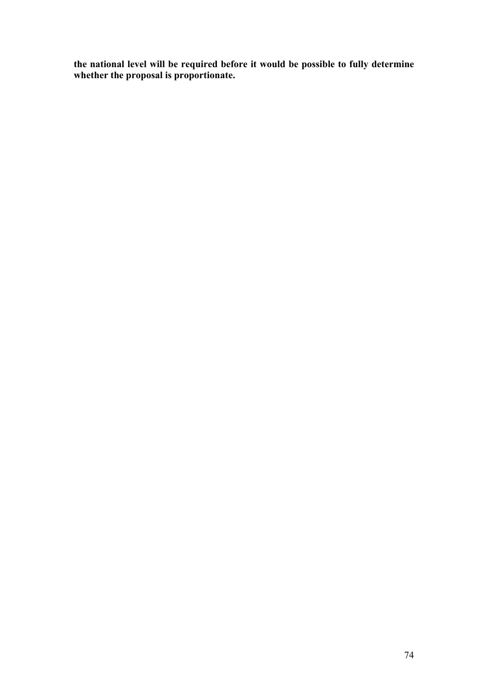**the national level will be required before it would be possible to fully determine whether the proposal is proportionate.**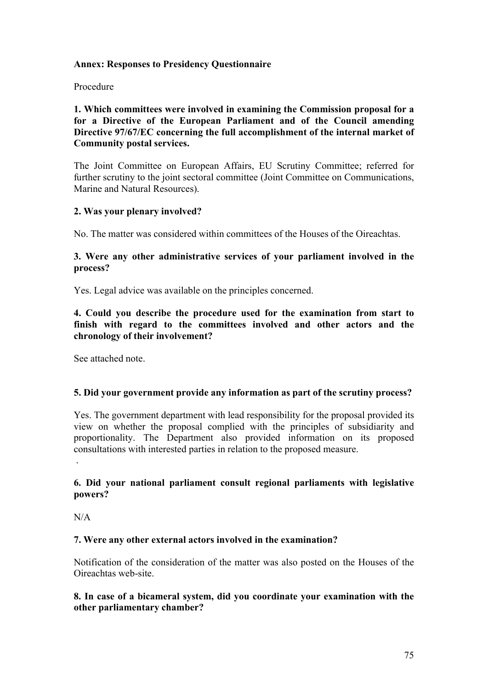## **Annex: Responses to Presidency Questionnaire**

#### Procedure

**1. Which committees were involved in examining the Commission proposal for a for a Directive of the European Parliament and of the Council amending Directive 97/67/EC concerning the full accomplishment of the internal market of Community postal services.**

The Joint Committee on European Affairs, EU Scrutiny Committee; referred for further scrutiny to the joint sectoral committee (Joint Committee on Communications, Marine and Natural Resources).

## **2. Was your plenary involved?**

No. The matter was considered within committees of the Houses of the Oireachtas.

## **3. Were any other administrative services of your parliament involved in the process?**

Yes. Legal advice was available on the principles concerned.

**4. Could you describe the procedure used for the examination from start to finish with regard to the committees involved and other actors and the chronology of their involvement?**

See attached note.

# **5. Did your government provide any information as part of the scrutiny process?**

Yes. The government department with lead responsibility for the proposal provided its view on whether the proposal complied with the principles of subsidiarity and proportionality. The Department also provided information on its proposed consultations with interested parties in relation to the proposed measure.

# **6. Did your national parliament consult regional parliaments with legislative powers?**

N/A

.

# **7. Were any other external actors involved in the examination?**

Notification of the consideration of the matter was also posted on the Houses of the Oireachtas web-site.

## **8. In case of a bicameral system, did you coordinate your examination with the other parliamentary chamber?**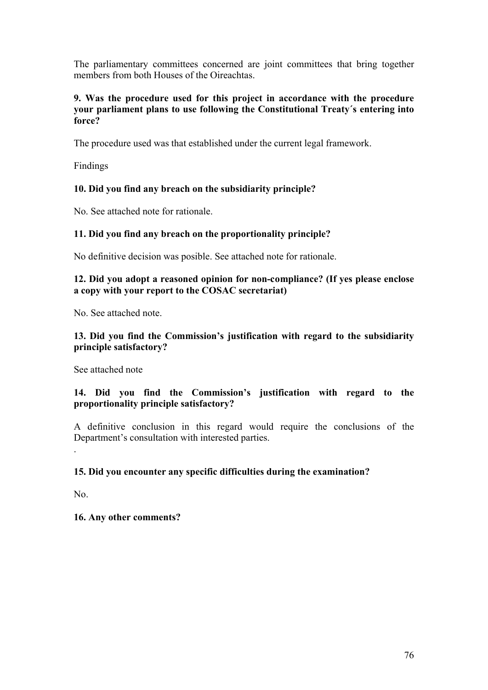The parliamentary committees concerned are joint committees that bring together members from both Houses of the Oireachtas.

## **9. Was the procedure used for this project in accordance with the procedure your parliament plans to use following the Constitutional Treaty´s entering into force?**

The procedure used was that established under the current legal framework.

Findings

# **10. Did you find any breach on the subsidiarity principle?**

No. See attached note for rationale.

# **11. Did you find any breach on the proportionality principle?**

No definitive decision was posible. See attached note for rationale.

# **12. Did you adopt a reasoned opinion for non-compliance? (If yes please enclose a copy with your report to the COSAC secretariat)**

No. See attached note.

# **13. Did you find the Commission's justification with regard to the subsidiarity principle satisfactory?**

See attached note

# **14. Did you find the Commission's justification with regard to the proportionality principle satisfactory?**

A definitive conclusion in this regard would require the conclusions of the Department's consultation with interested parties.

# **15. Did you encounter any specific difficulties during the examination?**

No.

.

# **16. Any other comments?**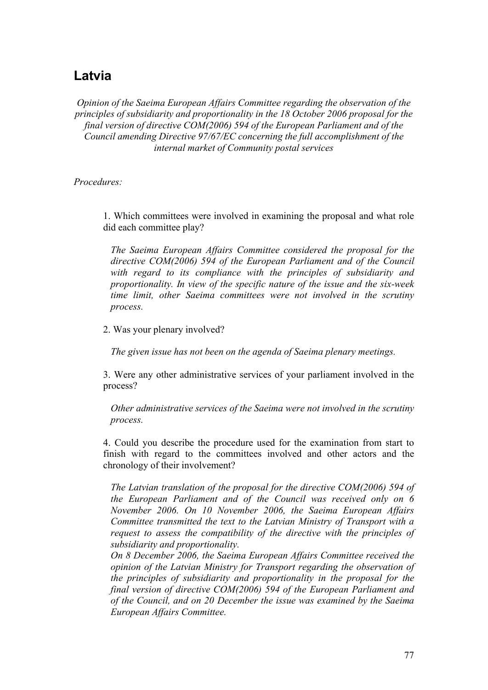# **Latvia**

*Opinion of the Saeima European Affairs Committee regarding the observation of the principles of subsidiarity and proportionality in the 18 October 2006 proposal for the final version of directive COM(2006) 594 of the European Parliament and of the Council amending Directive 97/67/EC concerning the full accomplishment of the internal market of Community postal services*

*Procedures:*

1. Which committees were involved in examining the proposal and what role did each committee play?

*The Saeima European Affairs Committee considered the proposal for the directive COM(2006) 594 of the European Parliament and of the Council with regard to its compliance with the principles of subsidiarity and proportionality. In view of the specific nature of the issue and the six-week time limit, other Saeima committees were not involved in the scrutiny process.*

2. Was your plenary involved?

*The given issue has not been on the agenda of Saeima plenary meetings.*

3. Were any other administrative services of your parliament involved in the process?

*Other administrative services of the Saeima were not involved in the scrutiny process.*

4. Could you describe the procedure used for the examination from start to finish with regard to the committees involved and other actors and the chronology of their involvement?

*The Latvian translation of the proposal for the directive COM(2006) 594 of the European Parliament and of the Council was received only on 6 November 2006. On 10 November 2006, the Saeima European Affairs Committee transmitted the text to the Latvian Ministry of Transport with a request to assess the compatibility of the directive with the principles of subsidiarity and proportionality.*

*On 8 December 2006, the Saeima European Affairs Committee received the opinion of the Latvian Ministry for Transport regarding the observation of the principles of subsidiarity and proportionality in the proposal for the final version of directive COM(2006) 594 of the European Parliament and of the Council, and on 20 December the issue was examined by the Saeima European Affairs Committee.*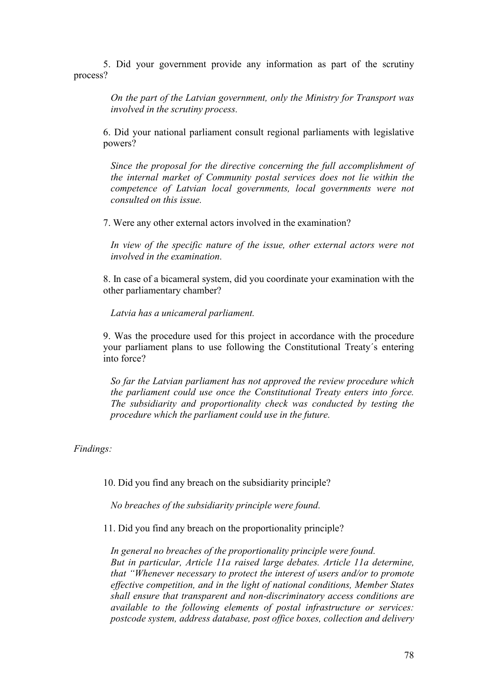5. Did your government provide any information as part of the scrutiny process?

> *On the part of the Latvian government, only the Ministry for Transport was involved in the scrutiny process.*

6. Did your national parliament consult regional parliaments with legislative powers?

*Since the proposal for the directive concerning the full accomplishment of the internal market of Community postal services does not lie within the competence of Latvian local governments, local governments were not consulted on this issue.*

7. Were any other external actors involved in the examination?

In view of the specific nature of the issue, other external actors were not *involved in the examination.*

8. In case of a bicameral system, did you coordinate your examination with the other parliamentary chamber?

*Latvia has a unicameral parliament.*

9. Was the procedure used for this project in accordance with the procedure your parliament plans to use following the Constitutional Treaty´s entering into force?

*So far the Latvian parliament has not approved the review procedure which the parliament could use once the Constitutional Treaty enters into force. The subsidiarity and proportionality check was conducted by testing the procedure which the parliament could use in the future.*

*Findings:*

10. Did you find any breach on the subsidiarity principle?

*No breaches of the subsidiarity principle were found.*

11. Did you find any breach on the proportionality principle?

*In general no breaches of the proportionality principle were found. But in particular, Article 11a raised large debates. Article 11a determine, that "Whenever necessary to protect the interest of users and/or to promote effective competition, and in the light of national conditions, Member States shall ensure that transparent and non-discriminatory access conditions are available to the following elements of postal infrastructure or services: postcode system, address database, post office boxes, collection and delivery*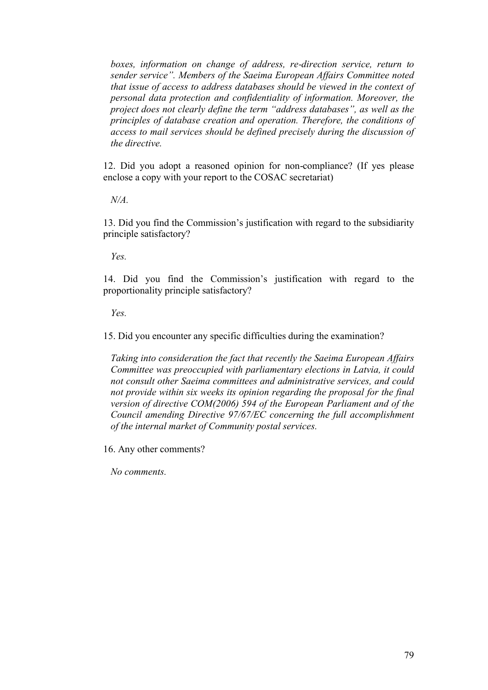*boxes, information on change of address, re-direction service, return to sender service". Members of the Saeima European Affairs Committee noted that issue of access to address databases should be viewed in the context of personal data protection and confidentiality of information. Moreover, the project does not clearly define the term "address databases", as well as the principles of database creation and operation. Therefore, the conditions of access to mail services should be defined precisely during the discussion of the directive.*

12. Did you adopt a reasoned opinion for non-compliance? (If yes please enclose a copy with your report to the COSAC secretariat)

*N/A.*

13. Did you find the Commission's justification with regard to the subsidiarity principle satisfactory?

*Yes.*

14. Did you find the Commission's justification with regard to the proportionality principle satisfactory?

*Yes.*

15. Did you encounter any specific difficulties during the examination?

*Taking into consideration the fact that recently the Saeima European Affairs Committee was preoccupied with parliamentary elections in Latvia, it could not consult other Saeima committees and administrative services, and could not provide within six weeks its opinion regarding the proposal for the final version of directive COM(2006) 594 of the European Parliament and of the Council amending Directive 97/67/EC concerning the full accomplishment of the internal market of Community postal services.*

16. Any other comments?

*No comments.*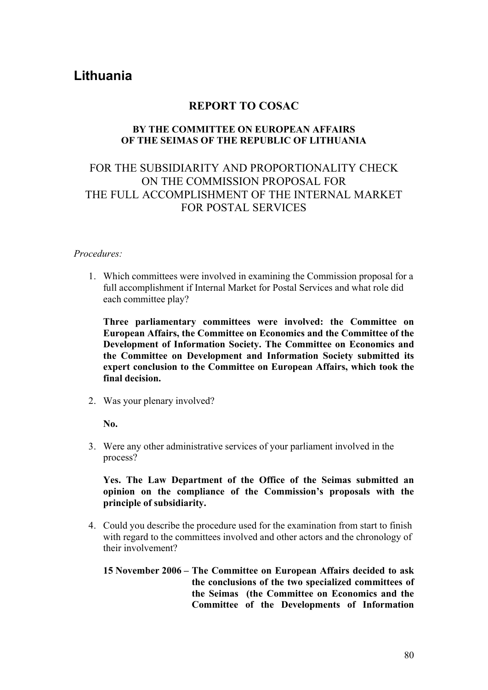# **Lithuania**

# **REPORT TO COSAC**

### **BY THE COMMITTEE ON EUROPEAN AFFAIRS OF THE SEIMAS OF THE REPUBLIC OF LITHUANIA**

# FOR THE SUBSIDIARITY AND PROPORTIONALITY CHECK ON THE COMMISSION PROPOSAL FOR THE FULL ACCOMPLISHMENT OF THE INTERNAL MARKET FOR POSTAL SERVICES

#### *Procedures:*

1. Which committees were involved in examining the Commission proposal for a full accomplishment if Internal Market for Postal Services and what role did each committee play?

**Three parliamentary committees were involved: the Committee on European Affairs, the Committee on Economics and the Committee of the Development of Information Society. The Committee on Economics and the Committee on Development and Information Society submitted its expert conclusion to the Committee on European Affairs, which took the final decision.** 

2. Was your plenary involved?

**No.** 

3. Were any other administrative services of your parliament involved in the process?

**Yes. The Law Department of the Office of the Seimas submitted an opinion on the compliance of the Commission's proposals with the principle of subsidiarity.** 

4. Could you describe the procedure used for the examination from start to finish with regard to the committees involved and other actors and the chronology of their involvement?

## **15 November 2006 – The Committee on European Affairs decided to ask the conclusions of the two specialized committees of the Seimas (the Committee on Economics and the Committee of the Developments of Information**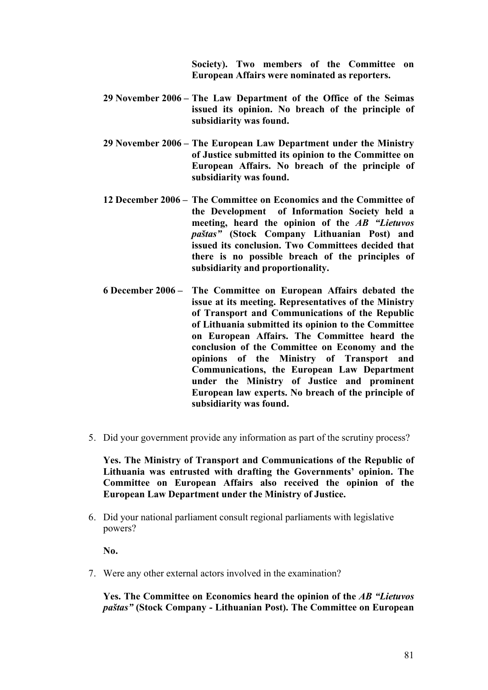**Society). Two members of the Committee on European Affairs were nominated as reporters.**

- **29 November 2006 – The Law Department of the Office of the Seimas issued its opinion. No breach of the principle of subsidiarity was found.**
- **29 November 2006 – The European Law Department under the Ministry of Justice submitted its opinion to the Committee on European Affairs. No breach of the principle of subsidiarity was found.**
- **12 December 2006 – The Committee on Economics and the Committee of the Development of Information Society held a meeting, heard the opinion of the** *AB "Lietuvos paštas"* **(Stock Company Lithuanian Post) and issued its conclusion. Two Committees decided that there is no possible breach of the principles of subsidiarity and proportionality.**
- **6 December 2006 – The Committee on European Affairs debated the issue at its meeting. Representatives of the Ministry of Transport and Communications of the Republic of Lithuania submitted its opinion to the Committee on European Affairs. The Committee heard the conclusion of the Committee on Economy and the opinions of the Ministry of Transport and Communications, the European Law Department under the Ministry of Justice and prominent European law experts. No breach of the principle of subsidiarity was found.**
- 5. Did your government provide any information as part of the scrutiny process?

**Yes. The Ministry of Transport and Communications of the Republic of Lithuania was entrusted with drafting the Governments' opinion. The Committee on European Affairs also received the opinion of the European Law Department under the Ministry of Justice.**

6. Did your national parliament consult regional parliaments with legislative powers?

**No.**

7. Were any other external actors involved in the examination?

**Yes. The Committee on Economics heard the opinion of the** *AB "Lietuvos paštas"* **(Stock Company - Lithuanian Post). The Committee on European**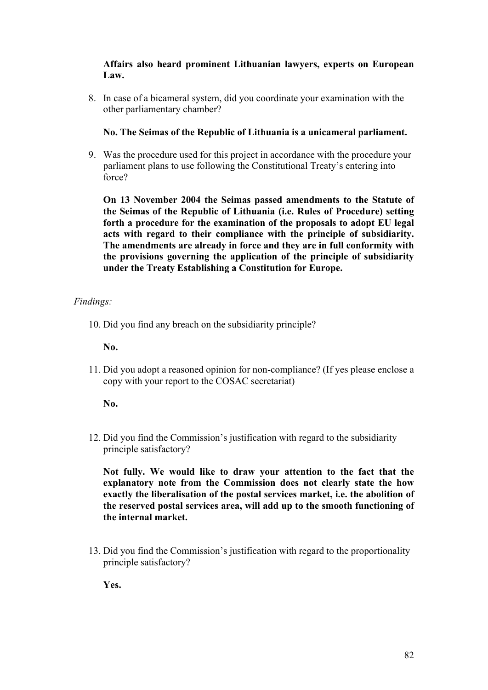# **Affairs also heard prominent Lithuanian lawyers, experts on European Law.**

8. In case of a bicameral system, did you coordinate your examination with the other parliamentary chamber?

# **No. The Seimas of the Republic of Lithuania is a unicameral parliament.**

9. Was the procedure used for this project in accordance with the procedure your parliament plans to use following the Constitutional Treaty's entering into force?

**On 13 November 2004 the Seimas passed amendments to the Statute of the Seimas of the Republic of Lithuania (i.e. Rules of Procedure) setting forth a procedure for the examination of the proposals to adopt EU legal acts with regard to their compliance with the principle of subsidiarity. The amendments are already in force and they are in full conformity with the provisions governing the application of the principle of subsidiarity under the Treaty Establishing a Constitution for Europe.** 

# *Findings:*

10. Did you find any breach on the subsidiarity principle?

**No.**

11. Did you adopt a reasoned opinion for non-compliance? (If yes please enclose a copy with your report to the COSAC secretariat)

**No.**

12. Did you find the Commission's justification with regard to the subsidiarity principle satisfactory?

**Not fully. We would like to draw your attention to the fact that the explanatory note from the Commission does not clearly state the how exactly the liberalisation of the postal services market, i.e. the abolition of the reserved postal services area, will add up to the smooth functioning of the internal market.** 

13. Did you find the Commission's justification with regard to the proportionality principle satisfactory?

**Yes.**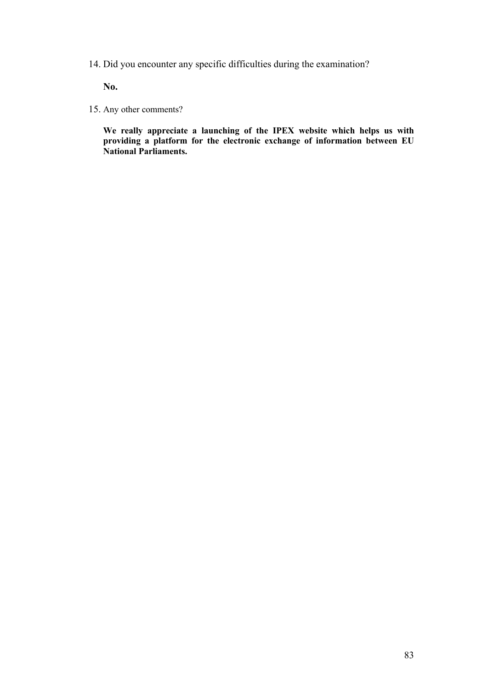14. Did you encounter any specific difficulties during the examination?

**No.** 

15. Any other comments?

**We really appreciate a launching of the IPEX website which helps us with providing a platform for the electronic exchange of information between EU National Parliaments.**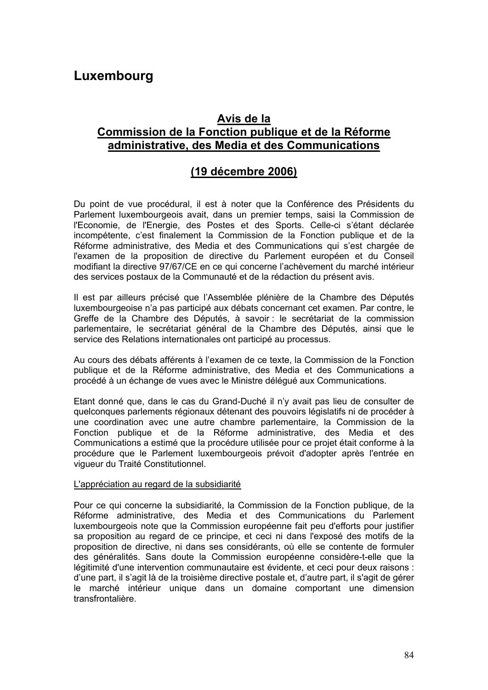# **Luxembourg**

# **Avis de la Commission de la Fonction publique et de la Réforme administrative, des Media et des Communications**

# **(19 décembre 2006)**

Du point de vue procédural, il est à noter que la Conférence des Présidents du Parlement luxembourgeois avait, dans un premier temps, saisi la Commission de l'Economie, de l'Energie, des Postes et des Sports. Celle-ci s'étant déclarée incompétente, c'est finalement la Commission de la Fonction publique et de la Réforme administrative, des Media et des Communications qui s'est chargée de l'examen de la proposition de directive du Parlement européen et du Conseil modifiant la directive 97/67/CE en ce qui concerne l'achèvement du marché intérieur des services postaux de la Communauté et de la rédaction du présent avis.

Il est par ailleurs précisé que l'Assemblée plénière de la Chambre des Députés luxembourgeoise n'a pas participé aux débats concernant cet examen. Par contre, le Greffe de la Chambre des Députés, à savoir : le secrétariat de la commission parlementaire, le secrétariat général de la Chambre des Députés, ainsi que le service des Relations internationales ont participé au processus.

Au cours des débats afférents à l'examen de ce texte, la Commission de la Fonction publique et de la Réforme administrative, des Media et des Communications a procédé à un échange de vues avec le Ministre délégué aux Communications.

Etant donné que, dans le cas du Grand-Duché il n'y avait pas lieu de consulter de quelconques parlements régionaux détenant des pouvoirs législatifs ni de procéder à une coordination avec une autre chambre parlementaire, la Commission de la Fonction publique et de la Réforme administrative, des Media et des Communications a estimé que la procédure utilisée pour ce projet était conforme à la procédure que le Parlement luxembourgeois prévoit d'adopter après l'entrée en vigueur du Traité Constitutionnel.

#### L'appréciation au regard de la subsidiarité

Pour ce qui concerne la subsidiarité, la Commission de la Fonction publique, de la Réforme administrative, des Media et des Communications du Parlement luxembourgeois note que la Commission européenne fait peu d'efforts pour justifier sa proposition au regard de ce principe, et ceci ni dans l'exposé des motifs de la proposition de directive, ni dans ses considérants, où elle se contente de formuler des généralités. Sans doute la Commission européenne considère-t-elle que la légitimité d'une intervention communautaire est évidente, et ceci pour deux raisons : d'une part, il s'agit là de la troisième directive postale et, d'autre part, il s'agit de gérer le marché intérieur unique dans un domaine comportant une dimension transfrontalière.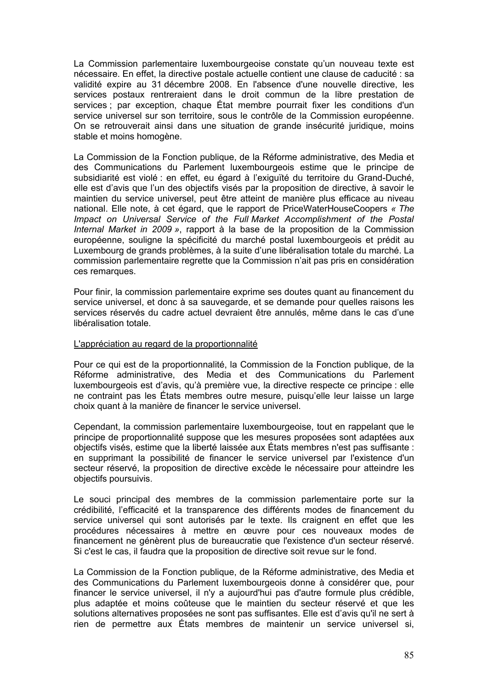La Commission parlementaire luxembourgeoise constate qu'un nouveau texte est nécessaire. En effet, la directive postale actuelle contient une clause de caducité : sa validité expire au 31 décembre 2008. En l'absence d'une nouvelle directive, les services postaux rentreraient dans le droit commun de la libre prestation de services ; par exception, chaque État membre pourrait fixer les conditions d'un service universel sur son territoire, sous le contrôle de la Commission européenne. On se retrouverait ainsi dans une situation de grande insécurité juridique, moins stable et moins homogène.

La Commission de la Fonction publique, de la Réforme administrative, des Media et des Communications du Parlement luxembourgeois estime que le principe de subsidiarité est violé : en effet, eu égard à l'exiguïté du territoire du Grand-Duché, elle est d'avis que l'un des objectifs visés par la proposition de directive, à savoir le maintien du service universel, peut être atteint de manière plus efficace au niveau national. Elle note, à cet égard, que le rapport de PriceWaterHouseCoopers *« The Impact on Universal Service of the Full Market Accomplishment of the Postal Internal Market in 2009 »*, rapport à la base de la proposition de la Commission européenne, souligne la spécificité du marché postal luxembourgeois et prédit au Luxembourg de grands problèmes, à la suite d'une libéralisation totale du marché. La commission parlementaire regrette que la Commission n'ait pas pris en considération ces remarques.

Pour finir, la commission parlementaire exprime ses doutes quant au financement du service universel, et donc à sa sauvegarde, et se demande pour quelles raisons les services réservés du cadre actuel devraient être annulés, même dans le cas d'une libéralisation totale.

#### L'appréciation au regard de la proportionnalité

Pour ce qui est de la proportionnalité, la Commission de la Fonction publique, de la Réforme administrative, des Media et des Communications du Parlement luxembourgeois est d'avis, qu'à première vue, la directive respecte ce principe : elle ne contraint pas les États membres outre mesure, puisqu'elle leur laisse un large choix quant à la manière de financer le service universel.

Cependant, la commission parlementaire luxembourgeoise, tout en rappelant que le principe de proportionnalité suppose que les mesures proposées sont adaptées aux objectifs visés, estime que la liberté laissée aux États membres n'est pas suffisante : en supprimant la possibilité de financer le service universel par l'existence d'un secteur réservé, la proposition de directive excède le nécessaire pour atteindre les objectifs poursuivis.

Le souci principal des membres de la commission parlementaire porte sur la crédibilité, l'efficacité et la transparence des différents modes de financement du service universel qui sont autorisés par le texte. Ils craignent en effet que les procédures nécessaires à mettre en œuvre pour ces nouveaux modes de financement ne génèrent plus de bureaucratie que l'existence d'un secteur réservé. Si c'est le cas, il faudra que la proposition de directive soit revue sur le fond.

La Commission de la Fonction publique, de la Réforme administrative, des Media et des Communications du Parlement luxembourgeois donne à considérer que, pour financer le service universel, il n'y a aujourd'hui pas d'autre formule plus crédible, plus adaptée et moins coûteuse que le maintien du secteur réservé et que les solutions alternatives proposées ne sont pas suffisantes. Elle est d'avis qu'il ne sert à rien de permettre aux États membres de maintenir un service universel si,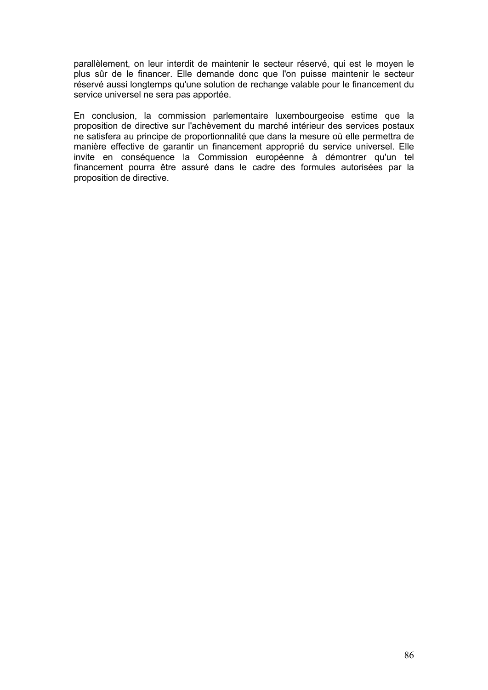parallèlement, on leur interdit de maintenir le secteur réservé, qui est le moyen le plus sûr de le financer. Elle demande donc que l'on puisse maintenir le secteur réservé aussi longtemps qu'une solution de rechange valable pour le financement du service universel ne sera pas apportée.

En conclusion, la commission parlementaire luxembourgeoise estime que la proposition de directive sur l'achèvement du marché intérieur des services postaux ne satisfera au principe de proportionnalité que dans la mesure où elle permettra de manière effective de garantir un financement approprié du service universel. Elle invite en conséquence la Commission européenne à démontrer qu'un tel financement pourra être assuré dans le cadre des formules autorisées par la proposition de directive.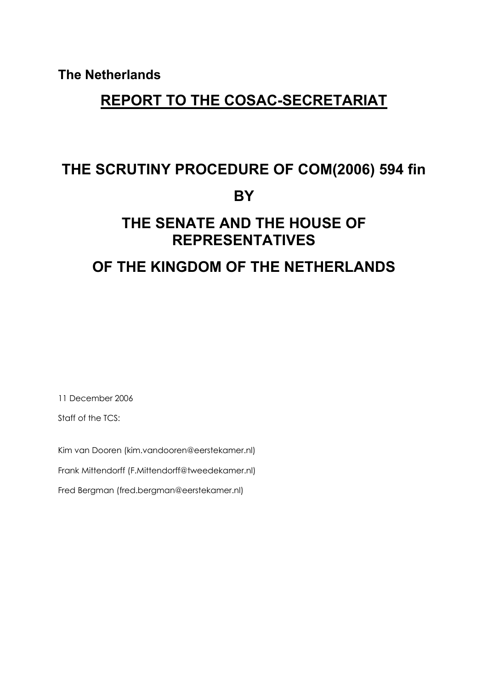**The Netherlands**

# **REPORT TO THE COSAC-SECRETARIAT**

# **THE SCRUTINY PROCEDURE OF COM(2006) 594 fin BY**

# **THE SENATE AND THE HOUSE OF REPRESENTATIVES**

# **OF THE KINGDOM OF THE NETHERLANDS**

11 December 2006

Staff of the TCS:

Kim van Dooren (kim.vandooren@eerstekamer.nl)

Frank Mittendorff (F.Mittendorff@tweedekamer.nl)

Fred Bergman (fred.bergman@eerstekamer.nl)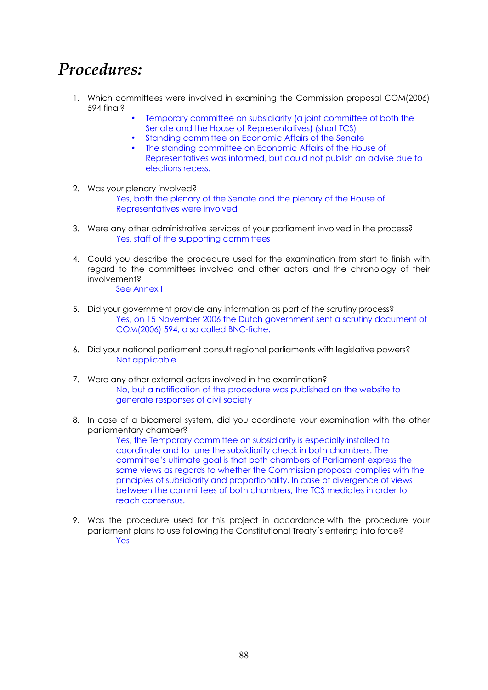# *Procedures:*

- 1. Which committees were involved in examining the Commission proposal COM(2006) 594 final?
	- Temporary committee on subsidiarity (a joint committee of both the Senate and the House of Representatives) (short TCS)
	- Standing committee on Economic Affairs of the Senate
	- The standing committee on Economic Affairs of the House of Representatives was informed, but could not publish an advise due to elections recess.
- 2. Was your plenary involved? Yes, both the plenary of the Senate and the plenary of the House of Representatives were involved
- 3. Were any other administrative services of your parliament involved in the process? Yes, staff of the supporting committees
- 4. Could you describe the procedure used for the examination from start to finish with regard to the committees involved and other actors and the chronology of their involvement? See Annex I
- 5. Did your government provide any information as part of the scrutiny process? Yes, on 15 November 2006 the Dutch government sent a scrutiny document of COM(2006) 594, a so called BNC-fiche.
- 6. Did your national parliament consult regional parliaments with legislative powers? Not applicable
- 7. Were any other external actors involved in the examination? No, but a notification of the procedure was published on the website to generate responses of civil society
- 8. In case of a bicameral system, did you coordinate your examination with the other parliamentary chamber?

Yes, the Temporary committee on subsidiarity is especially installed to coordinate and to tune the subsidiarity check in both chambers. The committee's ultimate goal is that both chambers of Parliament express the same views as regards to whether the Commission proposal complies with the principles of subsidiarity and proportionality. In case of divergence of views between the committees of both chambers, the TCS mediates in order to reach consensus.

9. Was the procedure used for this project in accordance with the procedure your parliament plans to use following the Constitutional Treaty´s entering into force? Yes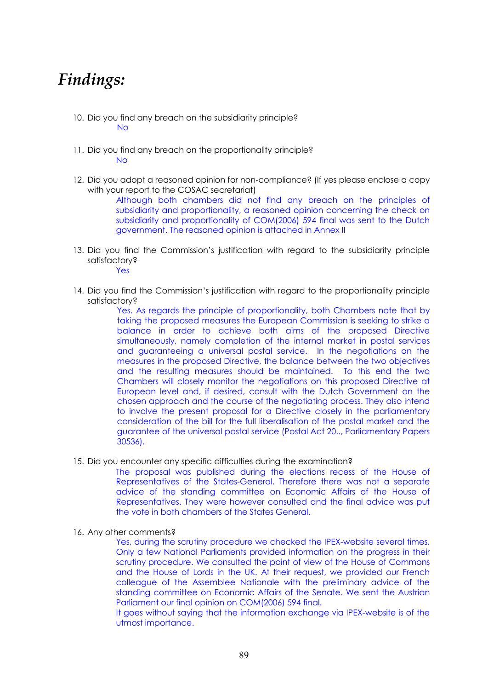# *Findings:*

- 10. Did you find any breach on the subsidiarity principle? No
- 11. Did you find any breach on the proportionality principle? No
- 12. Did you adopt a reasoned opinion for non-compliance? (If yes please enclose a copy with your report to the COSAC secretariat)

Although both chambers did not find any breach on the principles of subsidiarity and proportionality, a reasoned opinion concerning the check on subsidiarity and proportionality of COM(2006) 594 final was sent to the Dutch government. The reasoned opinion is attached in Annex II

13. Did you find the Commission's justification with regard to the subsidiarity principle satisfactory?

Yes

14. Did you find the Commission's justification with regard to the proportionality principle satisfactory?

> Yes. As regards the principle of proportionality, both Chambers note that by taking the proposed measures the European Commission is seeking to strike a balance in order to achieve both aims of the proposed Directive simultaneously, namely completion of the internal market in postal services and guaranteeing a universal postal service. In the negotiations on the measures in the proposed Directive, the balance between the two objectives and the resulting measures should be maintained. To this end the two Chambers will closely monitor the negotiations on this proposed Directive at European level and, if desired, consult with the Dutch Government on the chosen approach and the course of the negotiating process. They also intend to involve the present proposal for a Directive closely in the parliamentary consideration of the bill for the full liberalisation of the postal market and the guarantee of the universal postal service (Postal Act 20.., Parliamentary Papers 30536).

15. Did you encounter any specific difficulties during the examination?

The proposal was published during the elections recess of the House of Representatives of the States-General. Therefore there was not a separate advice of the standing committee on Economic Affairs of the House of Representatives. They were however consulted and the final advice was put the vote in both chambers of the States General.

16. Any other comments?

Yes, during the scrutiny procedure we checked the IPEX-website several times. Only a few National Parliaments provided information on the progress in their scrutiny procedure. We consulted the point of view of the House of Commons and the House of Lords in the UK. At their request, we provided our French colleague of the Assemblee Nationale with the preliminary advice of the standing committee on Economic Affairs of the Senate. We sent the Austrian Parliament our final opinion on COM(2006) 594 final.

It goes without saying that the information exchange via IPEX-website is of the utmost importance.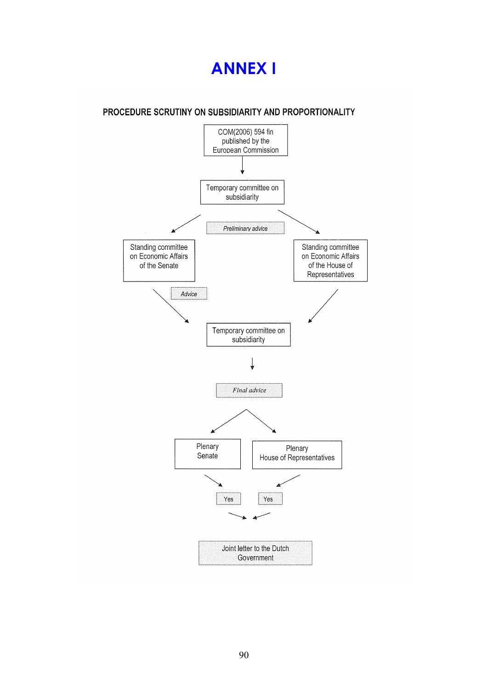# **ANNEX I**

# PROCEDURE SCRUTINY ON SUBSIDIARITY AND PROPORTIONALITY

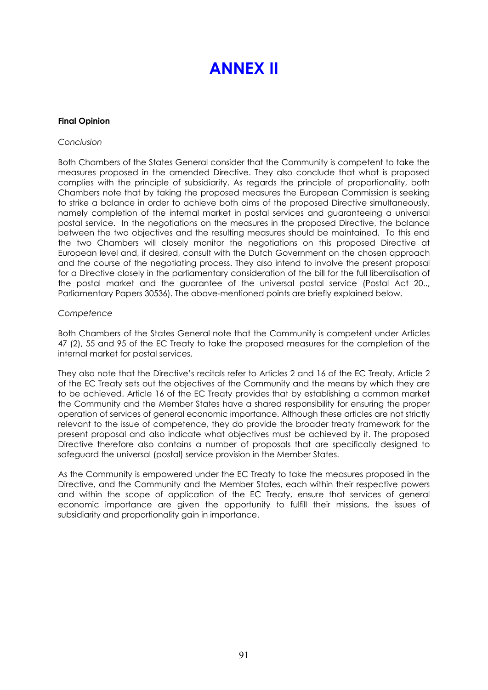# **ANNEX II**

#### **Final Opinion**

#### *Conclusion*

Both Chambers of the States General consider that the Community is competent to take the measures proposed in the amended Directive. They also conclude that what is proposed complies with the principle of subsidiarity. As regards the principle of proportionality, both Chambers note that by taking the proposed measures the European Commission is seeking to strike a balance in order to achieve both aims of the proposed Directive simultaneously, namely completion of the internal market in postal services and guaranteeing a universal postal service. In the negotiations on the measures in the proposed Directive, the balance between the two objectives and the resulting measures should be maintained. To this end the two Chambers will closely monitor the negotiations on this proposed Directive at European level and, if desired, consult with the Dutch Government on the chosen approach and the course of the negotiating process. They also intend to involve the present proposal for a Directive closely in the parliamentary consideration of the bill for the full liberalisation of the postal market and the guarantee of the universal postal service (Postal Act 20.., Parliamentary Papers 30536). The above-mentioned points are briefly explained below.

#### *Competence*

Both Chambers of the States General note that the Community is competent under Articles 47 (2), 55 and 95 of the EC Treaty to take the proposed measures for the completion of the internal market for postal services.

They also note that the Directive's recitals refer to Articles 2 and 16 of the EC Treaty. Article 2 of the EC Treaty sets out the objectives of the Community and the means by which they are to be achieved. Article 16 of the EC Treaty provides that by establishing a common market the Community and the Member States have a shared responsibility for ensuring the proper operation of services of general economic importance. Although these articles are not strictly relevant to the issue of competence, they do provide the broader treaty framework for the present proposal and also indicate what objectives must be achieved by it. The proposed Directive therefore also contains a number of proposals that are specifically designed to safeguard the universal (postal) service provision in the Member States.

As the Community is empowered under the EC Treaty to take the measures proposed in the Directive, and the Community and the Member States, each within their respective powers and within the scope of application of the EC Treaty, ensure that services of general economic importance are given the opportunity to fulfill their missions, the issues of subsidiarity and proportionality gain in importance.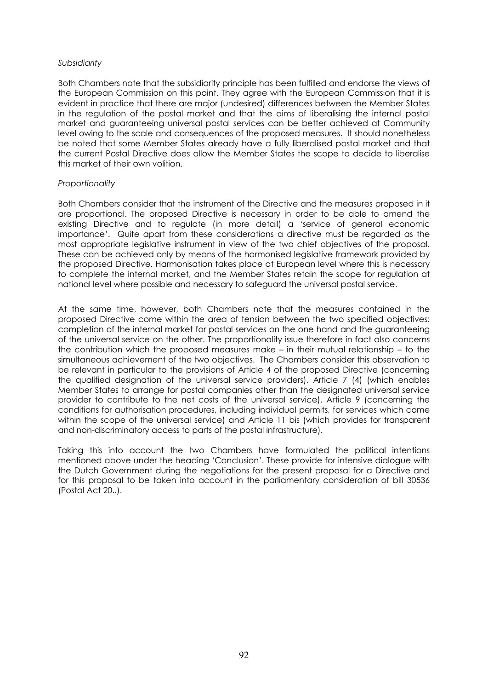#### *Subsidiarity*

Both Chambers note that the subsidiarity principle has been fulfilled and endorse the views of the European Commission on this point. They agree with the European Commission that it is evident in practice that there are major (undesired) differences between the Member States in the regulation of the postal market and that the aims of liberalising the internal postal market and guaranteeing universal postal services can be better achieved at Community level owing to the scale and consequences of the proposed measures. It should nonetheless be noted that some Member States already have a fully liberalised postal market and that the current Postal Directive does allow the Member States the scope to decide to liberalise this market of their own volition.

#### *Proportionality*

Both Chambers consider that the instrument of the Directive and the measures proposed in it are proportional. The proposed Directive is necessary in order to be able to amend the existing Directive and to regulate (in more detail) a 'service of general economic importance'. Quite apart from these considerations a directive must be regarded as the most appropriate legislative instrument in view of the two chief objectives of the proposal. These can be achieved only by means of the harmonised legislative framework provided by the proposed Directive. Harmonisation takes place at European level where this is necessary to complete the internal market, and the Member States retain the scope for regulation at national level where possible and necessary to safeguard the universal postal service.

At the same time, however, both Chambers note that the measures contained in the proposed Directive come within the area of tension between the two specified objectives: completion of the internal market for postal services on the one hand and the guaranteeing of the universal service on the other. The proportionality issue therefore in fact also concerns the contribution which the proposed measures make – in their mutual relationship – to the simultaneous achievement of the two objectives. The Chambers consider this observation to be relevant in particular to the provisions of Article 4 of the proposed Directive (concerning the qualified designation of the universal service providers). Article 7 (4) (which enables Member States to arrange for postal companies other than the designated universal service provider to contribute to the net costs of the universal service), Article 9 (concerning the conditions for authorisation procedures, including individual permits, for services which come within the scope of the universal service) and Article 11 bis (which provides for transparent and non-discriminatory access to parts of the postal infrastructure).

Taking this into account the two Chambers have formulated the political intentions mentioned above under the heading 'Conclusion'. These provide for intensive dialogue with the Dutch Government during the negotiations for the present proposal for a Directive and for this proposal to be taken into account in the parliamentary consideration of bill 30536 (Postal Act 20..).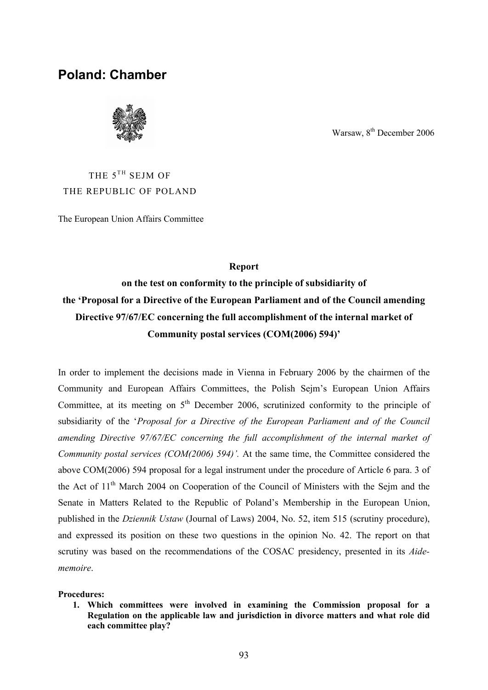# **Poland: Chamber**



Warsaw, 8<sup>th</sup> December 2006

# THE  $5^{TH}$  SEJM OF THE REPUBLIC OF POLAND

The European Union Affairs Committee

#### **Report**

# **on the test on conformity to the principle of subsidiarity of the 'Proposal for a Directive of the European Parliament and of the Council amending Directive 97/67/EC concerning the full accomplishment of the internal market of Community postal services (COM(2006) 594)'**

In order to implement the decisions made in Vienna in February 2006 by the chairmen of the Community and European Affairs Committees, the Polish Sejm's European Union Affairs Committee, at its meeting on  $5<sup>th</sup>$  December 2006, scrutinized conformity to the principle of subsidiarity of the '*Proposal for a Directive of the European Parliament and of the Council amending Directive 97/67/EC concerning the full accomplishment of the internal market of Community postal services (COM(2006) 594)'.* At the same time, the Committee considered the above COM(2006) 594 proposal for a legal instrument under the procedure of Article 6 para. 3 of the Act of 11th March 2004 on Cooperation of the Council of Ministers with the Sejm and the Senate in Matters Related to the Republic of Poland's Membership in the European Union, published in the *Dziennik Ustaw* (Journal of Laws) 2004, No. 52, item 515 (scrutiny procedure), and expressed its position on these two questions in the opinion No. 42. The report on that scrutiny was based on the recommendations of the COSAC presidency, presented in its *Aidememoire*.

#### **Procedures:**

**1. Which committees were involved in examining the Commission proposal for a Regulation on the applicable law and jurisdiction in divorce matters and what role did each committee play?**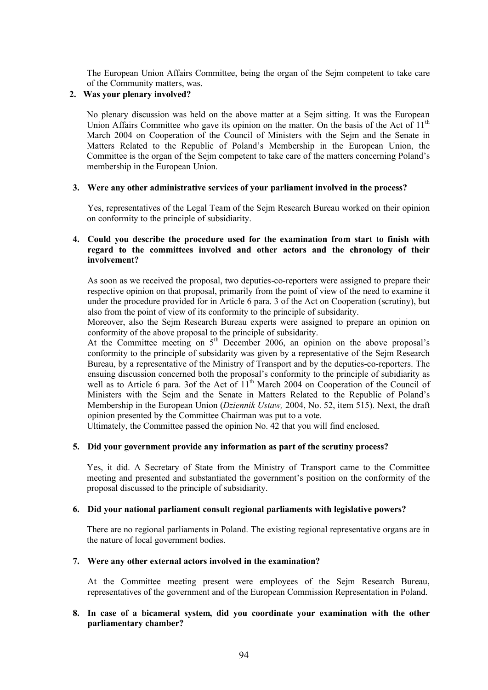The European Union Affairs Committee, being the organ of the Sejm competent to take care of the Community matters, was.

#### **2. Was your plenary involved?**

No plenary discussion was held on the above matter at a Sejm sitting. It was the European Union Affairs Committee who gave its opinion on the matter. On the basis of the Act of 11<sup>th</sup> March 2004 on Cooperation of the Council of Ministers with the Sejm and the Senate in Matters Related to the Republic of Poland's Membership in the European Union, the Committee is the organ of the Sejm competent to take care of the matters concerning Poland's membership in the European Union.

#### **3. Were any other administrative services of your parliament involved in the process?**

Yes, representatives of the Legal Team of the Sejm Research Bureau worked on their opinion on conformity to the principle of subsidiarity.

#### **4. Could you describe the procedure used for the examination from start to finish with regard to the committees involved and other actors and the chronology of their involvement?**

As soon as we received the proposal, two deputies-co-reporters were assigned to prepare their respective opinion on that proposal, primarily from the point of view of the need to examine it under the procedure provided for in Article 6 para. 3 of the Act on Cooperation (scrutiny), but also from the point of view of its conformity to the principle of subsidarity.

Moreover, also the Sejm Research Bureau experts were assigned to prepare an opinion on conformity of the above proposal to the principle of subsidarity.

At the Committee meeting on 5<sup>th</sup> December 2006, an opinion on the above proposal's conformity to the principle of subsidarity was given by a representative of the Sejm Research Bureau, by a representative of the Ministry of Transport and by the deputies-co-reporters. The ensuing discussion concerned both the proposal's conformity to the principle of subidiarity as well as to Article 6 para. 3of the Act of  $11<sup>th</sup>$  March 2004 on Cooperation of the Council of Ministers with the Sejm and the Senate in Matters Related to the Republic of Poland's Membership in the European Union (*Dziennik Ustaw,* 2004, No. 52, item 515). Next, the draft opinion presented by the Committee Chairman was put to a vote.

Ultimately, the Committee passed the opinion No. 42 that you will find enclosed.

#### **5. Did your government provide any information as part of the scrutiny process?**

Yes, it did. A Secretary of State from the Ministry of Transport came to the Committee meeting and presented and substantiated the government's position on the conformity of the proposal discussed to the principle of subsidiarity.

#### **6. Did your national parliament consult regional parliaments with legislative powers?**

There are no regional parliaments in Poland. The existing regional representative organs are in the nature of local government bodies.

#### **7. Were any other external actors involved in the examination?**

At the Committee meeting present were employees of the Sejm Research Bureau, representatives of the government and of the European Commission Representation in Poland.

#### **8. In case of a bicameral system, did you coordinate your examination with the other parliamentary chamber?**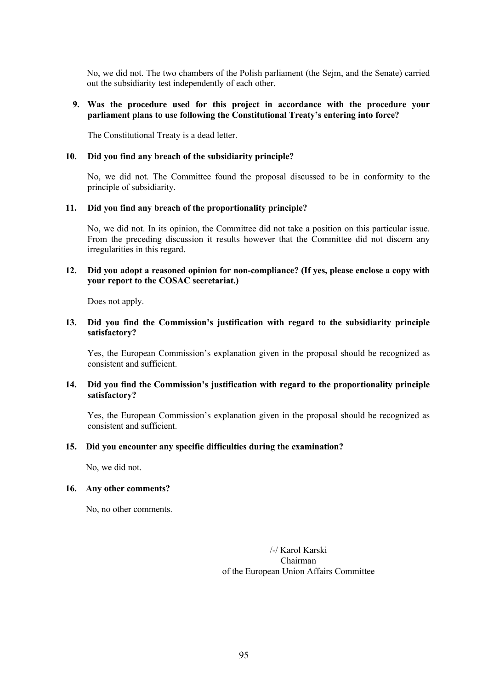No, we did not. The two chambers of the Polish parliament (the Sejm, and the Senate) carried out the subsidiarity test independently of each other.

#### **9. Was the procedure used for this project in accordance with the procedure your parliament plans to use following the Constitutional Treaty's entering into force?**

The Constitutional Treaty is a dead letter.

#### **10. Did you find any breach of the subsidiarity principle?**

No, we did not. The Committee found the proposal discussed to be in conformity to the principle of subsidiarity.

#### **11. Did you find any breach of the proportionality principle?**

No, we did not. In its opinion, the Committee did not take a position on this particular issue. From the preceding discussion it results however that the Committee did not discern any irregularities in this regard.

#### **12. Did you adopt a reasoned opinion for non-compliance? (If yes, please enclose a copy with your report to the COSAC secretariat.)**

Does not apply.

#### **13. Did you find the Commission's justification with regard to the subsidiarity principle satisfactory?**

Yes, the European Commission's explanation given in the proposal should be recognized as consistent and sufficient.

#### **14. Did you find the Commission's justification with regard to the proportionality principle satisfactory?**

Yes, the European Commission's explanation given in the proposal should be recognized as consistent and sufficient.

#### **15. Did you encounter any specific difficulties during the examination?**

No, we did not.

#### **16. Any other comments?**

No, no other comments.

/-/ Karol Karski Chairman of the European Union Affairs Committee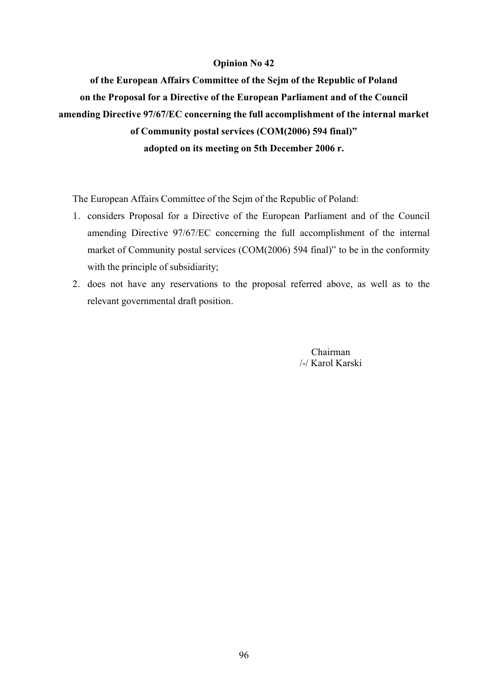### **Opinion No 42**

**of the European Affairs Committee of the Sejm of the Republic of Poland on the Proposal for a Directive of the European Parliament and of the Council amending Directive 97/67/EC concerning the full accomplishment of the internal market of Community postal services (COM(2006) 594 final)" adopted on its meeting on 5th December 2006 r.**

The European Affairs Committee of the Sejm of the Republic of Poland:

- 1. considers Proposal for a Directive of the European Parliament and of the Council amending Directive 97/67/EC concerning the full accomplishment of the internal market of Community postal services (COM(2006) 594 final)" to be in the conformity with the principle of subsidiarity;
- 2. does not have any reservations to the proposal referred above, as well as to the relevant governmental draft position.

Chairman /-/ Karol Karski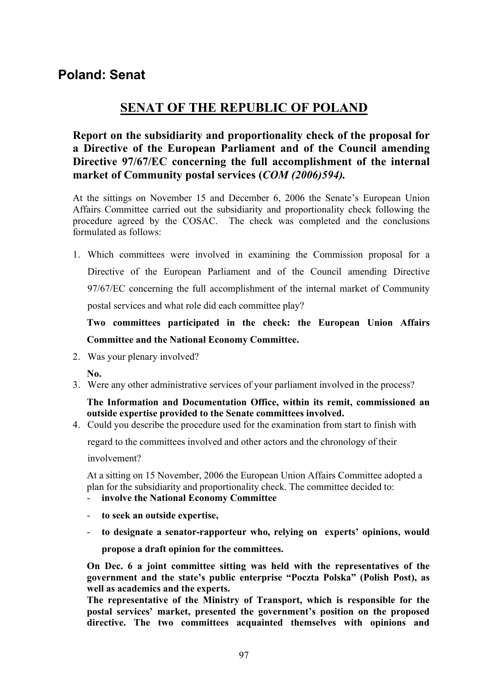# **SENAT OF THE REPUBLIC OF POLAND**

**Report on the subsidiarity and proportionality check of the proposal for a Directive of the European Parliament and of the Council amending Directive 97/67/EC concerning the full accomplishment of the internal market of Community postal services (***COM (2006)594).*

At the sittings on November 15 and December 6, 2006 the Senate's European Union Affairs Committee carried out the subsidiarity and proportionality check following the procedure agreed by the COSAC. The check was completed and the conclusions formulated as follows:

1. Which committees were involved in examining the Commission proposal for a Directive of the European Parliament and of the Council amending Directive 97/67/EC concerning the full accomplishment of the internal market of Community postal services and what role did each committee play?

**Two committees participated in the check: the European Union Affairs Committee and the National Economy Committee.**

2. Was your plenary involved?

**No.**

3. Were any other administrative services of your parliament involved in the process?

**The Information and Documentation Office, within its remit, commissioned an outside expertise provided to the Senate committees involved.** 

4. Could you describe the procedure used for the examination from start to finish with

regard to the committees involved and other actors and the chronology of their

involvement?

At a sitting on 15 November, 2006 the European Union Affairs Committee adopted a plan for the subsidiarity and proportionality check. The committee decided to:

- **involve the National Economy Committee**
- **to seek an outside expertise,**
- **to designate a senator-rapporteur who, relying on experts' opinions, would propose a draft opinion for the committees.**

**On Dec. 6 a joint committee sitting was held with the representatives of the government and the state's public enterprise "Poczta Polska" (Polish Post), as well as academics and the experts.** 

**The representative of the Ministry of Transport, which is responsible for the postal services' market, presented the government's position on the proposed directive. The two committees acquainted themselves with opinions and**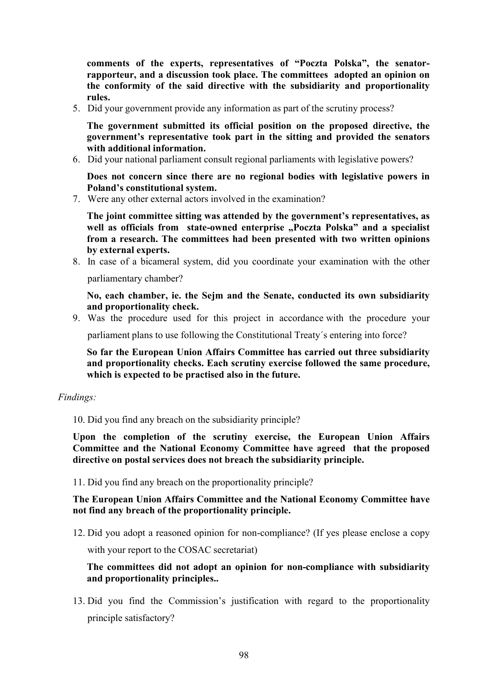**comments of the experts, representatives of "Poczta Polska", the senatorrapporteur, and a discussion took place. The committees adopted an opinion on the conformity of the said directive with the subsidiarity and proportionality rules.**

5. Did your government provide any information as part of the scrutiny process?

**The government submitted its official position on the proposed directive, the government's representative took part in the sitting and provided the senators with additional information.**

6. Did your national parliament consult regional parliaments with legislative powers?

**Does not concern since there are no regional bodies with legislative powers in Poland's constitutional system.**

7. Were any other external actors involved in the examination?

**The joint committee sitting was attended by the government's representatives, as**  well as officials from state-owned enterprise "Poczta Polska" and a specialist **from a research. The committees had been presented with two written opinions by external experts.** 

8. In case of a bicameral system, did you coordinate your examination with the other

parliamentary chamber?

**No, each chamber, ie. the Sejm and the Senate, conducted its own subsidiarity and proportionality check.**

9. Was the procedure used for this project in accordance with the procedure your

parliament plans to use following the Constitutional Treaty´s entering into force?

**So far the European Union Affairs Committee has carried out three subsidiarity and proportionality checks. Each scrutiny exercise followed the same procedure, which is expected to be practised also in the future.**

#### *Findings:*

10. Did you find any breach on the subsidiarity principle?

**Upon the completion of the scrutiny exercise, the European Union Affairs Committee and the National Economy Committee have agreed that the proposed directive on postal services does not breach the subsidiarity principle.**

11. Did you find any breach on the proportionality principle?

## **The European Union Affairs Committee and the National Economy Committee have not find any breach of the proportionality principle.**

12. Did you adopt a reasoned opinion for non-compliance? (If yes please enclose a copy with your report to the COSAC secretariat)

**The committees did not adopt an opinion for non-compliance with subsidiarity and proportionality principles..**

13. Did you find the Commission's justification with regard to the proportionality principle satisfactory?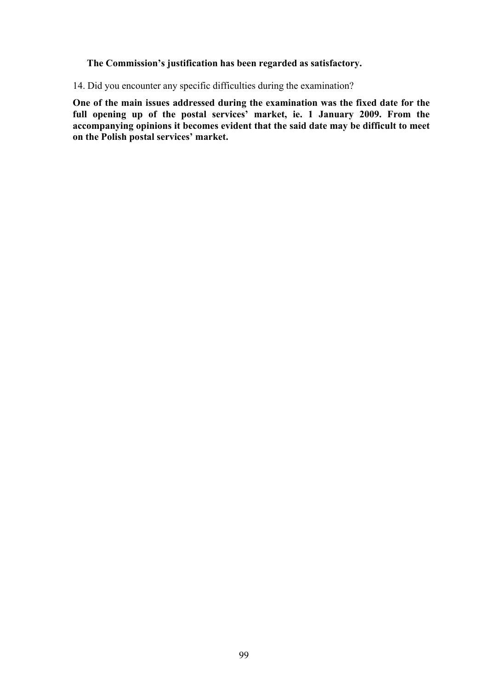## **The Commission's justification has been regarded as satisfactory.**

14. Did you encounter any specific difficulties during the examination?

**One of the main issues addressed during the examination was the fixed date for the full opening up of the postal services' market, ie. 1 January 2009. From the accompanying opinions it becomes evident that the said date may be difficult to meet on the Polish postal services' market.**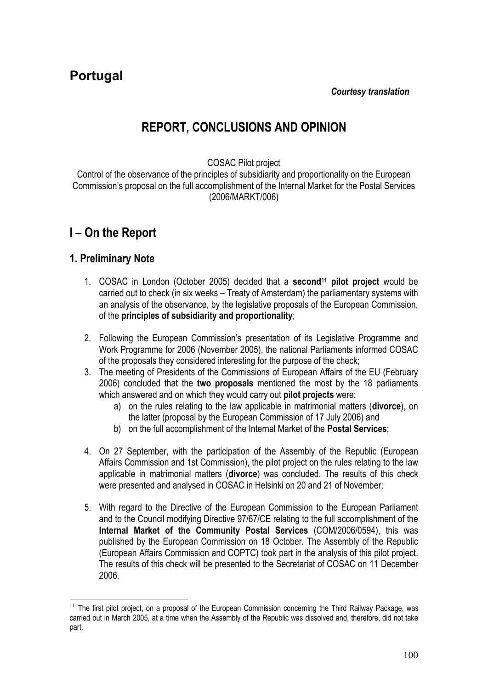**Portugal**

*Courtesy translation*

# **REPORT, CONCLUSIONS AND OPINION**

COSAC Pilot project

Control of the observance of the principles of subsidiarity and proportionality on the European Commission's proposal on the full accomplishment of the Internal Market for the Postal Services (2006/MARKT/006)

# **I – On the Report**

# **1. Preliminary Note**

- 1. COSAC in London (October 2005) decided that a **second<sup>11</sup> pilot project** would be carried out to check (in six weeks – Treaty of Amsterdam) the parliamentary systems with an analysis of the observance, by the legislative proposals of the European Commission, of the **principles of subsidiarity and proportionality**;
- 2. Following the European Commission's presentation of its Legislative Programme and Work Programme for 2006 (November 2005), the national Parliaments informed COSAC of the proposals they considered interesting for the purpose of the check;
- 3. The meeting of Presidents of the Commissions of European Affairs of the EU (February 2006) concluded that the **two proposals** mentioned the most by the 18 parliaments which answered and on which they would carry out **pilot projects** were:
	- a) on the rules relating to the law applicable in matrimonial matters (**divorce**), on the latter (proposal by the European Commission of 17 July 2006) and
	- b) on the full accomplishment of the Internal Market of the **Postal Services**;
- 4. On 27 September, with the participation of the Assembly of the Republic (European Affairs Commission and 1st Commission), the pilot project on the rules relating to the law applicable in matrimonial matters (**divorce**) was concluded. The results of this check were presented and analysed in COSAC in Helsinki on 20 and 21 of November;
- 5. With regard to the Directive of the European Commission to the European Parliament and to the Council modifying Directive 97/67/CE relating to the full accomplishment of the **Internal Market of the Community Postal Services** (COM/2006/0594), this was published by the European Commission on 18 October. The Assembly of the Republic (European Affairs Commission and COPTC) took part in the analysis of this pilot project. The results of this check will be presented to the Secretariat of COSAC on 11 December 2006.

 $11$  The first pilot project, on a proposal of the European Commission concerning the Third Railway Package, was carried out in March 2005, at a time when the Assembly of the Republic was dissolved and, therefore, did not take part.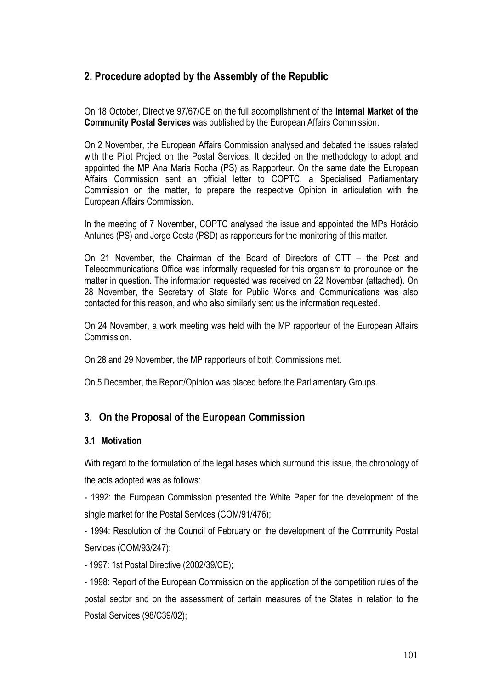# **2. Procedure adopted by the Assembly of the Republic**

On 18 October, Directive 97/67/CE on the full accomplishment of the **Internal Market of the Community Postal Services** was published by the European Affairs Commission.

On 2 November, the European Affairs Commission analysed and debated the issues related with the Pilot Project on the Postal Services. It decided on the methodology to adopt and appointed the MP Ana Maria Rocha (PS) as Rapporteur. On the same date the European Affairs Commission sent an official letter to COPTC, a Specialised Parliamentary Commission on the matter, to prepare the respective Opinion in articulation with the European Affairs Commission.

In the meeting of 7 November, COPTC analysed the issue and appointed the MPs Horácio Antunes (PS) and Jorge Costa (PSD) as rapporteurs for the monitoring of this matter.

On 21 November, the Chairman of the Board of Directors of CTT – the Post and Telecommunications Office was informally requested for this organism to pronounce on the matter in question. The information requested was received on 22 November (attached). On 28 November, the Secretary of State for Public Works and Communications was also contacted for this reason, and who also similarly sent us the information requested.

On 24 November, a work meeting was held with the MP rapporteur of the European Affairs Commission.

On 28 and 29 November, the MP rapporteurs of both Commissions met.

On 5 December, the Report/Opinion was placed before the Parliamentary Groups.

# **3. On the Proposal of the European Commission**

# **3.1 Motivation**

With regard to the formulation of the legal bases which surround this issue, the chronology of the acts adopted was as follows:

- 1992: the European Commission presented the White Paper for the development of the single market for the Postal Services (COM/91/476);

- 1994: Resolution of the Council of February on the development of the Community Postal Services (COM/93/247);

- 1997: 1st Postal Directive (2002/39/CE);

- 1998: Report of the European Commission on the application of the competition rules of the postal sector and on the assessment of certain measures of the States in relation to the Postal Services (98/C39/02);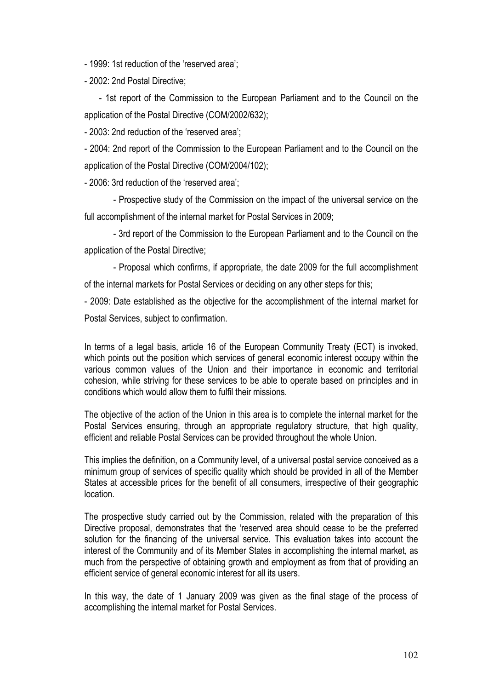- 1999: 1st reduction of the 'reserved area';

- 2002: 2nd Postal Directive;

- 1st report of the Commission to the European Parliament and to the Council on the application of the Postal Directive (COM/2002/632);

- 2003: 2nd reduction of the 'reserved area';

- 2004: 2nd report of the Commission to the European Parliament and to the Council on the application of the Postal Directive (COM/2004/102);

- 2006: 3rd reduction of the 'reserved area';

- Prospective study of the Commission on the impact of the universal service on the full accomplishment of the internal market for Postal Services in 2009;

- 3rd report of the Commission to the European Parliament and to the Council on the application of the Postal Directive;

- Proposal which confirms, if appropriate, the date 2009 for the full accomplishment of the internal markets for Postal Services or deciding on any other steps for this;

- 2009: Date established as the objective for the accomplishment of the internal market for Postal Services, subject to confirmation.

In terms of a legal basis, article 16 of the European Community Treaty (ECT) is invoked, which points out the position which services of general economic interest occupy within the various common values of the Union and their importance in economic and territorial cohesion, while striving for these services to be able to operate based on principles and in conditions which would allow them to fulfil their missions.

The objective of the action of the Union in this area is to complete the internal market for the Postal Services ensuring, through an appropriate regulatory structure, that high quality, efficient and reliable Postal Services can be provided throughout the whole Union.

This implies the definition, on a Community level, of a universal postal service conceived as a minimum group of services of specific quality which should be provided in all of the Member States at accessible prices for the benefit of all consumers, irrespective of their geographic location.

The prospective study carried out by the Commission, related with the preparation of this Directive proposal, demonstrates that the 'reserved area should cease to be the preferred solution for the financing of the universal service. This evaluation takes into account the interest of the Community and of its Member States in accomplishing the internal market, as much from the perspective of obtaining growth and employment as from that of providing an efficient service of general economic interest for all its users.

In this way, the date of 1 January 2009 was given as the final stage of the process of accomplishing the internal market for Postal Services.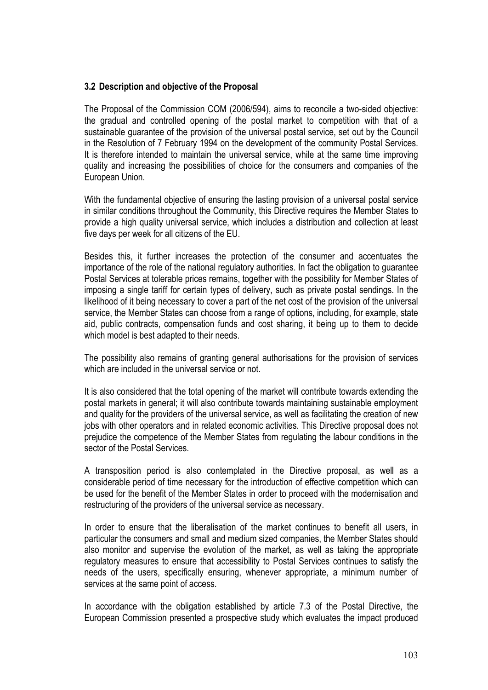## **3.2 Description and objective of the Proposal**

The Proposal of the Commission COM (2006/594), aims to reconcile a two-sided objective: the gradual and controlled opening of the postal market to competition with that of a sustainable guarantee of the provision of the universal postal service, set out by the Council in the Resolution of 7 February 1994 on the development of the community Postal Services. It is therefore intended to maintain the universal service, while at the same time improving quality and increasing the possibilities of choice for the consumers and companies of the European Union.

With the fundamental objective of ensuring the lasting provision of a universal postal service in similar conditions throughout the Community, this Directive requires the Member States to provide a high quality universal service, which includes a distribution and collection at least five days per week for all citizens of the EU.

Besides this, it further increases the protection of the consumer and accentuates the importance of the role of the national regulatory authorities. In fact the obligation to guarantee Postal Services at tolerable prices remains, together with the possibility for Member States of imposing a single tariff for certain types of delivery, such as private postal sendings. In the likelihood of it being necessary to cover a part of the net cost of the provision of the universal service, the Member States can choose from a range of options, including, for example, state aid, public contracts, compensation funds and cost sharing, it being up to them to decide which model is best adapted to their needs.

The possibility also remains of granting general authorisations for the provision of services which are included in the universal service or not.

It is also considered that the total opening of the market will contribute towards extending the postal markets in general; it will also contribute towards maintaining sustainable employment and quality for the providers of the universal service, as well as facilitating the creation of new jobs with other operators and in related economic activities. This Directive proposal does not prejudice the competence of the Member States from regulating the labour conditions in the sector of the Postal Services.

A transposition period is also contemplated in the Directive proposal, as well as a considerable period of time necessary for the introduction of effective competition which can be used for the benefit of the Member States in order to proceed with the modernisation and restructuring of the providers of the universal service as necessary.

In order to ensure that the liberalisation of the market continues to benefit all users, in particular the consumers and small and medium sized companies, the Member States should also monitor and supervise the evolution of the market, as well as taking the appropriate regulatory measures to ensure that accessibility to Postal Services continues to satisfy the needs of the users, specifically ensuring, whenever appropriate, a minimum number of services at the same point of access.

In accordance with the obligation established by article 7.3 of the Postal Directive, the European Commission presented a prospective study which evaluates the impact produced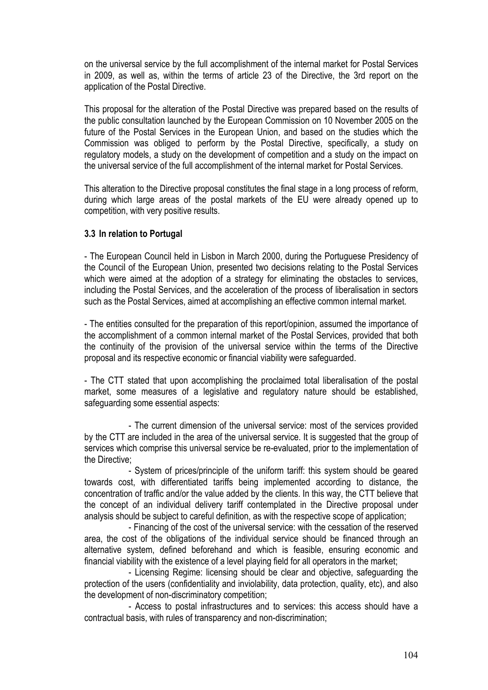on the universal service by the full accomplishment of the internal market for Postal Services in 2009, as well as, within the terms of article 23 of the Directive, the 3rd report on the application of the Postal Directive.

This proposal for the alteration of the Postal Directive was prepared based on the results of the public consultation launched by the European Commission on 10 November 2005 on the future of the Postal Services in the European Union, and based on the studies which the Commission was obliged to perform by the Postal Directive, specifically, a study on regulatory models, a study on the development of competition and a study on the impact on the universal service of the full accomplishment of the internal market for Postal Services.

This alteration to the Directive proposal constitutes the final stage in a long process of reform, during which large areas of the postal markets of the EU were already opened up to competition, with very positive results.

# **3.3 In relation to Portugal**

- The European Council held in Lisbon in March 2000, during the Portuguese Presidency of the Council of the European Union, presented two decisions relating to the Postal Services which were aimed at the adoption of a strategy for eliminating the obstacles to services, including the Postal Services, and the acceleration of the process of liberalisation in sectors such as the Postal Services, aimed at accomplishing an effective common internal market.

- The entities consulted for the preparation of this report/opinion, assumed the importance of the accomplishment of a common internal market of the Postal Services, provided that both the continuity of the provision of the universal service within the terms of the Directive proposal and its respective economic or financial viability were safeguarded.

- The CTT stated that upon accomplishing the proclaimed total liberalisation of the postal market, some measures of a legislative and regulatory nature should be established, safeguarding some essential aspects:

- The current dimension of the universal service: most of the services provided by the CTT are included in the area of the universal service. It is suggested that the group of services which comprise this universal service be re-evaluated, prior to the implementation of the Directive;

- System of prices/principle of the uniform tariff: this system should be geared towards cost, with differentiated tariffs being implemented according to distance, the concentration of traffic and/or the value added by the clients. In this way, the CTT believe that the concept of an individual delivery tariff contemplated in the Directive proposal under analysis should be subject to careful definition, as with the respective scope of application;

- Financing of the cost of the universal service: with the cessation of the reserved area, the cost of the obligations of the individual service should be financed through an alternative system, defined beforehand and which is feasible, ensuring economic and financial viability with the existence of a level playing field for all operators in the market;

- Licensing Regime: licensing should be clear and objective, safeguarding the protection of the users (confidentiality and inviolability, data protection, quality, etc), and also the development of non-discriminatory competition;

- Access to postal infrastructures and to services: this access should have a contractual basis, with rules of transparency and non-discrimination;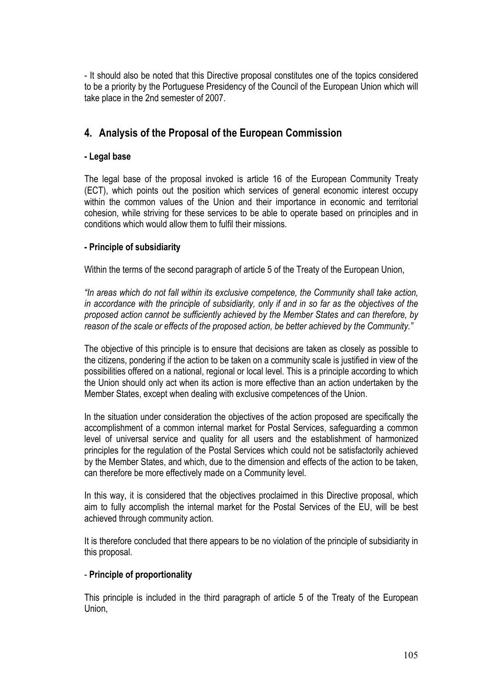- It should also be noted that this Directive proposal constitutes one of the topics considered to be a priority by the Portuguese Presidency of the Council of the European Union which will take place in the 2nd semester of 2007.

# **4. Analysis of the Proposal of the European Commission**

# **- Legal base**

The legal base of the proposal invoked is article 16 of the European Community Treaty (ECT), which points out the position which services of general economic interest occupy within the common values of the Union and their importance in economic and territorial cohesion, while striving for these services to be able to operate based on principles and in conditions which would allow them to fulfil their missions.

# **- Principle of subsidiarity**

Within the terms of the second paragraph of article 5 of the Treaty of the European Union,

*"In areas which do not fall within its exclusive competence, the Community shall take action, in accordance with the principle of subsidiarity, only if and in so far as the objectives of the proposed action cannot be sufficiently achieved by the Member States and can therefore, by reason of the scale or effects of the proposed action, be better achieved by the Community."*

The objective of this principle is to ensure that decisions are taken as closely as possible to the citizens, pondering if the action to be taken on a community scale is justified in view of the possibilities offered on a national, regional or local level. This is a principle according to which the Union should only act when its action is more effective than an action undertaken by the Member States, except when dealing with exclusive competences of the Union.

In the situation under consideration the objectives of the action proposed are specifically the accomplishment of a common internal market for Postal Services, safeguarding a common level of universal service and quality for all users and the establishment of harmonized principles for the regulation of the Postal Services which could not be satisfactorily achieved by the Member States, and which, due to the dimension and effects of the action to be taken, can therefore be more effectively made on a Community level.

In this way, it is considered that the objectives proclaimed in this Directive proposal, which aim to fully accomplish the internal market for the Postal Services of the EU, will be best achieved through community action.

It is therefore concluded that there appears to be no violation of the principle of subsidiarity in this proposal.

# - **Principle of proportionality**

This principle is included in the third paragraph of article 5 of the Treaty of the European Union,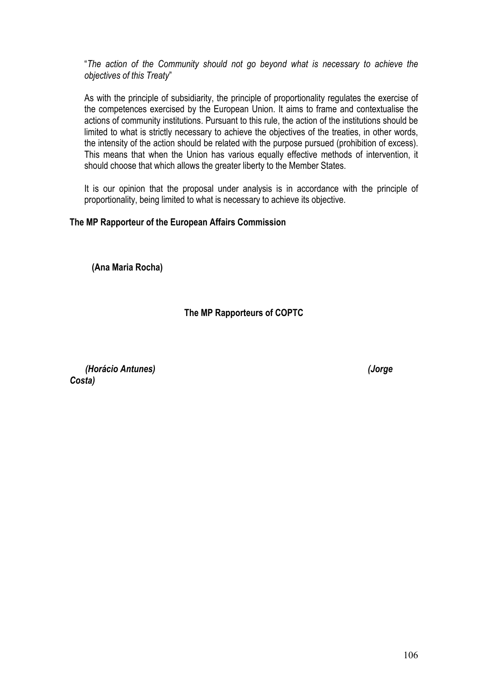"*The action of the Community should not go beyond what is necessary to achieve the objectives of this Treaty*"

As with the principle of subsidiarity, the principle of proportionality regulates the exercise of the competences exercised by the European Union. It aims to frame and contextualise the actions of community institutions. Pursuant to this rule, the action of the institutions should be limited to what is strictly necessary to achieve the objectives of the treaties, in other words, the intensity of the action should be related with the purpose pursued (prohibition of excess). This means that when the Union has various equally effective methods of intervention, it should choose that which allows the greater liberty to the Member States.

It is our opinion that the proposal under analysis is in accordance with the principle of proportionality, being limited to what is necessary to achieve its objective.

# **The MP Rapporteur of the European Affairs Commission**

**(Ana Maria Rocha)**

# **The MP Rapporteurs of COPTC**

*(Horácio Antunes) (Jorge Costa)*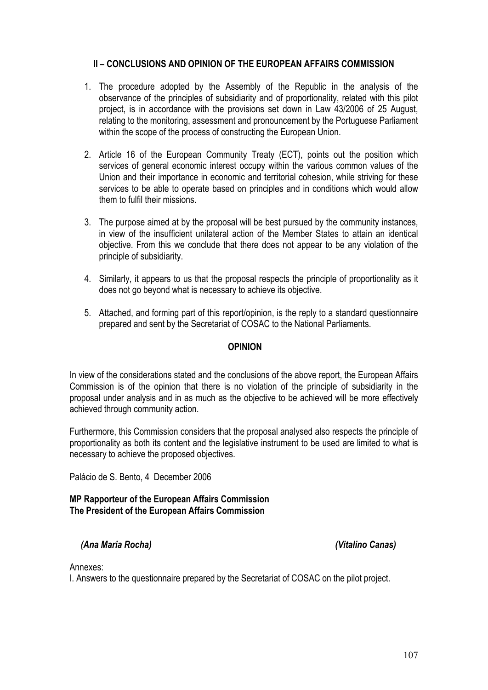# **II – CONCLUSIONS AND OPINION OF THE EUROPEAN AFFAIRS COMMISSION**

- 1. The procedure adopted by the Assembly of the Republic in the analysis of the observance of the principles of subsidiarity and of proportionality, related with this pilot project, is in accordance with the provisions set down in Law 43/2006 of 25 August, relating to the monitoring, assessment and pronouncement by the Portuguese Parliament within the scope of the process of constructing the European Union.
- 2. Article 16 of the European Community Treaty (ECT), points out the position which services of general economic interest occupy within the various common values of the Union and their importance in economic and territorial cohesion, while striving for these services to be able to operate based on principles and in conditions which would allow them to fulfil their missions.
- 3. The purpose aimed at by the proposal will be best pursued by the community instances, in view of the insufficient unilateral action of the Member States to attain an identical objective. From this we conclude that there does not appear to be any violation of the principle of subsidiarity.
- 4. Similarly, it appears to us that the proposal respects the principle of proportionality as it does not go beyond what is necessary to achieve its objective.
- 5. Attached, and forming part of this report/opinion, is the reply to a standard questionnaire prepared and sent by the Secretariat of COSAC to the National Parliaments.

## **OPINION**

In view of the considerations stated and the conclusions of the above report, the European Affairs Commission is of the opinion that there is no violation of the principle of subsidiarity in the proposal under analysis and in as much as the objective to be achieved will be more effectively achieved through community action.

Furthermore, this Commission considers that the proposal analysed also respects the principle of proportionality as both its content and the legislative instrument to be used are limited to what is necessary to achieve the proposed objectives.

Palácio de S. Bento, 4 December 2006

## **MP Rapporteur of the European Affairs Commission The President of the European Affairs Commission**

# *(Ana Maria Rocha) (Vitalino Canas)*

Annexes:

I. Answers to the questionnaire prepared by the Secretariat of COSAC on the pilot project.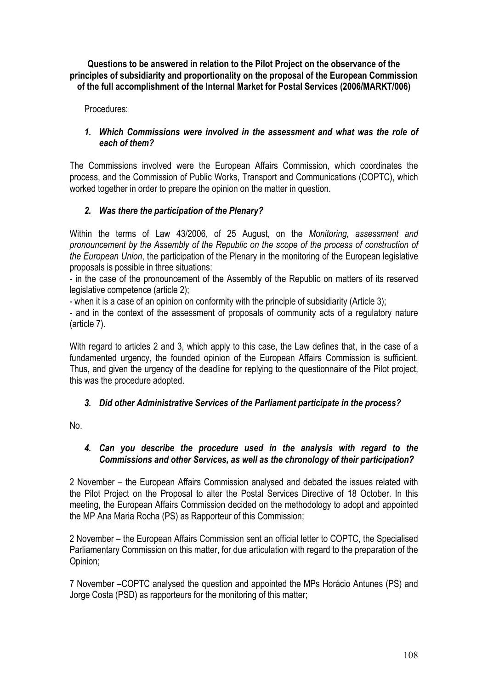**Questions to be answered in relation to the Pilot Project on the observance of the principles of subsidiarity and proportionality on the proposal of the European Commission of the full accomplishment of the Internal Market for Postal Services (2006/MARKT/006)**

Procedures:

# *1. Which Commissions were involved in the assessment and what was the role of each of them?*

The Commissions involved were the European Affairs Commission, which coordinates the process, and the Commission of Public Works, Transport and Communications (COPTC), which worked together in order to prepare the opinion on the matter in question.

# *2. Was there the participation of the Plenary?*

Within the terms of Law 43/2006, of 25 August, on the *Monitoring, assessment and pronouncement by the Assembly of the Republic on the scope of the process of construction of the European Union*, the participation of the Plenary in the monitoring of the European legislative proposals is possible in three situations:

- in the case of the pronouncement of the Assembly of the Republic on matters of its reserved legislative competence (article 2);

- when it is a case of an opinion on conformity with the principle of subsidiarity (Article 3);

- and in the context of the assessment of proposals of community acts of a regulatory nature (article 7).

With regard to articles 2 and 3, which apply to this case, the Law defines that, in the case of a fundamented urgency, the founded opinion of the European Affairs Commission is sufficient. Thus, and given the urgency of the deadline for replying to the questionnaire of the Pilot project, this was the procedure adopted.

# *3. Did other Administrative Services of the Parliament participate in the process?*

No.

# *4. Can you describe the procedure used in the analysis with regard to the Commissions and other Services, as well as the chronology of their participation?*

2 November – the European Affairs Commission analysed and debated the issues related with the Pilot Project on the Proposal to alter the Postal Services Directive of 18 October. In this meeting, the European Affairs Commission decided on the methodology to adopt and appointed the MP Ana Maria Rocha (PS) as Rapporteur of this Commission;

2 November – the European Affairs Commission sent an official letter to COPTC, the Specialised Parliamentary Commission on this matter, for due articulation with regard to the preparation of the Opinion;

7 November –COPTC analysed the question and appointed the MPs Horácio Antunes (PS) and Jorge Costa (PSD) as rapporteurs for the monitoring of this matter;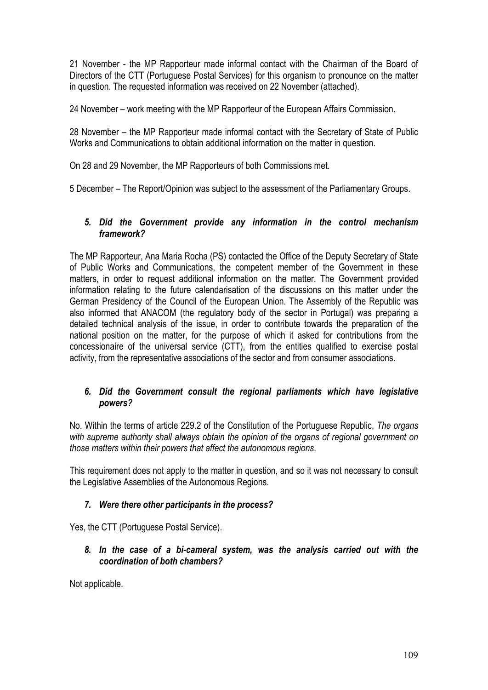21 November - the MP Rapporteur made informal contact with the Chairman of the Board of Directors of the CTT (Portuguese Postal Services) for this organism to pronounce on the matter in question. The requested information was received on 22 November (attached).

24 November – work meeting with the MP Rapporteur of the European Affairs Commission.

28 November – the MP Rapporteur made informal contact with the Secretary of State of Public Works and Communications to obtain additional information on the matter in question.

On 28 and 29 November, the MP Rapporteurs of both Commissions met.

5 December – The Report/Opinion was subject to the assessment of the Parliamentary Groups.

## *5. Did the Government provide any information in the control mechanism framework?*

The MP Rapporteur, Ana Maria Rocha (PS) contacted the Office of the Deputy Secretary of State of Public Works and Communications, the competent member of the Government in these matters, in order to request additional information on the matter. The Government provided information relating to the future calendarisation of the discussions on this matter under the German Presidency of the Council of the European Union. The Assembly of the Republic was also informed that ANACOM (the regulatory body of the sector in Portugal) was preparing a detailed technical analysis of the issue, in order to contribute towards the preparation of the national position on the matter, for the purpose of which it asked for contributions from the concessionaire of the universal service (CTT), from the entities qualified to exercise postal activity, from the representative associations of the sector and from consumer associations.

# *6. Did the Government consult the regional parliaments which have legislative powers?*

No. Within the terms of article 229.2 of the Constitution of the Portuguese Republic, *The organs with supreme authority shall always obtain the opinion of the organs of regional government on those matters within their powers that affect the autonomous regions.* 

This requirement does not apply to the matter in question, and so it was not necessary to consult the Legislative Assemblies of the Autonomous Regions.

## *7. Were there other participants in the process?*

Yes, the CTT (Portuguese Postal Service).

## *8. In the case of a bi-cameral system, was the analysis carried out with the coordination of both chambers?*

Not applicable.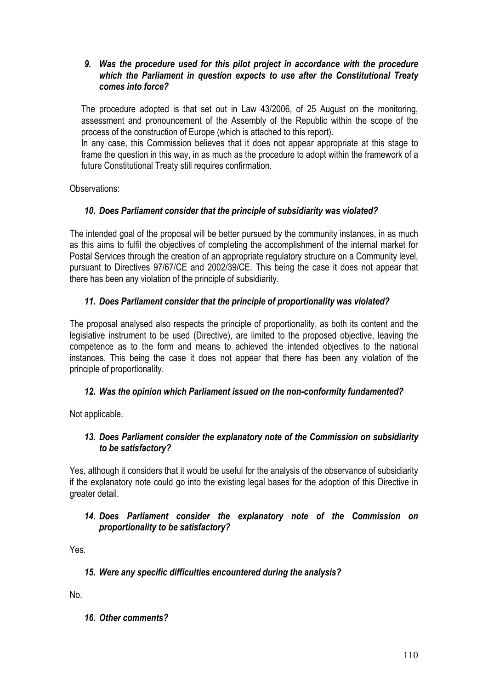## *9. Was the procedure used for this pilot project in accordance with the procedure which the Parliament in question expects to use after the Constitutional Treaty comes into force?*

The procedure adopted is that set out in Law 43/2006, of 25 August on the monitoring, assessment and pronouncement of the Assembly of the Republic within the scope of the process of the construction of Europe (which is attached to this report).

In any case, this Commission believes that it does not appear appropriate at this stage to frame the question in this way, in as much as the procedure to adopt within the framework of a future Constitutional Treaty still requires confirmation.

Observations:

# *10. Does Parliament consider that the principle of subsidiarity was violated?*

The intended goal of the proposal will be better pursued by the community instances, in as much as this aims to fulfil the objectives of completing the accomplishment of the internal market for Postal Services through the creation of an appropriate regulatory structure on a Community level, pursuant to Directives 97/67/CE and 2002/39/CE. This being the case it does not appear that there has been any violation of the principle of subsidiarity.

# *11. Does Parliament consider that the principle of proportionality was violated?*

The proposal analysed also respects the principle of proportionality, as both its content and the legislative instrument to be used (Directive), are limited to the proposed objective, leaving the competence as to the form and means to achieved the intended objectives to the national instances. This being the case it does not appear that there has been any violation of the principle of proportionality.

## *12. Was the opinion which Parliament issued on the non-conformity fundamented?*

Not applicable.

## *13. Does Parliament consider the explanatory note of the Commission on subsidiarity to be satisfactory?*

Yes, although it considers that it would be useful for the analysis of the observance of subsidiarity if the explanatory note could go into the existing legal bases for the adoption of this Directive in greater detail.

## *14. Does Parliament consider the explanatory note of the Commission on proportionality to be satisfactory?*

Yes.

## *15. Were any specific difficulties encountered during the analysis?*

No.

*16. Other comments?*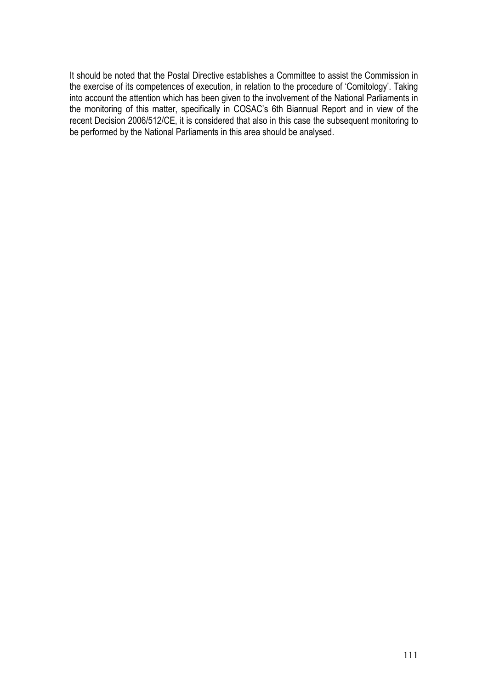It should be noted that the Postal Directive establishes a Committee to assist the Commission in the exercise of its competences of execution, in relation to the procedure of 'Comitology'. Taking into account the attention which has been given to the involvement of the National Parliaments in the monitoring of this matter, specifically in COSAC's 6th Biannual Report and in view of the recent Decision 2006/512/CE, it is considered that also in this case the subsequent monitoring to be performed by the National Parliaments in this area should be analysed.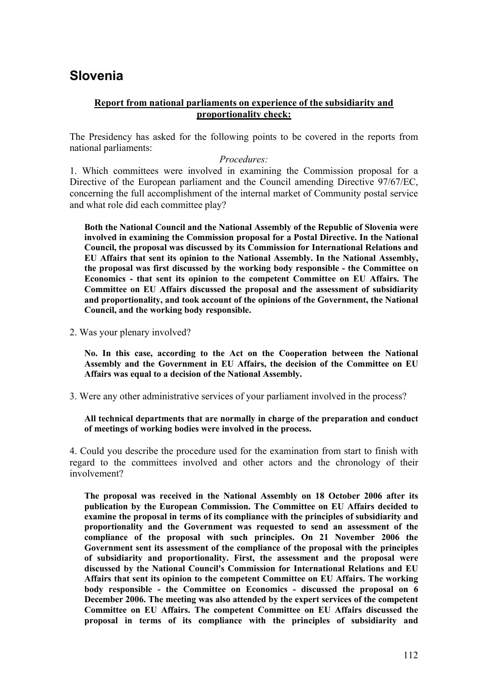# **Slovenia**

## **Report from national parliaments on experience of the subsidiarity and proportionality check:**

The Presidency has asked for the following points to be covered in the reports from national parliaments:

### *Procedures:*

1. Which committees were involved in examining the Commission proposal for a Directive of the European parliament and the Council amending Directive 97/67/EC, concerning the full accomplishment of the internal market of Community postal service and what role did each committee play?

**Both the National Council and the National Assembly of the Republic of Slovenia were involved in examining the Commission proposal for a Postal Directive. In the National Council, the proposal was discussed by its Commission for International Relations and EU Affairs that sent its opinion to the National Assembly. In the National Assembly, the proposal was first discussed by the working body responsible - the Committee on Economics - that sent its opinion to the competent Committee on EU Affairs. The Committee on EU Affairs discussed the proposal and the assessment of subsidiarity and proportionality, and took account of the opinions of the Government, the National Council, and the working body responsible.**

2. Was your plenary involved?

**No. In this case, according to the Act on the Cooperation between the National Assembly and the Government in EU Affairs, the decision of the Committee on EU Affairs was equal to a decision of the National Assembly.**

3. Were any other administrative services of your parliament involved in the process?

#### **All technical departments that are normally in charge of the preparation and conduct of meetings of working bodies were involved in the process.**

4. Could you describe the procedure used for the examination from start to finish with regard to the committees involved and other actors and the chronology of their involvement?

**The proposal was received in the National Assembly on 18 October 2006 after its publication by the European Commission. The Committee on EU Affairs decided to examine the proposal in terms of its compliance with the principles of subsidiarity and proportionality and the Government was requested to send an assessment of the compliance of the proposal with such principles. On 21 November 2006 the Government sent its assessment of the compliance of the proposal with the principles of subsidiarity and proportionality. First, the assessment and the proposal were discussed by the National Council's Commission for International Relations and EU Affairs that sent its opinion to the competent Committee on EU Affairs. The working body responsible - the Committee on Economics - discussed the proposal on 6 December 2006. The meeting was also attended by the expert services of the competent Committee on EU Affairs. The competent Committee on EU Affairs discussed the proposal in terms of its compliance with the principles of subsidiarity and**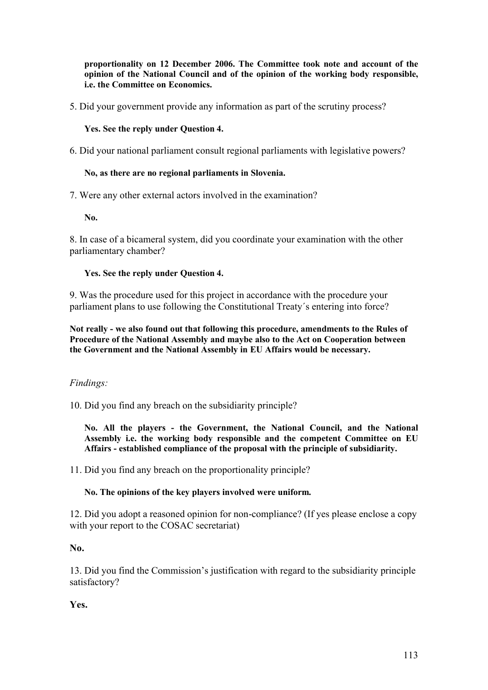**proportionality on 12 December 2006. The Committee took note and account of the opinion of the National Council and of the opinion of the working body responsible, i.e. the Committee on Economics.** 

5. Did your government provide any information as part of the scrutiny process?

**Yes. See the reply under Question 4.**

6. Did your national parliament consult regional parliaments with legislative powers?

### **No, as there are no regional parliaments in Slovenia.**

7. Were any other external actors involved in the examination?

**No.**

8. In case of a bicameral system, did you coordinate your examination with the other parliamentary chamber?

### **Yes. See the reply under Question 4.**

9. Was the procedure used for this project in accordance with the procedure your parliament plans to use following the Constitutional Treaty´s entering into force?

**Not really - we also found out that following this procedure, amendments to the Rules of Procedure of the National Assembly and maybe also to the Act on Cooperation between the Government and the National Assembly in EU Affairs would be necessary.**

## *Findings:*

10. Did you find any breach on the subsidiarity principle?

**No. All the players - the Government, the National Council, and the National Assembly i.e. the working body responsible and the competent Committee on EU Affairs - established compliance of the proposal with the principle of subsidiarity.** 

11. Did you find any breach on the proportionality principle?

#### **No. The opinions of the key players involved were uniform.**

12. Did you adopt a reasoned opinion for non-compliance? (If yes please enclose a copy with your report to the COSAC secretariat)

**No.**

13. Did you find the Commission's justification with regard to the subsidiarity principle satisfactory?

**Yes.**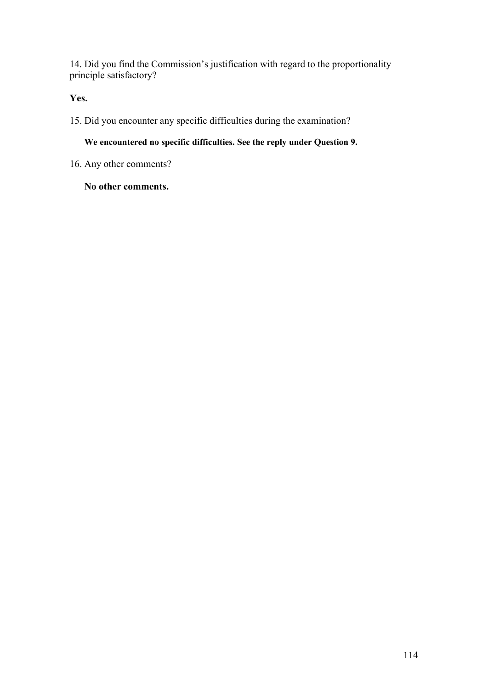14. Did you find the Commission's justification with regard to the proportionality principle satisfactory?

**Yes.**

15. Did you encounter any specific difficulties during the examination?

**We encountered no specific difficulties. See the reply under Question 9.**

16. Any other comments?

**No other comments.**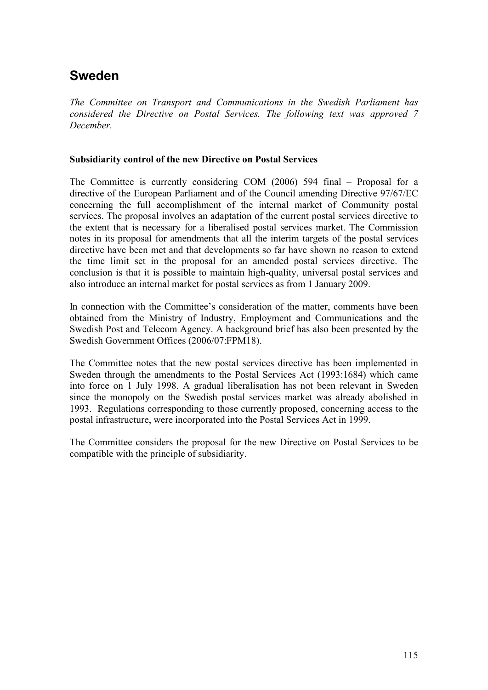# **Sweden**

*The Committee on Transport and Communications in the Swedish Parliament has considered the Directive on Postal Services. The following text was approved 7 December.* 

### **Subsidiarity control of the new Directive on Postal Services**

The Committee is currently considering COM (2006) 594 final – Proposal for a directive of the European Parliament and of the Council amending Directive 97/67/EC concerning the full accomplishment of the internal market of Community postal services. The proposal involves an adaptation of the current postal services directive to the extent that is necessary for a liberalised postal services market. The Commission notes in its proposal for amendments that all the interim targets of the postal services directive have been met and that developments so far have shown no reason to extend the time limit set in the proposal for an amended postal services directive. The conclusion is that it is possible to maintain high-quality, universal postal services and also introduce an internal market for postal services as from 1 January 2009.

In connection with the Committee's consideration of the matter, comments have been obtained from the Ministry of Industry, Employment and Communications and the Swedish Post and Telecom Agency. A background brief has also been presented by the Swedish Government Offices (2006/07:FPM18).

The Committee notes that the new postal services directive has been implemented in Sweden through the amendments to the Postal Services Act (1993:1684) which came into force on 1 July 1998. A gradual liberalisation has not been relevant in Sweden since the monopoly on the Swedish postal services market was already abolished in 1993. Regulations corresponding to those currently proposed, concerning access to the postal infrastructure, were incorporated into the Postal Services Act in 1999.

The Committee considers the proposal for the new Directive on Postal Services to be compatible with the principle of subsidiarity.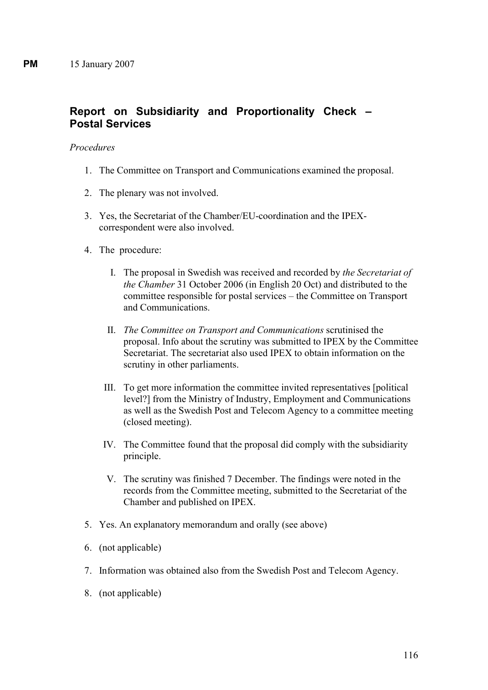# **Report on Subsidiarity and Proportionality Check – Postal Services**

### *Procedures*

- 1. The Committee on Transport and Communications examined the proposal.
- 2. The plenary was not involved.
- 3. Yes, the Secretariat of the Chamber/EU-coordination and the IPEXcorrespondent were also involved.
- 4. The procedure:
	- I. The proposal in Swedish was received and recorded by *the Secretariat of the Chamber* 31 October 2006 (in English 20 Oct) and distributed to the committee responsible for postal services – the Committee on Transport and Communications.
	- II. *The Committee on Transport and Communications* scrutinised the proposal. Info about the scrutiny was submitted to IPEX by the Committee Secretariat. The secretariat also used IPEX to obtain information on the scrutiny in other parliaments.
	- III. To get more information the committee invited representatives [political level?] from the Ministry of Industry, Employment and Communications as well as the Swedish Post and Telecom Agency to a committee meeting (closed meeting).
	- IV. The Committee found that the proposal did comply with the subsidiarity principle.
	- V. The scrutiny was finished 7 December. The findings were noted in the records from the Committee meeting, submitted to the Secretariat of the Chamber and published on IPEX.
- 5. Yes. An explanatory memorandum and orally (see above)
- 6. (not applicable)
- 7. Information was obtained also from the Swedish Post and Telecom Agency.
- 8. (not applicable)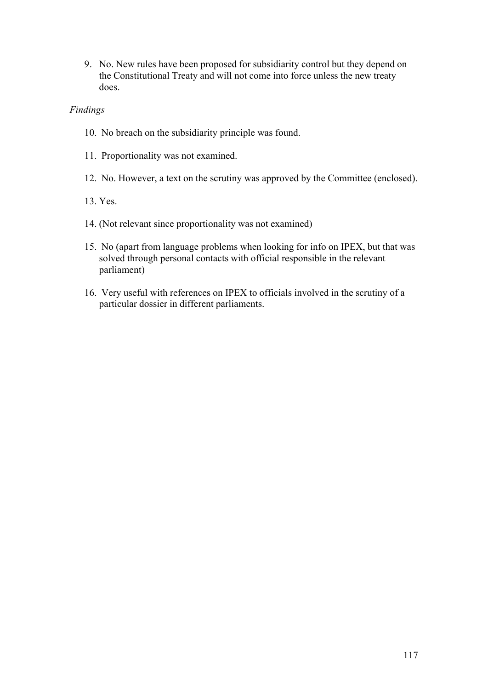9. No. New rules have been proposed for subsidiarity control but they depend on the Constitutional Treaty and will not come into force unless the new treaty does.

## *Findings*

- 10. No breach on the subsidiarity principle was found.
- 11. Proportionality was not examined.
- 12. No. However, a text on the scrutiny was approved by the Committee (enclosed).
- 13. Yes.
- 14. (Not relevant since proportionality was not examined)
- 15. No (apart from language problems when looking for info on IPEX, but that was solved through personal contacts with official responsible in the relevant parliament)
- 16. Very useful with references on IPEX to officials involved in the scrutiny of a particular dossier in different parliaments.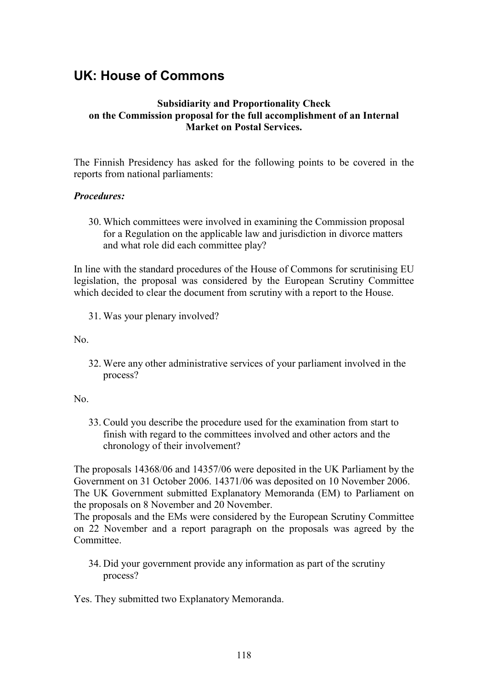# **UK: House of Commons**

# **Subsidiarity and Proportionality Check on the Commission proposal for the full accomplishment of an Internal Market on Postal Services.**

The Finnish Presidency has asked for the following points to be covered in the reports from national parliaments:

## *Procedures:*

30. Which committees were involved in examining the Commission proposal for a Regulation on the applicable law and jurisdiction in divorce matters and what role did each committee play?

In line with the standard procedures of the House of Commons for scrutinising EU legislation, the proposal was considered by the European Scrutiny Committee which decided to clear the document from scrutiny with a report to the House.

31. Was your plenary involved?

No.

32. Were any other administrative services of your parliament involved in the process?

#### No.

33. Could you describe the procedure used for the examination from start to finish with regard to the committees involved and other actors and the chronology of their involvement?

The proposals 14368/06 and 14357/06 were deposited in the UK Parliament by the Government on 31 October 2006. 14371/06 was deposited on 10 November 2006. The UK Government submitted Explanatory Memoranda (EM) to Parliament on the proposals on 8 November and 20 November.

The proposals and the EMs were considered by the European Scrutiny Committee on 22 November and a report paragraph on the proposals was agreed by the Committee.

34. Did your government provide any information as part of the scrutiny process?

Yes. They submitted two Explanatory Memoranda.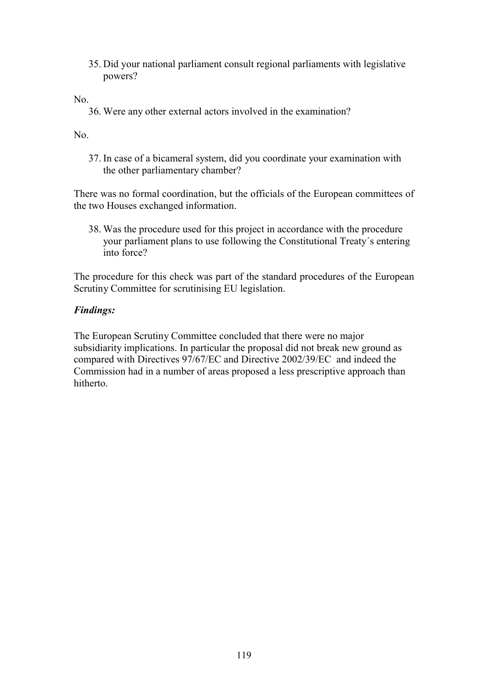35. Did your national parliament consult regional parliaments with legislative powers?

No.

36. Were any other external actors involved in the examination?

No.

37. In case of a bicameral system, did you coordinate your examination with the other parliamentary chamber?

There was no formal coordination, but the officials of the European committees of the two Houses exchanged information.

38. Was the procedure used for this project in accordance with the procedure your parliament plans to use following the Constitutional Treaty´s entering into force?

The procedure for this check was part of the standard procedures of the European Scrutiny Committee for scrutinising EU legislation.

# *Findings:*

The European Scrutiny Committee concluded that there were no major subsidiarity implications. In particular the proposal did not break new ground as compared with Directives 97/67/EC and Directive 2002/39/EC and indeed the Commission had in a number of areas proposed a less prescriptive approach than hitherto.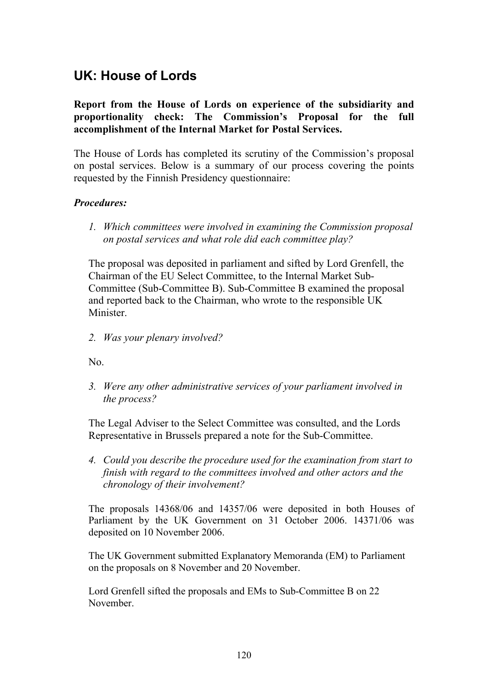# **UK: House of Lords**

**Report from the House of Lords on experience of the subsidiarity and proportionality check: The Commission's Proposal for the full accomplishment of the Internal Market for Postal Services.**

The House of Lords has completed its scrutiny of the Commission's proposal on postal services. Below is a summary of our process covering the points requested by the Finnish Presidency questionnaire:

# *Procedures:*

*1. Which committees were involved in examining the Commission proposal on postal services and what role did each committee play?*

The proposal was deposited in parliament and sifted by Lord Grenfell, the Chairman of the EU Select Committee, to the Internal Market Sub-Committee (Sub-Committee B). Sub-Committee B examined the proposal and reported back to the Chairman, who wrote to the responsible UK Minister.

*2. Was your plenary involved?*

No.

*3. Were any other administrative services of your parliament involved in the process?*

The Legal Adviser to the Select Committee was consulted, and the Lords Representative in Brussels prepared a note for the Sub-Committee.

*4. Could you describe the procedure used for the examination from start to finish with regard to the committees involved and other actors and the chronology of their involvement?*

The proposals 14368/06 and 14357/06 were deposited in both Houses of Parliament by the UK Government on 31 October 2006. 14371/06 was deposited on 10 November 2006.

The UK Government submitted Explanatory Memoranda (EM) to Parliament on the proposals on 8 November and 20 November.

Lord Grenfell sifted the proposals and EMs to Sub-Committee B on 22 November.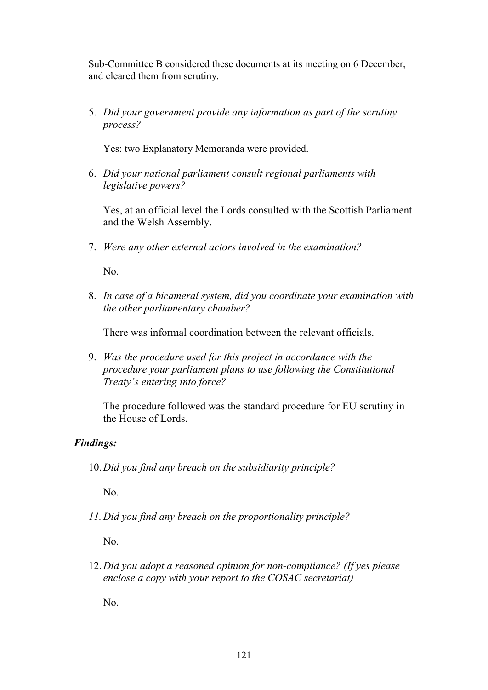Sub-Committee B considered these documents at its meeting on 6 December, and cleared them from scrutiny.

5. *Did your government provide any information as part of the scrutiny process?*

Yes: two Explanatory Memoranda were provided.

6. *Did your national parliament consult regional parliaments with legislative powers?*

Yes, at an official level the Lords consulted with the Scottish Parliament and the Welsh Assembly.

7. *Were any other external actors involved in the examination?*

No.

8. *In case of a bicameral system, did you coordinate your examination with the other parliamentary chamber?*

There was informal coordination between the relevant officials.

9. *Was the procedure used for this project in accordance with the procedure your parliament plans to use following the Constitutional Treaty´s entering into force?*

The procedure followed was the standard procedure for EU scrutiny in the House of Lords.

# *Findings:*

10.*Did you find any breach on the subsidiarity principle?*

No.

*11.Did you find any breach on the proportionality principle?*

No.

12.*Did you adopt a reasoned opinion for non-compliance? (If yes please enclose a copy with your report to the COSAC secretariat)*

No.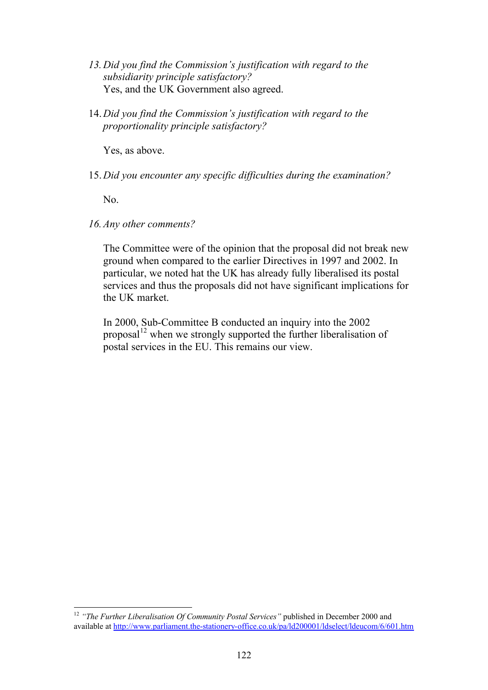- *13.Did you find the Commission's justification with regard to the subsidiarity principle satisfactory?* Yes, and the UK Government also agreed.
- 14.*Did you find the Commission's justification with regard to the proportionality principle satisfactory?*

Yes, as above.

15.*Did you encounter any specific difficulties during the examination?*

No.

*16.Any other comments?*

The Committee were of the opinion that the proposal did not break new ground when compared to the earlier Directives in 1997 and 2002. In particular, we noted hat the UK has already fully liberalised its postal services and thus the proposals did not have significant implications for the UK market.

In 2000, Sub-Committee B conducted an inquiry into the 2002 proposal<sup>12</sup> when we strongly supported the further liberalisation of postal services in the EU. This remains our view.

<sup>&</sup>lt;sup>12</sup> "The Further Liberalisation Of Community Postal Services" published in December 2000 and available at http://www.parliament.the-stationery-office.co.uk/pa/ld200001/ldselect/ldeucom/6/601.htm